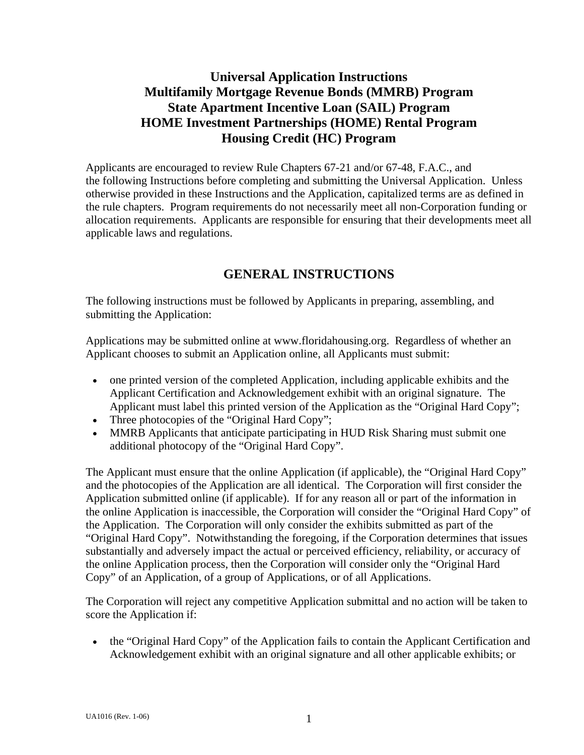# **Universal Application Instructions Multifamily Mortgage Revenue Bonds (MMRB) Program State Apartment Incentive Loan (SAIL) Program HOME Investment Partnerships (HOME) Rental Program Housing Credit (HC) Program**

Applicants are encouraged to review Rule Chapters 67-21 and/or 67-48, F.A.C., and the following Instructions before completing and submitting the Universal Application. Unless otherwise provided in these Instructions and the Application, capitalized terms are as defined in the rule chapters. Program requirements do not necessarily meet all non-Corporation funding or allocation requirements. Applicants are responsible for ensuring that their developments meet all applicable laws and regulations.

## **GENERAL INSTRUCTIONS**

The following instructions must be followed by Applicants in preparing, assembling, and submitting the Application:

Applications may be submitted online at www.floridahousing.org. Regardless of whether an Applicant chooses to submit an Application online, all Applicants must submit:

- one printed version of the completed Application, including applicable exhibits and the Applicant Certification and Acknowledgement exhibit with an original signature. The Applicant must label this printed version of the Application as the "Original Hard Copy";
- Three photocopies of the "Original Hard Copy";
- MMRB Applicants that anticipate participating in HUD Risk Sharing must submit one additional photocopy of the "Original Hard Copy".

The Applicant must ensure that the online Application (if applicable), the "Original Hard Copy" and the photocopies of the Application are all identical. The Corporation will first consider the Application submitted online (if applicable). If for any reason all or part of the information in the online Application is inaccessible, the Corporation will consider the "Original Hard Copy" of the Application. The Corporation will only consider the exhibits submitted as part of the "Original Hard Copy". Notwithstanding the foregoing, if the Corporation determines that issues substantially and adversely impact the actual or perceived efficiency, reliability, or accuracy of the online Application process, then the Corporation will consider only the "Original Hard Copy" of an Application, of a group of Applications, or of all Applications.

The Corporation will reject any competitive Application submittal and no action will be taken to score the Application if:

• the "Original Hard Copy" of the Application fails to contain the Applicant Certification and Acknowledgement exhibit with an original signature and all other applicable exhibits; or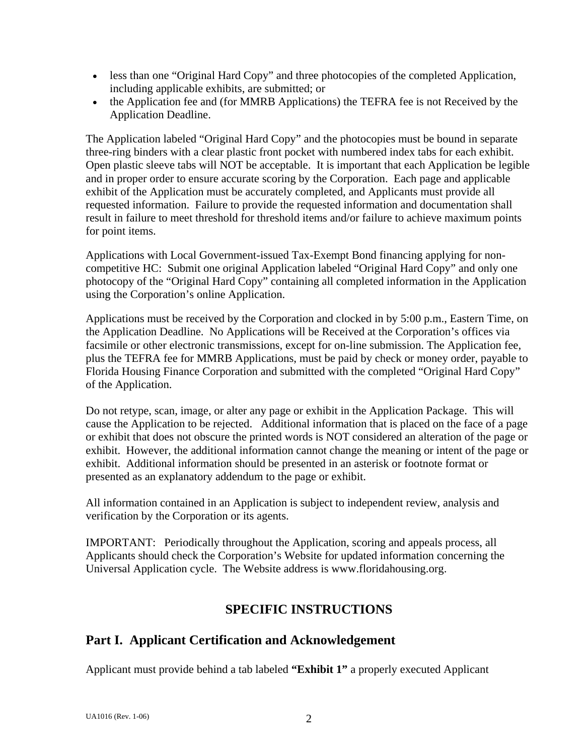- less than one "Original Hard Copy" and three photocopies of the completed Application, including applicable exhibits, are submitted; or
- the Application fee and (for MMRB Applications) the TEFRA fee is not Received by the Application Deadline.

The Application labeled "Original Hard Copy" and the photocopies must be bound in separate three-ring binders with a clear plastic front pocket with numbered index tabs for each exhibit. Open plastic sleeve tabs will NOT be acceptable. It is important that each Application be legible and in proper order to ensure accurate scoring by the Corporation. Each page and applicable exhibit of the Application must be accurately completed, and Applicants must provide all requested information. Failure to provide the requested information and documentation shall result in failure to meet threshold for threshold items and/or failure to achieve maximum points for point items.

Applications with Local Government-issued Tax-Exempt Bond financing applying for noncompetitive HC: Submit one original Application labeled "Original Hard Copy" and only one photocopy of the "Original Hard Copy" containing all completed information in the Application using the Corporation's online Application.

Applications must be received by the Corporation and clocked in by 5:00 p.m., Eastern Time, on the Application Deadline. No Applications will be Received at the Corporation's offices via facsimile or other electronic transmissions, except for on-line submission. The Application fee, plus the TEFRA fee for MMRB Applications, must be paid by check or money order, payable to Florida Housing Finance Corporation and submitted with the completed "Original Hard Copy" of the Application.

Do not retype, scan, image, or alter any page or exhibit in the Application Package. This will cause the Application to be rejected. Additional information that is placed on the face of a page or exhibit that does not obscure the printed words is NOT considered an alteration of the page or exhibit. However, the additional information cannot change the meaning or intent of the page or exhibit. Additional information should be presented in an asterisk or footnote format or presented as an explanatory addendum to the page or exhibit.

All information contained in an Application is subject to independent review, analysis and verification by the Corporation or its agents.

IMPORTANT: Periodically throughout the Application, scoring and appeals process, all Applicants should check the Corporation's Website for updated information concerning the Universal Application cycle. The Website address is www.floridahousing.org.

# **SPECIFIC INSTRUCTIONS**

# **Part I. Applicant Certification and Acknowledgement**

Applicant must provide behind a tab labeled **"Exhibit 1"** a properly executed Applicant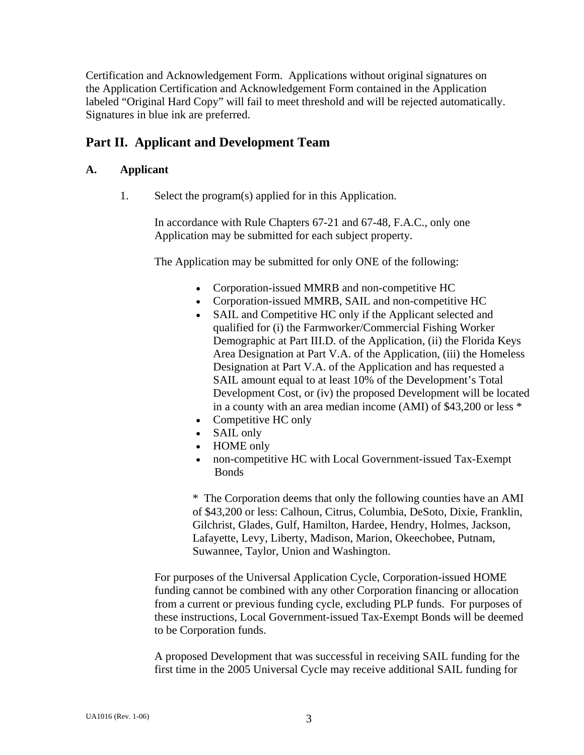Certification and Acknowledgement Form. Applications without original signatures on the Application Certification and Acknowledgement Form contained in the Application labeled "Original Hard Copy" will fail to meet threshold and will be rejected automatically. Signatures in blue ink are preferred.

## **Part II. Applicant and Development Team**

### **A. Applicant**

1. Select the program(s) applied for in this Application.

 In accordance with Rule Chapters 67-21 and 67-48, F.A.C., only one Application may be submitted for each subject property.

The Application may be submitted for only ONE of the following:

- Corporation-issued MMRB and non-competitive HC
- Corporation-issued MMRB, SAIL and non-competitive HC
- SAIL and Competitive HC only if the Applicant selected and qualified for (i) the Farmworker/Commercial Fishing Worker Demographic at Part III.D. of the Application, (ii) the Florida Keys Area Designation at Part V.A. of the Application, (iii) the Homeless Designation at Part V.A. of the Application and has requested a SAIL amount equal to at least 10% of the Development's Total Development Cost, or (iv) the proposed Development will be located in a county with an area median income (AMI) of \$43,200 or less \*
- Competitive HC only
- SAIL only
- HOME only
- non-competitive HC with Local Government-issued Tax-Exempt Bonds

\* The Corporation deems that only the following counties have an AMI of \$43,200 or less: Calhoun, Citrus, Columbia, DeSoto, Dixie, Franklin, Gilchrist, Glades, Gulf, Hamilton, Hardee, Hendry, Holmes, Jackson, Lafayette, Levy, Liberty, Madison, Marion, Okeechobee, Putnam, Suwannee, Taylor, Union and Washington.

 For purposes of the Universal Application Cycle, Corporation-issued HOME funding cannot be combined with any other Corporation financing or allocation from a current or previous funding cycle, excluding PLP funds. For purposes of these instructions, Local Government-issued Tax-Exempt Bonds will be deemed to be Corporation funds.

 A proposed Development that was successful in receiving SAIL funding for the first time in the 2005 Universal Cycle may receive additional SAIL funding for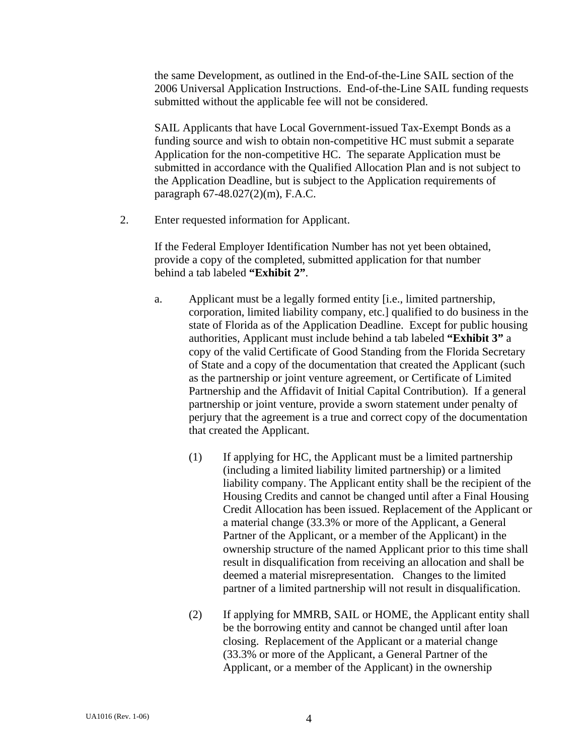the same Development, as outlined in the End-of-the-Line SAIL section of the 2006 Universal Application Instructions. End-of-the-Line SAIL funding requests submitted without the applicable fee will not be considered.

 SAIL Applicants that have Local Government-issued Tax-Exempt Bonds as a funding source and wish to obtain non-competitive HC must submit a separate Application for the non-competitive HC. The separate Application must be submitted in accordance with the Qualified Allocation Plan and is not subject to the Application Deadline, but is subject to the Application requirements of paragraph 67-48.027(2)(m), F.A.C.

2. Enter requested information for Applicant.

 If the Federal Employer Identification Number has not yet been obtained, provide a copy of the completed, submitted application for that number behind a tab labeled **"Exhibit 2"**.

- a. Applicant must be a legally formed entity [i.e., limited partnership, corporation, limited liability company, etc.] qualified to do business in the state of Florida as of the Application Deadline. Except for public housing authorities, Applicant must include behind a tab labeled **"Exhibit 3"** a copy of the valid Certificate of Good Standing from the Florida Secretary of State and a copy of the documentation that created the Applicant (such as the partnership or joint venture agreement, or Certificate of Limited Partnership and the Affidavit of Initial Capital Contribution). If a general partnership or joint venture, provide a sworn statement under penalty of perjury that the agreement is a true and correct copy of the documentation that created the Applicant.
	- (1) If applying for HC, the Applicant must be a limited partnership (including a limited liability limited partnership) or a limited liability company. The Applicant entity shall be the recipient of the Housing Credits and cannot be changed until after a Final Housing Credit Allocation has been issued. Replacement of the Applicant or a material change (33.3% or more of the Applicant, a General Partner of the Applicant, or a member of the Applicant) in the ownership structure of the named Applicant prior to this time shall result in disqualification from receiving an allocation and shall be deemed a material misrepresentation. Changes to the limited partner of a limited partnership will not result in disqualification.
	- (2) If applying for MMRB, SAIL or HOME, the Applicant entity shall be the borrowing entity and cannot be changed until after loan closing. Replacement of the Applicant or a material change (33.3% or more of the Applicant, a General Partner of the Applicant, or a member of the Applicant) in the ownership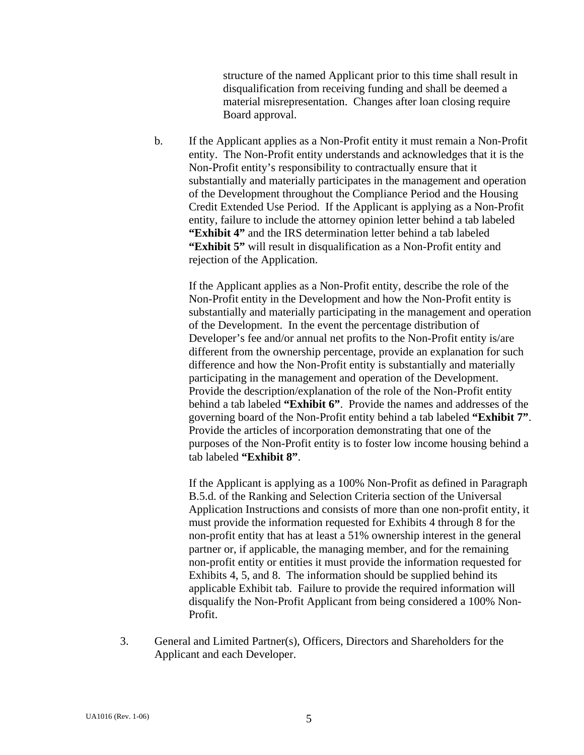structure of the named Applicant prior to this time shall result in disqualification from receiving funding and shall be deemed a material misrepresentation. Changes after loan closing require Board approval.

 b. If the Applicant applies as a Non-Profit entity it must remain a Non-Profit entity. The Non-Profit entity understands and acknowledges that it is the Non-Profit entity's responsibility to contractually ensure that it substantially and materially participates in the management and operation of the Development throughout the Compliance Period and the Housing Credit Extended Use Period. If the Applicant is applying as a Non-Profit entity, failure to include the attorney opinion letter behind a tab labeled **"Exhibit 4"** and the IRS determination letter behind a tab labeled **"Exhibit 5"** will result in disqualification as a Non-Profit entity and rejection of the Application.

 If the Applicant applies as a Non-Profit entity, describe the role of the Non-Profit entity in the Development and how the Non-Profit entity is substantially and materially participating in the management and operation of the Development. In the event the percentage distribution of Developer's fee and/or annual net profits to the Non-Profit entity is/are different from the ownership percentage, provide an explanation for such difference and how the Non-Profit entity is substantially and materially participating in the management and operation of the Development. Provide the description/explanation of the role of the Non-Profit entity behind a tab labeled **"Exhibit 6"**. Provide the names and addresses of the governing board of the Non-Profit entity behind a tab labeled **"Exhibit 7"**. Provide the articles of incorporation demonstrating that one of the purposes of the Non-Profit entity is to foster low income housing behind a tab labeled **"Exhibit 8"**.

 If the Applicant is applying as a 100% Non-Profit as defined in Paragraph B.5.d. of the Ranking and Selection Criteria section of the Universal Application Instructions and consists of more than one non-profit entity, it must provide the information requested for Exhibits 4 through 8 for the non-profit entity that has at least a 51% ownership interest in the general partner or, if applicable, the managing member, and for the remaining non-profit entity or entities it must provide the information requested for Exhibits 4, 5, and 8. The information should be supplied behind its applicable Exhibit tab. Failure to provide the required information will disqualify the Non-Profit Applicant from being considered a 100% Non-Profit.

3. General and Limited Partner(s), Officers, Directors and Shareholders for the Applicant and each Developer.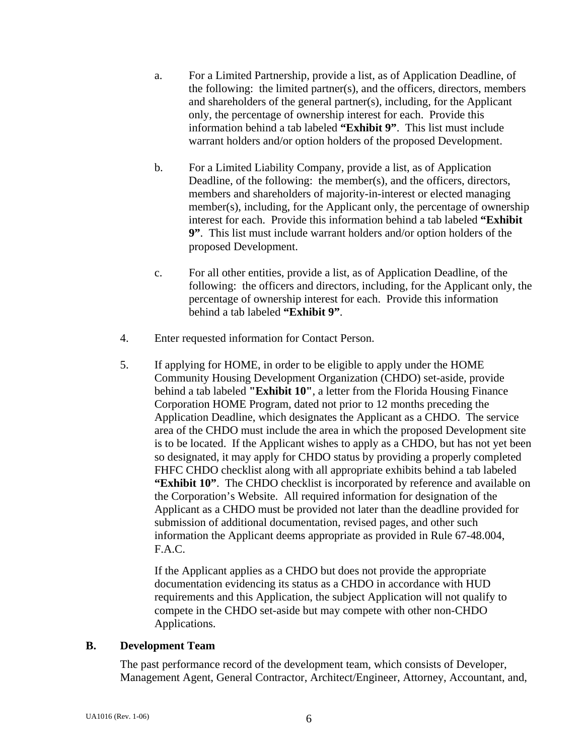- a. For a Limited Partnership, provide a list, as of Application Deadline, of the following: the limited partner(s), and the officers, directors, members and shareholders of the general partner(s), including, for the Applicant only, the percentage of ownership interest for each. Provide this information behind a tab labeled **"Exhibit 9"**. This list must include warrant holders and/or option holders of the proposed Development.
- b. For a Limited Liability Company, provide a list, as of Application Deadline, of the following: the member(s), and the officers, directors, members and shareholders of majority-in-interest or elected managing member(s), including, for the Applicant only, the percentage of ownership interest for each. Provide this information behind a tab labeled **"Exhibit 9"**. This list must include warrant holders and/or option holders of the proposed Development.
- c. For all other entities, provide a list, as of Application Deadline, of the following: the officers and directors, including, for the Applicant only, the percentage of ownership interest for each. Provide this information behind a tab labeled **"Exhibit 9"**.
- 4. Enter requested information for Contact Person.
- 5. If applying for HOME, in order to be eligible to apply under the HOME Community Housing Development Organization (CHDO) set-aside, provide behind a tab labeled **"Exhibit 10"**, a letter from the Florida Housing Finance Corporation HOME Program, dated not prior to 12 months preceding the Application Deadline, which designates the Applicant as a CHDO. The service area of the CHDO must include the area in which the proposed Development site is to be located. If the Applicant wishes to apply as a CHDO, but has not yet been so designated, it may apply for CHDO status by providing a properly completed FHFC CHDO checklist along with all appropriate exhibits behind a tab labeled **"Exhibit 10"**. The CHDO checklist is incorporated by reference and available on the Corporation's Website. All required information for designation of the Applicant as a CHDO must be provided not later than the deadline provided for submission of additional documentation, revised pages, and other such information the Applicant deems appropriate as provided in Rule 67-48.004, F.A.C.

 If the Applicant applies as a CHDO but does not provide the appropriate documentation evidencing its status as a CHDO in accordance with HUD requirements and this Application, the subject Application will not qualify to compete in the CHDO set-aside but may compete with other non-CHDO Applications.

#### **B. Development Team**

 The past performance record of the development team, which consists of Developer, Management Agent, General Contractor, Architect/Engineer, Attorney, Accountant, and,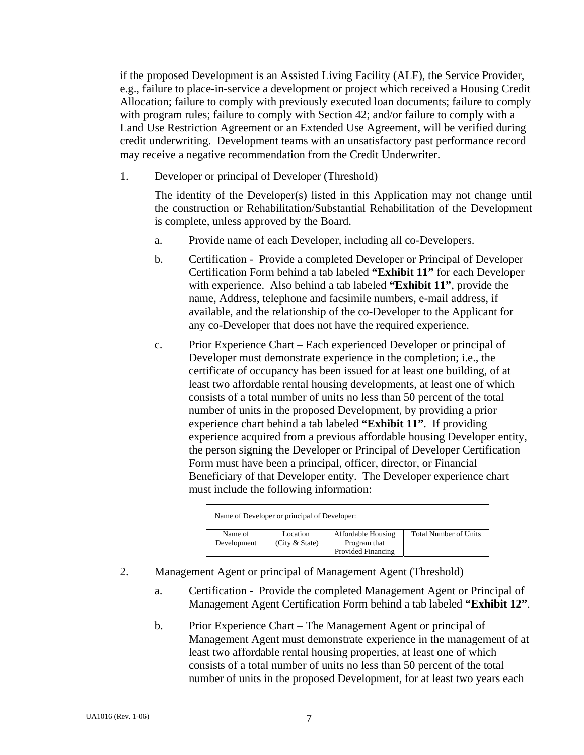if the proposed Development is an Assisted Living Facility (ALF), the Service Provider, e.g., failure to place-in-service a development or project which received a Housing Credit Allocation; failure to comply with previously executed loan documents; failure to comply with program rules; failure to comply with Section 42; and/or failure to comply with a Land Use Restriction Agreement or an Extended Use Agreement, will be verified during credit underwriting. Development teams with an unsatisfactory past performance record may receive a negative recommendation from the Credit Underwriter.

1. Developer or principal of Developer (Threshold)

 The identity of the Developer(s) listed in this Application may not change until the construction or Rehabilitation/Substantial Rehabilitation of the Development is complete, unless approved by the Board.

- a. Provide name of each Developer, including all co-Developers.
- b. Certification Provide a completed Developer or Principal of Developer Certification Form behind a tab labeled **"Exhibit 11"** for each Developer with experience. Also behind a tab labeled **"Exhibit 11"**, provide the name, Address, telephone and facsimile numbers, e-mail address, if available, and the relationship of the co-Developer to the Applicant for any co-Developer that does not have the required experience.
- c. Prior Experience Chart Each experienced Developer or principal of Developer must demonstrate experience in the completion; i.e., the certificate of occupancy has been issued for at least one building, of at least two affordable rental housing developments, at least one of which consists of a total number of units no less than 50 percent of the total number of units in the proposed Development, by providing a prior experience chart behind a tab labeled **"Exhibit 11"**. If providing experience acquired from a previous affordable housing Developer entity, the person signing the Developer or Principal of Developer Certification Form must have been a principal, officer, director, or Financial Beneficiary of that Developer entity. The Developer experience chart must include the following information:

|             | Name of Developer or principal of Developer: |                           |                              |
|-------------|----------------------------------------------|---------------------------|------------------------------|
| Name of     | Location                                     | <b>Affordable Housing</b> | <b>Total Number of Units</b> |
| Development | (City & State)                               | Program that              |                              |
|             |                                              | Provided Financing        |                              |

- 2. Management Agent or principal of Management Agent (Threshold)
	- a. Certification Provide the completed Management Agent or Principal of Management Agent Certification Form behind a tab labeled **"Exhibit 12"**.
	- b. Prior Experience Chart The Management Agent or principal of Management Agent must demonstrate experience in the management of at least two affordable rental housing properties, at least one of which consists of a total number of units no less than 50 percent of the total number of units in the proposed Development, for at least two years each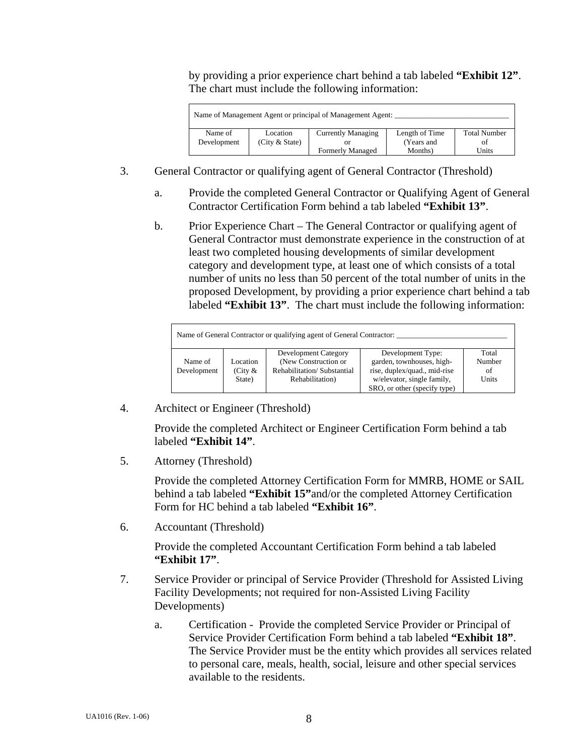by providing a prior experience chart behind a tab labeled **"Exhibit 12"**. The chart must include the following information:

|             |                  | Name of Management Agent or principal of Management Agent: |                |                     |
|-------------|------------------|------------------------------------------------------------|----------------|---------------------|
| Name of     | Location         | <b>Currently Managing</b>                                  | Length of Time | <b>Total Number</b> |
| Development | (City $&$ State) |                                                            | (Years and     | Οİ                  |
|             |                  | <b>Formerly Managed</b>                                    | Months)        | Units               |

- 3. General Contractor or qualifying agent of General Contractor (Threshold)
	- a. Provide the completed General Contractor or Qualifying Agent of General Contractor Certification Form behind a tab labeled **"Exhibit 13"**.
	- b. Prior Experience Chart The General Contractor or qualifying agent of General Contractor must demonstrate experience in the construction of at least two completed housing developments of similar development category and development type, at least one of which consists of a total number of units no less than 50 percent of the total number of units in the proposed Development, by providing a prior experience chart behind a tab labeled **"Exhibit 13"**. The chart must include the following information:

|             |            | Name of General Contractor or qualifying agent of General Contractor: |                              |        |
|-------------|------------|-----------------------------------------------------------------------|------------------------------|--------|
|             |            | Development Category                                                  | Development Type:            | Total  |
| Name of     | Location   | (New Construction or                                                  | garden, townhouses, high-    | Number |
| Development | (City $\&$ | Rehabilitation/Substantial                                            | rise, duplex/quad., mid-rise | of     |
|             | State)     | Rehabilitation)                                                       | w/elevator, single family,   | Units  |
|             |            |                                                                       | SRO, or other (specify type) |        |

4. Architect or Engineer (Threshold)

Provide the completed Architect or Engineer Certification Form behind a tab labeled **"Exhibit 14"**.

5. Attorney (Threshold)

 Provide the completed Attorney Certification Form for MMRB, HOME or SAIL behind a tab labeled **"Exhibit 15"**and/or the completed Attorney Certification Form for HC behind a tab labeled **"Exhibit 16"**.

6. Accountant (Threshold)

 Provide the completed Accountant Certification Form behind a tab labeled **"Exhibit 17"**.

- 7. Service Provider or principal of Service Provider (Threshold for Assisted Living Facility Developments; not required for non-Assisted Living Facility Developments)
	- a. Certification Provide the completed Service Provider or Principal of Service Provider Certification Form behind a tab labeled **"Exhibit 18"**. The Service Provider must be the entity which provides all services related to personal care, meals, health, social, leisure and other special services available to the residents.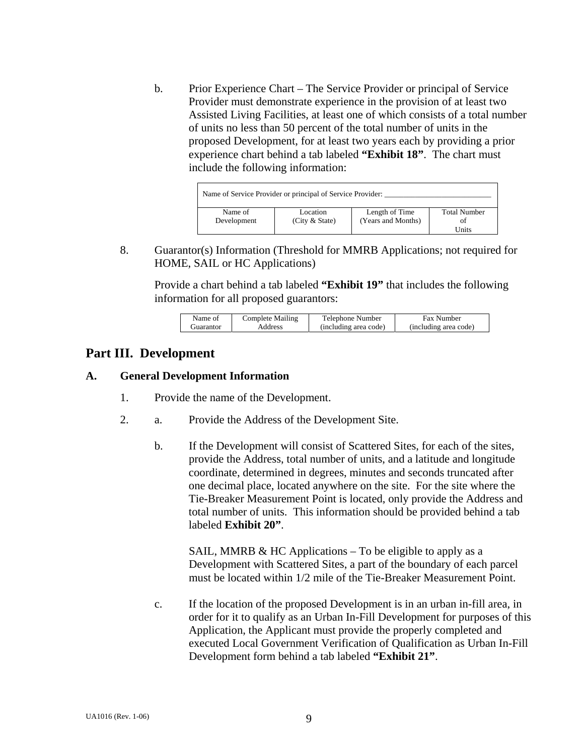b. Prior Experience Chart – The Service Provider or principal of Service Provider must demonstrate experience in the provision of at least two Assisted Living Facilities, at least one of which consists of a total number of units no less than 50 percent of the total number of units in the proposed Development, for at least two years each by providing a prior experience chart behind a tab labeled **"Exhibit 18"**. The chart must include the following information:

|             | Name of Service Provider or principal of Service Provider: |                    |                     |
|-------------|------------------------------------------------------------|--------------------|---------------------|
| Name of     | Location                                                   | Length of Time     | <b>Total Number</b> |
| Development | (City & State)                                             | (Years and Months) | ΩŤ                  |
|             |                                                            |                    | Units               |

 8. Guarantor(s) Information (Threshold for MMRB Applications; not required for HOME, SAIL or HC Applications)

Provide a chart behind a tab labeled **"Exhibit 19"** that includes the following information for all proposed guarantors:

| Name of    | Complete Mailing | Telephone Number      | <b>Fax Number</b>     |
|------------|------------------|-----------------------|-----------------------|
| Guarantor) | Address          | (including area code) | (including area code) |

### **Part III. Development**

#### **A. General Development Information**

- 1. Provide the name of the Development.
- 2. a. Provide the Address of the Development Site.
	- b. If the Development will consist of Scattered Sites, for each of the sites, provide the Address, total number of units, and a latitude and longitude coordinate, determined in degrees, minutes and seconds truncated after one decimal place, located anywhere on the site. For the site where the Tie-Breaker Measurement Point is located, only provide the Address and total number of units. This information should be provided behind a tab labeled **Exhibit 20"**.

SAIL, MMRB  $&$  HC Applications – To be eligible to apply as a Development with Scattered Sites, a part of the boundary of each parcel must be located within 1/2 mile of the Tie-Breaker Measurement Point.

 c. If the location of the proposed Development is in an urban in-fill area, in order for it to qualify as an Urban In-Fill Development for purposes of this Application, the Applicant must provide the properly completed and executed Local Government Verification of Qualification as Urban In-Fill Development form behind a tab labeled **"Exhibit 21"**.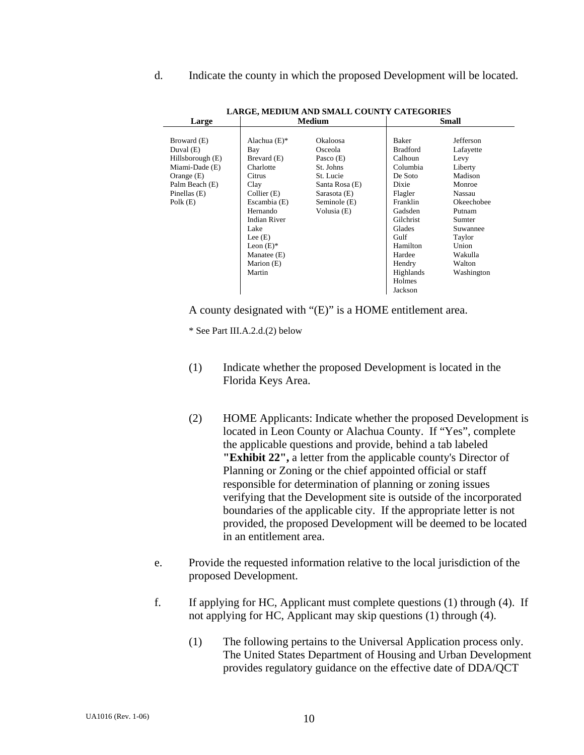d.Indicate the county in which the proposed Development will be located.

| Large            | <b>Medium</b>       |                |                 | <b>Small</b> |
|------------------|---------------------|----------------|-----------------|--------------|
|                  |                     |                |                 |              |
| Broward (E)      | Alachua $(E)$ *     | Okaloosa       | Baker           | Jefferson    |
| Duval (E)        | Bay                 | Osceola        | <b>Bradford</b> | Lafayette    |
| Hillsborough (E) | Brevard (E)         | Pasco $(E)$    | Calhoun         | Levy         |
| Miami-Dade (E)   | Charlotte           | St. Johns      | Columbia        | Liberty      |
| Orange $(E)$     | Citrus              | St. Lucie      | De Soto         | Madison      |
| Palm Beach (E)   | Clay                | Santa Rosa (E) | Dixie           | Monroe       |
| Pinellas (E)     | Collier (E)         | Sarasota (E)   | Flagler         | Nassau       |
| Polk $(E)$       | Escambia (E)        | Seminole (E)   | Franklin        | Okeechobee   |
|                  | Hernando            | Volusia (E)    | Gadsden         | Putnam       |
|                  | <b>Indian River</b> |                | Gilchrist       | Sumter       |
|                  | Lake                |                | Glades          | Suwannee     |
|                  | Lee $(E)$           |                | Gulf            | Taylor       |
|                  | Leon $(E)^*$        |                | Hamilton        | Union        |
|                  | Manatee (E)         |                | Hardee          | Wakulla      |
|                  | Marion (E)          |                | Hendry          | Walton       |
|                  | Martin              |                | Highlands       | Washington   |
|                  |                     |                | Holmes          |              |
|                  |                     |                | Jackson         |              |

**LARGE, MEDIUM AND SMALL COUNTY CATEGORIES** 

A county designated with "(E)" is a HOME entitlement area.

\* See Part III.A.2.d.(2) below

- (1) Indicate whether the proposed Development is located in the Florida Keys Area.
- (2) HOME Applicants: Indicate whether the proposed Development is located in Leon County or Alachua County. If "Yes", complete the applicable questions and provide, behind a tab labeled **"Exhibit 22",** a letter from the applicable county's Director of Planning or Zoning or the chief appointed official or staff responsible for determination of planning or zoning issues verifying that the Development site is outside of the incorporated boundaries of the applicable city. If the appropriate letter is not provided, the proposed Development will be deemed to be located in an entitlement area.
- e. Provide the requested information relative to the local jurisdiction of the proposed Development.
- f. If applying for HC, Applicant must complete questions (1) through (4). If not applying for HC, Applicant may skip questions (1) through (4).
	- (1) The following pertains to the Universal Application process only. The United States Department of Housing and Urban Development provides regulatory guidance on the effective date of DDA/QCT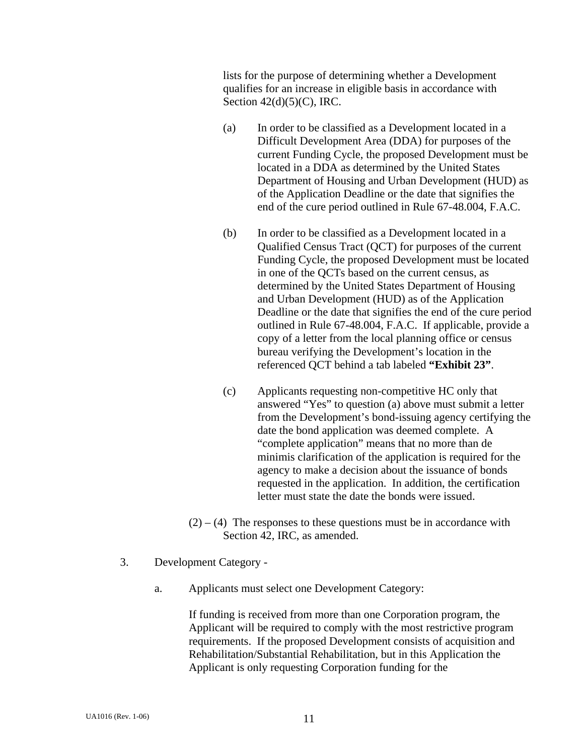lists for the purpose of determining whether a Development qualifies for an increase in eligible basis in accordance with Section  $42(d)(5)(C)$ , IRC.

- (a) In order to be classified as a Development located in a Difficult Development Area (DDA) for purposes of the current Funding Cycle, the proposed Development must be located in a DDA as determined by the United States Department of Housing and Urban Development (HUD) as of the Application Deadline or the date that signifies the end of the cure period outlined in Rule 67-48.004, F.A.C.
- (b) In order to be classified as a Development located in a Qualified Census Tract (QCT) for purposes of the current Funding Cycle, the proposed Development must be located in one of the QCTs based on the current census, as determined by the United States Department of Housing and Urban Development (HUD) as of the Application Deadline or the date that signifies the end of the cure period outlined in Rule 67-48.004, F.A.C. If applicable, provide a copy of a letter from the local planning office or census bureau verifying the Development's location in the referenced QCT behind a tab labeled **"Exhibit 23"**.
- (c) Applicants requesting non-competitive HC only that answered "Yes" to question (a) above must submit a letter from the Development's bond-issuing agency certifying the date the bond application was deemed complete. A "complete application" means that no more than de minimis clarification of the application is required for the agency to make a decision about the issuance of bonds requested in the application. In addition, the certification letter must state the date the bonds were issued.
- $(2) (4)$  The responses to these questions must be in accordance with Section 42, IRC, as amended.
- 3. Development Category
	- a. Applicants must select one Development Category:

If funding is received from more than one Corporation program, the Applicant will be required to comply with the most restrictive program requirements. If the proposed Development consists of acquisition and Rehabilitation/Substantial Rehabilitation, but in this Application the Applicant is only requesting Corporation funding for the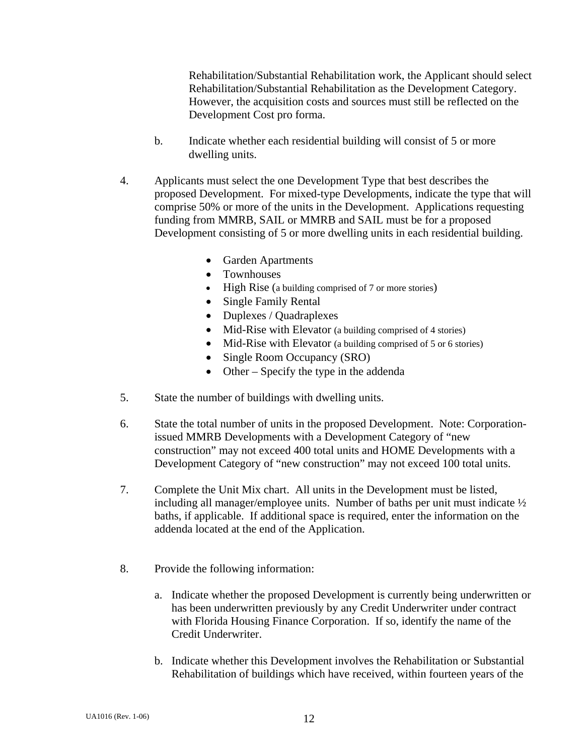Rehabilitation/Substantial Rehabilitation work, the Applicant should select Rehabilitation/Substantial Rehabilitation as the Development Category. However, the acquisition costs and sources must still be reflected on the Development Cost pro forma.

- b. Indicate whether each residential building will consist of 5 or more dwelling units.
- 4. Applicants must select the one Development Type that best describes the proposed Development. For mixed-type Developments, indicate the type that will comprise 50% or more of the units in the Development. Applications requesting funding from MMRB, SAIL or MMRB and SAIL must be for a proposed Development consisting of 5 or more dwelling units in each residential building.
	- Garden Apartments
	- Townhouses
	- High Rise (a building comprised of 7 or more stories)
	- Single Family Rental
	- Duplexes / Quadraplexes
	- Mid-Rise with Elevator (a building comprised of 4 stories)
	- Mid-Rise with Elevator (a building comprised of 5 or 6 stories)
	- Single Room Occupancy (SRO)
	- Other Specify the type in the addenda
- 5. State the number of buildings with dwelling units.
- 6. State the total number of units in the proposed Development. Note: Corporationissued MMRB Developments with a Development Category of "new construction" may not exceed 400 total units and HOME Developments with a Development Category of "new construction" may not exceed 100 total units.
- 7. Complete the Unit Mix chart. All units in the Development must be listed, including all manager/employee units. Number of baths per unit must indicate ½ baths, if applicable. If additional space is required, enter the information on the addenda located at the end of the Application.
- 8. Provide the following information:
	- a. Indicate whether the proposed Development is currently being underwritten or has been underwritten previously by any Credit Underwriter under contract with Florida Housing Finance Corporation. If so, identify the name of the Credit Underwriter.
	- b. Indicate whether this Development involves the Rehabilitation or Substantial Rehabilitation of buildings which have received, within fourteen years of the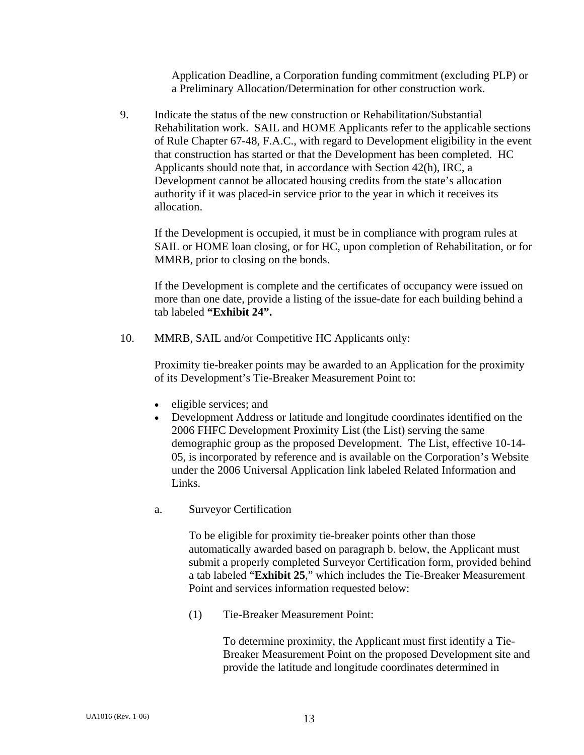Application Deadline, a Corporation funding commitment (excluding PLP) or a Preliminary Allocation/Determination for other construction work.

 9. Indicate the status of the new construction or Rehabilitation/Substantial Rehabilitation work. SAIL and HOME Applicants refer to the applicable sections of Rule Chapter 67-48, F.A.C., with regard to Development eligibility in the event that construction has started or that the Development has been completed. HC Applicants should note that, in accordance with Section 42(h), IRC, a Development cannot be allocated housing credits from the state's allocation authority if it was placed-in service prior to the year in which it receives its allocation.

 If the Development is occupied, it must be in compliance with program rules at SAIL or HOME loan closing, or for HC, upon completion of Rehabilitation, or for MMRB, prior to closing on the bonds.

 If the Development is complete and the certificates of occupancy were issued on more than one date, provide a listing of the issue-date for each building behind a tab labeled **"Exhibit 24".** 

10. MMRB, SAIL and/or Competitive HC Applicants only:

 Proximity tie-breaker points may be awarded to an Application for the proximity of its Development's Tie-Breaker Measurement Point to:

- eligible services; and
- Development Address or latitude and longitude coordinates identified on the 2006 FHFC Development Proximity List (the List) serving the same demographic group as the proposed Development. The List, effective 10-14- 05, is incorporated by reference and is available on the Corporation's Website under the 2006 Universal Application link labeled Related Information and Links.
- a. Surveyor Certification

 To be eligible for proximity tie-breaker points other than those automatically awarded based on paragraph b. below, the Applicant must submit a properly completed Surveyor Certification form, provided behind a tab labeled "**Exhibit 25**," which includes the Tie-Breaker Measurement Point and services information requested below:

(1) Tie-Breaker Measurement Point:

 To determine proximity, the Applicant must first identify a Tie-Breaker Measurement Point on the proposed Development site and provide the latitude and longitude coordinates determined in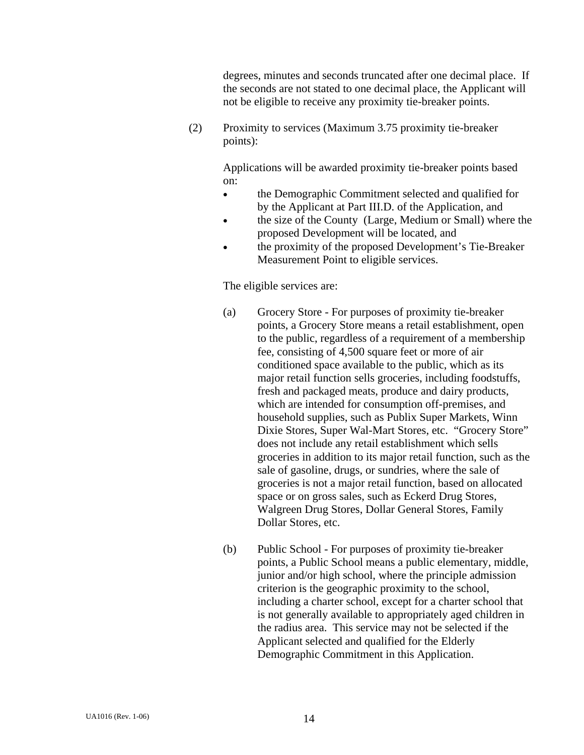degrees, minutes and seconds truncated after one decimal place. If the seconds are not stated to one decimal place, the Applicant will not be eligible to receive any proximity tie-breaker points.

 (2) Proximity to services (Maximum 3.75 proximity tie-breaker points):

> Applications will be awarded proximity tie-breaker points based on:

- the Demographic Commitment selected and qualified for by the Applicant at Part III.D. of the Application, and
- the size of the County (Large, Medium or Small) where the proposed Development will be located, and
- the proximity of the proposed Development's Tie-Breaker Measurement Point to eligible services.

### The eligible services are:

- (a) Grocery Store For purposes of proximity tie-breaker points, a Grocery Store means a retail establishment, open to the public, regardless of a requirement of a membership fee, consisting of 4,500 square feet or more of air conditioned space available to the public, which as its major retail function sells groceries, including foodstuffs, fresh and packaged meats, produce and dairy products, which are intended for consumption off-premises, and household supplies, such as Publix Super Markets, Winn Dixie Stores, Super Wal-Mart Stores, etc. "Grocery Store" does not include any retail establishment which sells groceries in addition to its major retail function, such as the sale of gasoline, drugs, or sundries, where the sale of groceries is not a major retail function, based on allocated space or on gross sales, such as Eckerd Drug Stores, Walgreen Drug Stores, Dollar General Stores, Family Dollar Stores, etc.
- (b) Public School For purposes of proximity tie-breaker points, a Public School means a public elementary, middle, junior and/or high school, where the principle admission criterion is the geographic proximity to the school, including a charter school, except for a charter school that is not generally available to appropriately aged children in the radius area. This service may not be selected if the Applicant selected and qualified for the Elderly Demographic Commitment in this Application.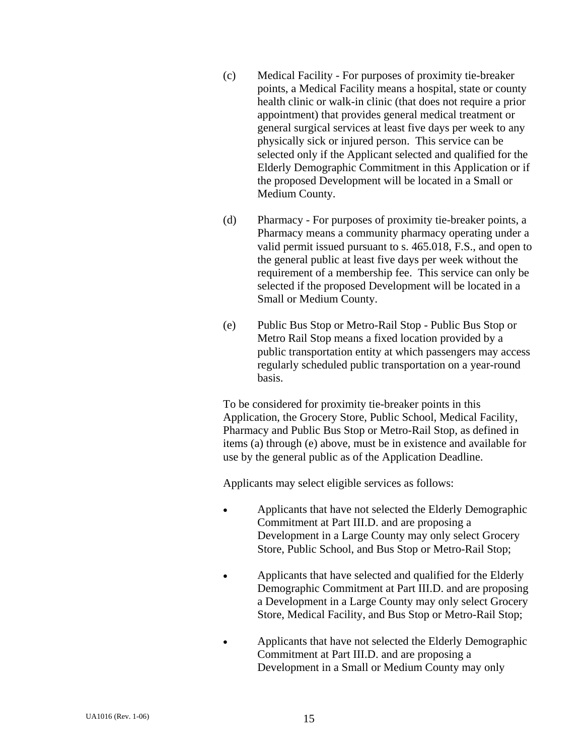- (c) Medical Facility For purposes of proximity tie-breaker points, a Medical Facility means a hospital, state or county health clinic or walk-in clinic (that does not require a prior appointment) that provides general medical treatment or general surgical services at least five days per week to any physically sick or injured person. This service can be selected only if the Applicant selected and qualified for the Elderly Demographic Commitment in this Application or if the proposed Development will be located in a Small or Medium County.
- (d) Pharmacy For purposes of proximity tie-breaker points, a Pharmacy means a community pharmacy operating under a valid permit issued pursuant to s. 465.018, F.S., and open to the general public at least five days per week without the requirement of a membership fee. This service can only be selected if the proposed Development will be located in a Small or Medium County.
- (e) Public Bus Stop or Metro-Rail Stop Public Bus Stop or Metro Rail Stop means a fixed location provided by a public transportation entity at which passengers may access regularly scheduled public transportation on a year-round basis.

 To be considered for proximity tie-breaker points in this Application, the Grocery Store, Public School, Medical Facility, Pharmacy and Public Bus Stop or Metro-Rail Stop, as defined in items (a) through (e) above, must be in existence and available for use by the general public as of the Application Deadline.

Applicants may select eligible services as follows:

- Applicants that have not selected the Elderly Demographic Commitment at Part III.D. and are proposing a Development in a Large County may only select Grocery Store, Public School, and Bus Stop or Metro-Rail Stop;
- Applicants that have selected and qualified for the Elderly Demographic Commitment at Part III.D. and are proposing a Development in a Large County may only select Grocery Store, Medical Facility, and Bus Stop or Metro-Rail Stop;
- Applicants that have not selected the Elderly Demographic Commitment at Part III.D. and are proposing a Development in a Small or Medium County may only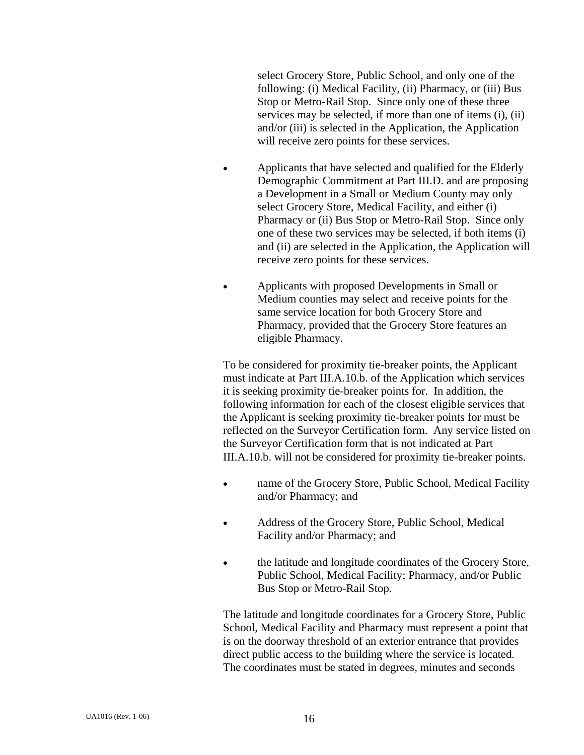select Grocery Store, Public School, and only one of the following: (i) Medical Facility, (ii) Pharmacy, or (iii) Bus Stop or Metro-Rail Stop. Since only one of these three services may be selected, if more than one of items (i), (ii) and/or (iii) is selected in the Application, the Application will receive zero points for these services.

- Applicants that have selected and qualified for the Elderly Demographic Commitment at Part III.D. and are proposing a Development in a Small or Medium County may only select Grocery Store, Medical Facility, and either (i) Pharmacy or (ii) Bus Stop or Metro-Rail Stop. Since only one of these two services may be selected, if both items (i) and (ii) are selected in the Application, the Application will receive zero points for these services.
- Applicants with proposed Developments in Small or Medium counties may select and receive points for the same service location for both Grocery Store and Pharmacy, provided that the Grocery Store features an eligible Pharmacy.

 To be considered for proximity tie-breaker points, the Applicant must indicate at Part III.A.10.b. of the Application which services it is seeking proximity tie-breaker points for. In addition, the following information for each of the closest eligible services that the Applicant is seeking proximity tie-breaker points for must be reflected on the Surveyor Certification form. Any service listed on the Surveyor Certification form that is not indicated at Part III.A.10.b. will not be considered for proximity tie-breaker points.

- name of the Grocery Store, Public School, Medical Facility and/or Pharmacy; and
- Address of the Grocery Store, Public School, Medical Facility and/or Pharmacy; and
- the latitude and longitude coordinates of the Grocery Store, Public School, Medical Facility; Pharmacy, and/or Public Bus Stop or Metro-Rail Stop.

 The latitude and longitude coordinates for a Grocery Store, Public School, Medical Facility and Pharmacy must represent a point that is on the doorway threshold of an exterior entrance that provides direct public access to the building where the service is located. The coordinates must be stated in degrees, minutes and seconds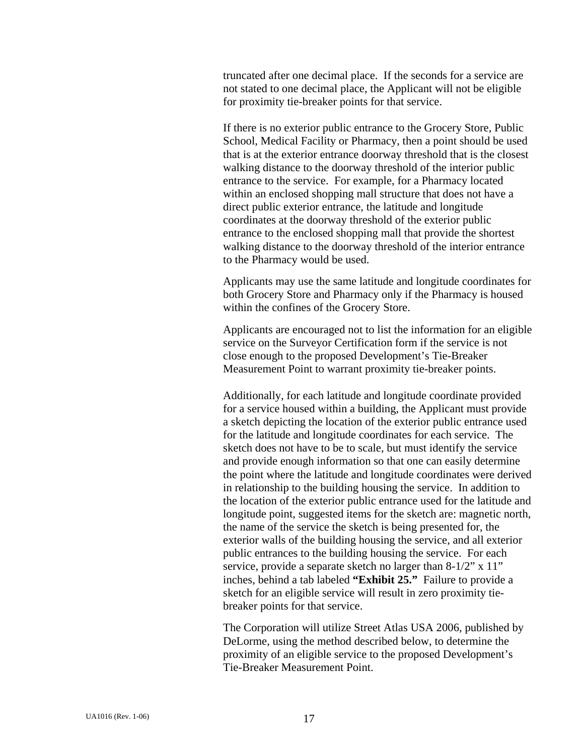truncated after one decimal place. If the seconds for a service are not stated to one decimal place, the Applicant will not be eligible for proximity tie-breaker points for that service.

 If there is no exterior public entrance to the Grocery Store, Public School, Medical Facility or Pharmacy, then a point should be used that is at the exterior entrance doorway threshold that is the closest walking distance to the doorway threshold of the interior public entrance to the service. For example, for a Pharmacy located within an enclosed shopping mall structure that does not have a direct public exterior entrance, the latitude and longitude coordinates at the doorway threshold of the exterior public entrance to the enclosed shopping mall that provide the shortest walking distance to the doorway threshold of the interior entrance to the Pharmacy would be used.

Applicants may use the same latitude and longitude coordinates for both Grocery Store and Pharmacy only if the Pharmacy is housed within the confines of the Grocery Store.

Applicants are encouraged not to list the information for an eligible service on the Surveyor Certification form if the service is not close enough to the proposed Development's Tie-Breaker Measurement Point to warrant proximity tie-breaker points.

Additionally, for each latitude and longitude coordinate provided for a service housed within a building, the Applicant must provide a sketch depicting the location of the exterior public entrance used for the latitude and longitude coordinates for each service. The sketch does not have to be to scale, but must identify the service and provide enough information so that one can easily determine the point where the latitude and longitude coordinates were derived in relationship to the building housing the service. In addition to the location of the exterior public entrance used for the latitude and longitude point, suggested items for the sketch are: magnetic north, the name of the service the sketch is being presented for, the exterior walls of the building housing the service, and all exterior public entrances to the building housing the service. For each service, provide a separate sketch no larger than 8-1/2" x 11" inches, behind a tab labeled **"Exhibit 25."** Failure to provide a sketch for an eligible service will result in zero proximity tiebreaker points for that service.

 The Corporation will utilize Street Atlas USA 2006, published by DeLorme, using the method described below, to determine the proximity of an eligible service to the proposed Development's Tie-Breaker Measurement Point.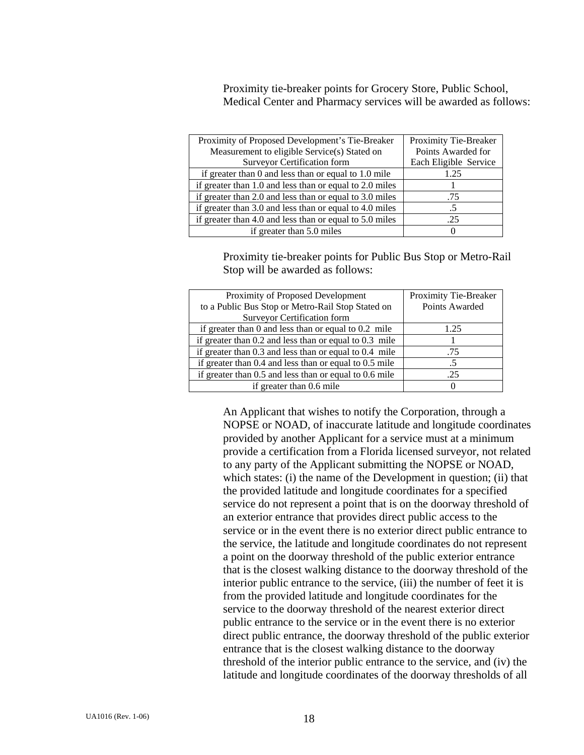Proximity tie-breaker points for Grocery Store, Public School, Medical Center and Pharmacy services will be awarded as follows:

| Proximity of Proposed Development's Tie-Breaker          | Proximity Tie-Breaker |
|----------------------------------------------------------|-----------------------|
| Measurement to eligible Service(s) Stated on             | Points Awarded for    |
| <b>Surveyor Certification form</b>                       | Each Eligible Service |
| if greater than $0$ and less than or equal to $1.0$ mile | 1.25                  |
| if greater than 1.0 and less than or equal to 2.0 miles  |                       |
| if greater than 2.0 and less than or equal to 3.0 miles  | .75                   |
| if greater than 3.0 and less than or equal to 4.0 miles  |                       |
| if greater than 4.0 and less than or equal to 5.0 miles  | -25                   |
| if greater than 5.0 miles                                |                       |

 Proximity tie-breaker points for Public Bus Stop or Metro-Rail Stop will be awarded as follows:

| Proximity of Proposed Development                          | Proximity Tie-Breaker |
|------------------------------------------------------------|-----------------------|
| to a Public Bus Stop or Metro-Rail Stop Stated on          | Points Awarded        |
| <b>Surveyor Certification form</b>                         |                       |
| if greater than $0$ and less than or equal to $0.2$ mile   | 1.25                  |
| if greater than $0.2$ and less than or equal to $0.3$ mile |                       |
| if greater than $0.3$ and less than or equal to $0.4$ mile | .75                   |
| if greater than $0.4$ and less than or equal to $0.5$ mile |                       |
| if greater than $0.5$ and less than or equal to $0.6$ mile | .25                   |
| if greater than 0.6 mile                                   |                       |

 An Applicant that wishes to notify the Corporation, through a NOPSE or NOAD, of inaccurate latitude and longitude coordinates provided by another Applicant for a service must at a minimum provide a certification from a Florida licensed surveyor, not related to any party of the Applicant submitting the NOPSE or NOAD, which states: (i) the name of the Development in question; (ii) that the provided latitude and longitude coordinates for a specified service do not represent a point that is on the doorway threshold of an exterior entrance that provides direct public access to the service or in the event there is no exterior direct public entrance to the service, the latitude and longitude coordinates do not represent a point on the doorway threshold of the public exterior entrance that is the closest walking distance to the doorway threshold of the interior public entrance to the service, (iii) the number of feet it is from the provided latitude and longitude coordinates for the service to the doorway threshold of the nearest exterior direct public entrance to the service or in the event there is no exterior direct public entrance, the doorway threshold of the public exterior entrance that is the closest walking distance to the doorway threshold of the interior public entrance to the service, and (iv) the latitude and longitude coordinates of the doorway thresholds of all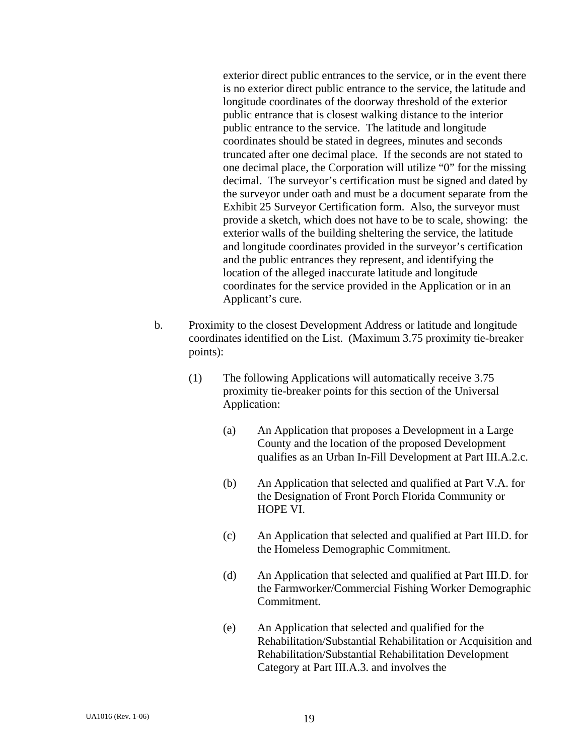exterior direct public entrances to the service, or in the event there is no exterior direct public entrance to the service, the latitude and longitude coordinates of the doorway threshold of the exterior public entrance that is closest walking distance to the interior public entrance to the service. The latitude and longitude coordinates should be stated in degrees, minutes and seconds truncated after one decimal place. If the seconds are not stated to one decimal place, the Corporation will utilize "0" for the missing decimal. The surveyor's certification must be signed and dated by the surveyor under oath and must be a document separate from the Exhibit 25 Surveyor Certification form. Also, the surveyor must provide a sketch, which does not have to be to scale, showing: the exterior walls of the building sheltering the service, the latitude and longitude coordinates provided in the surveyor's certification and the public entrances they represent, and identifying the location of the alleged inaccurate latitude and longitude coordinates for the service provided in the Application or in an Applicant's cure.

- b. Proximity to the closest Development Address or latitude and longitude coordinates identified on the List. (Maximum 3.75 proximity tie-breaker points):
	- (1) The following Applications will automatically receive 3.75 proximity tie-breaker points for this section of the Universal Application:
		- (a) An Application that proposes a Development in a Large County and the location of the proposed Development qualifies as an Urban In-Fill Development at Part III.A.2.c.
		- (b) An Application that selected and qualified at Part V.A. for the Designation of Front Porch Florida Community or HOPE VI.
		- (c) An Application that selected and qualified at Part III.D. for the Homeless Demographic Commitment.
		- (d) An Application that selected and qualified at Part III.D. for the Farmworker/Commercial Fishing Worker Demographic Commitment.
		- (e) An Application that selected and qualified for the Rehabilitation/Substantial Rehabilitation or Acquisition and Rehabilitation/Substantial Rehabilitation Development Category at Part III.A.3. and involves the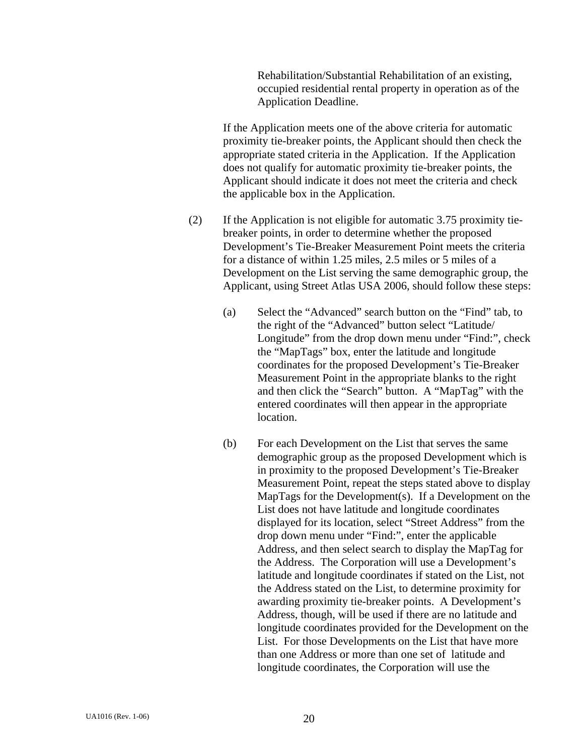Rehabilitation/Substantial Rehabilitation of an existing, occupied residential rental property in operation as of the Application Deadline.

 If the Application meets one of the above criteria for automatic proximity tie-breaker points, the Applicant should then check the appropriate stated criteria in the Application. If the Application does not qualify for automatic proximity tie-breaker points, the Applicant should indicate it does not meet the criteria and check the applicable box in the Application.

- (2) If the Application is not eligible for automatic 3.75 proximity tiebreaker points, in order to determine whether the proposed Development's Tie-Breaker Measurement Point meets the criteria for a distance of within 1.25 miles, 2.5 miles or 5 miles of a Development on the List serving the same demographic group, the Applicant, using Street Atlas USA 2006, should follow these steps:
	- (a) Select the "Advanced" search button on the "Find" tab, to the right of the "Advanced" button select "Latitude/ Longitude" from the drop down menu under "Find:", check the "MapTags" box, enter the latitude and longitude coordinates for the proposed Development's Tie-Breaker Measurement Point in the appropriate blanks to the right and then click the "Search" button. A "MapTag" with the entered coordinates will then appear in the appropriate location.
	- (b) For each Development on the List that serves the same demographic group as the proposed Development which is in proximity to the proposed Development's Tie-Breaker Measurement Point, repeat the steps stated above to display MapTags for the Development(s). If a Development on the List does not have latitude and longitude coordinates displayed for its location, select "Street Address" from the drop down menu under "Find:", enter the applicable Address, and then select search to display the MapTag for the Address. The Corporation will use a Development's latitude and longitude coordinates if stated on the List, not the Address stated on the List, to determine proximity for awarding proximity tie-breaker points. A Development's Address, though, will be used if there are no latitude and longitude coordinates provided for the Development on the List. For those Developments on the List that have more than one Address or more than one set of latitude and longitude coordinates, the Corporation will use the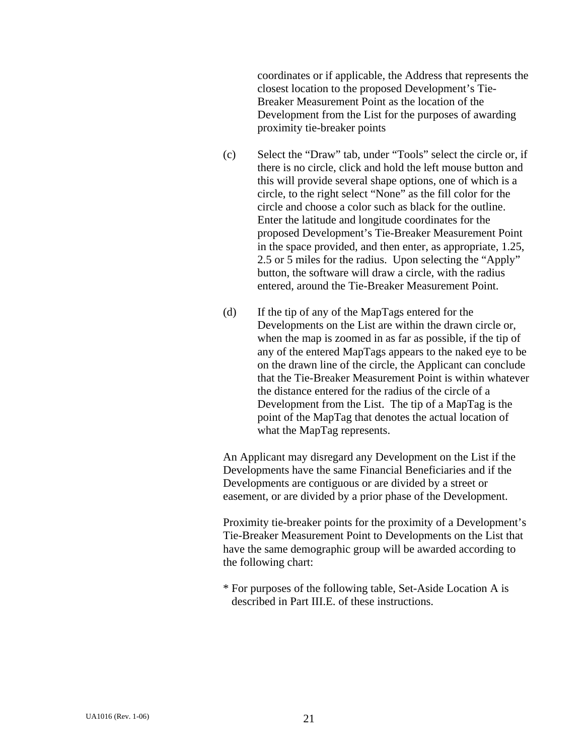coordinates or if applicable, the Address that represents the closest location to the proposed Development's Tie-Breaker Measurement Point as the location of the Development from the List for the purposes of awarding proximity tie-breaker points

- (c) Select the "Draw" tab, under "Tools" select the circle or, if there is no circle, click and hold the left mouse button and this will provide several shape options, one of which is a circle, to the right select "None" as the fill color for the circle and choose a color such as black for the outline. Enter the latitude and longitude coordinates for the proposed Development's Tie-Breaker Measurement Point in the space provided, and then enter, as appropriate, 1.25, 2.5 or 5 miles for the radius. Upon selecting the "Apply" button, the software will draw a circle, with the radius entered, around the Tie-Breaker Measurement Point.
- (d) If the tip of any of the MapTags entered for the Developments on the List are within the drawn circle or, when the map is zoomed in as far as possible, if the tip of any of the entered MapTags appears to the naked eye to be on the drawn line of the circle, the Applicant can conclude that the Tie-Breaker Measurement Point is within whatever the distance entered for the radius of the circle of a Development from the List. The tip of a MapTag is the point of the MapTag that denotes the actual location of what the MapTag represents.

 An Applicant may disregard any Development on the List if the Developments have the same Financial Beneficiaries and if the Developments are contiguous or are divided by a street or easement, or are divided by a prior phase of the Development.

 Proximity tie-breaker points for the proximity of a Development's Tie-Breaker Measurement Point to Developments on the List that have the same demographic group will be awarded according to the following chart:

 \* For purposes of the following table, Set-Aside Location A is described in Part III.E. of these instructions.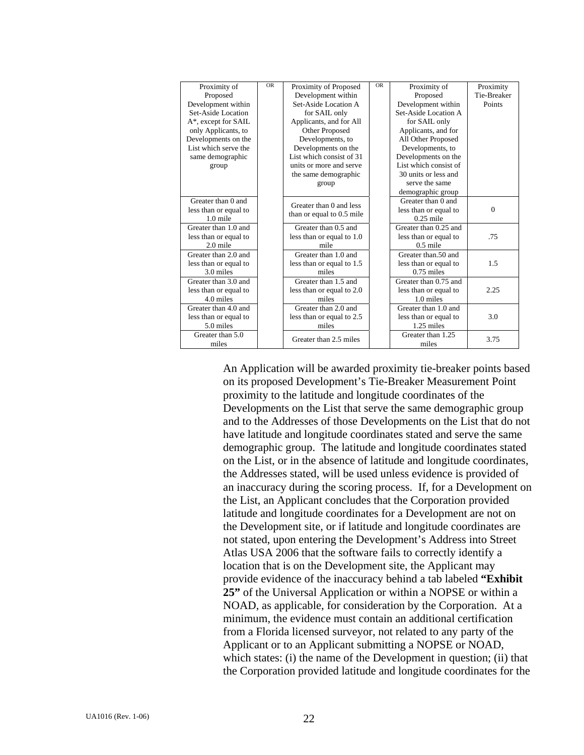| Proximity of          | <b>OR</b> | Proximity of Proposed     | <b>OR</b> | Proximity of          | Proximity   |
|-----------------------|-----------|---------------------------|-----------|-----------------------|-------------|
| Proposed              |           | Development within        |           | Proposed              | Tie-Breaker |
| Development within    |           | Set-Aside Location A      |           | Development within    | Points      |
| Set-Aside Location    |           | for SAIL only             |           | Set-Aside Location A  |             |
| A*, except for SAIL   |           | Applicants, and for All   |           | for SAIL only         |             |
| only Applicants, to   |           | Other Proposed            |           | Applicants, and for   |             |
| Developments on the   |           | Developments, to          |           | All Other Proposed    |             |
| List which serve the  |           | Developments on the       |           | Developments, to      |             |
| same demographic      |           | List which consist of 31  |           | Developments on the   |             |
| group                 |           | units or more and serve   |           | List which consist of |             |
|                       |           | the same demographic      |           | 30 units or less and  |             |
|                       |           | group                     |           | serve the same        |             |
|                       |           |                           |           | demographic group     |             |
| Greater than 0 and    |           | Greater than 0 and less   |           | Greater than 0 and    |             |
| less than or equal to |           | than or equal to 0.5 mile |           | less than or equal to | $\Omega$    |
| $1.0$ mile            |           |                           |           | $0.25$ mile           |             |
| Greater than 1.0 and  |           | Greater than 0.5 and      |           | Greater than 0.25 and |             |
| less than or equal to |           | less than or equal to 1.0 |           | less than or equal to | .75         |
| $2.0$ mile            |           | mile                      |           | $0.5$ mile            |             |
| Greater than 2.0 and  |           | Greater than 1.0 and      |           | Greater than 50 and   |             |
| less than or equal to |           | less than or equal to 1.5 |           | less than or equal to | 1.5         |
| 3.0 miles             |           | miles                     |           | $0.75$ miles          |             |
| Greater than 3.0 and  |           | Greater than 1.5 and      |           | Greater than 0.75 and |             |
| less than or equal to |           | less than or equal to 2.0 |           | less than or equal to | 2.25        |
| 4.0 miles             |           | miles                     |           | 1.0 miles             |             |
| Greater than 4.0 and  |           | Greater than 2.0 and      |           | Greater than 1.0 and  |             |
| less than or equal to |           | less than or equal to 2.5 |           | less than or equal to | 3.0         |
| 5.0 miles             |           | miles                     |           | $1.25$ miles          |             |
| Greater than 5.0      |           | Greater than 2.5 miles    |           | Greater than 1.25     | 3.75        |
| miles                 |           |                           |           | miles                 |             |

 An Application will be awarded proximity tie-breaker points based on its proposed Development's Tie-Breaker Measurement Point proximity to the latitude and longitude coordinates of the Developments on the List that serve the same demographic group and to the Addresses of those Developments on the List that do not have latitude and longitude coordinates stated and serve the same demographic group. The latitude and longitude coordinates stated on the List, or in the absence of latitude and longitude coordinates, the Addresses stated, will be used unless evidence is provided of an inaccuracy during the scoring process. If, for a Development on the List, an Applicant concludes that the Corporation provided latitude and longitude coordinates for a Development are not on the Development site, or if latitude and longitude coordinates are not stated, upon entering the Development's Address into Street Atlas USA 2006 that the software fails to correctly identify a location that is on the Development site, the Applicant may provide evidence of the inaccuracy behind a tab labeled **"Exhibit 25"** of the Universal Application or within a NOPSE or within a NOAD, as applicable, for consideration by the Corporation. At a minimum, the evidence must contain an additional certification from a Florida licensed surveyor, not related to any party of the Applicant or to an Applicant submitting a NOPSE or NOAD, which states: (i) the name of the Development in question; (ii) that the Corporation provided latitude and longitude coordinates for the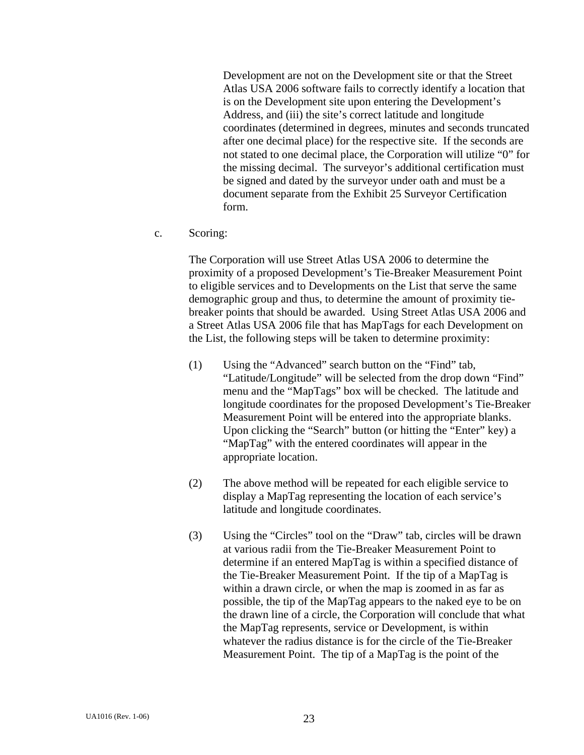Development are not on the Development site or that the Street Atlas USA 2006 software fails to correctly identify a location that is on the Development site upon entering the Development's Address, and (iii) the site's correct latitude and longitude coordinates (determined in degrees, minutes and seconds truncated after one decimal place) for the respective site. If the seconds are not stated to one decimal place, the Corporation will utilize "0" for the missing decimal. The surveyor's additional certification must be signed and dated by the surveyor under oath and must be a document separate from the Exhibit 25 Surveyor Certification form.

c. Scoring:

The Corporation will use Street Atlas USA 2006 to determine the proximity of a proposed Development's Tie-Breaker Measurement Point to eligible services and to Developments on the List that serve the same demographic group and thus, to determine the amount of proximity tiebreaker points that should be awarded. Using Street Atlas USA 2006 and a Street Atlas USA 2006 file that has MapTags for each Development on the List, the following steps will be taken to determine proximity:

- (1) Using the "Advanced" search button on the "Find" tab, "Latitude/Longitude" will be selected from the drop down "Find" menu and the "MapTags" box will be checked. The latitude and longitude coordinates for the proposed Development's Tie-Breaker Measurement Point will be entered into the appropriate blanks. Upon clicking the "Search" button (or hitting the "Enter" key) a "MapTag" with the entered coordinates will appear in the appropriate location.
- (2) The above method will be repeated for each eligible service to display a MapTag representing the location of each service's latitude and longitude coordinates.
- (3) Using the "Circles" tool on the "Draw" tab, circles will be drawn at various radii from the Tie-Breaker Measurement Point to determine if an entered MapTag is within a specified distance of the Tie-Breaker Measurement Point. If the tip of a MapTag is within a drawn circle, or when the map is zoomed in as far as possible, the tip of the MapTag appears to the naked eye to be on the drawn line of a circle, the Corporation will conclude that what the MapTag represents, service or Development, is within whatever the radius distance is for the circle of the Tie-Breaker Measurement Point. The tip of a MapTag is the point of the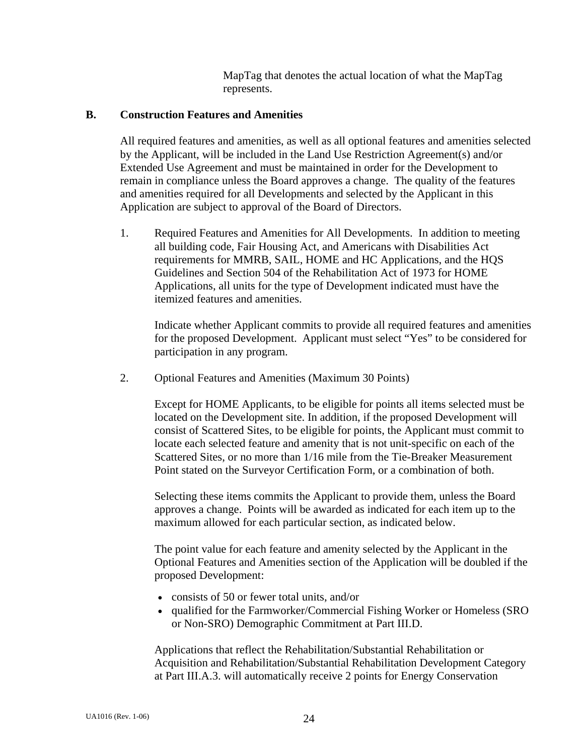MapTag that denotes the actual location of what the MapTag represents.

### **B. Construction Features and Amenities**

 All required features and amenities, as well as all optional features and amenities selected by the Applicant, will be included in the Land Use Restriction Agreement(s) and/or Extended Use Agreement and must be maintained in order for the Development to remain in compliance unless the Board approves a change. The quality of the features and amenities required for all Developments and selected by the Applicant in this Application are subject to approval of the Board of Directors.

 1. Required Features and Amenities for All Developments. In addition to meeting all building code, Fair Housing Act, and Americans with Disabilities Act requirements for MMRB, SAIL, HOME and HC Applications, and the HQS Guidelines and Section 504 of the Rehabilitation Act of 1973 for HOME Applications, all units for the type of Development indicated must have the itemized features and amenities.

 Indicate whether Applicant commits to provide all required features and amenities for the proposed Development. Applicant must select "Yes" to be considered for participation in any program.

2. Optional Features and Amenities (Maximum 30 Points)

 Except for HOME Applicants, to be eligible for points all items selected must be located on the Development site. In addition, if the proposed Development will consist of Scattered Sites, to be eligible for points, the Applicant must commit to locate each selected feature and amenity that is not unit-specific on each of the Scattered Sites, or no more than 1/16 mile from the Tie-Breaker Measurement Point stated on the Surveyor Certification Form, or a combination of both.

Selecting these items commits the Applicant to provide them, unless the Board approves a change. Points will be awarded as indicated for each item up to the maximum allowed for each particular section, as indicated below.

 The point value for each feature and amenity selected by the Applicant in the Optional Features and Amenities section of the Application will be doubled if the proposed Development:

- consists of 50 or fewer total units, and/or
- qualified for the Farmworker/Commercial Fishing Worker or Homeless (SRO or Non-SRO) Demographic Commitment at Part III.D.

Applications that reflect the Rehabilitation/Substantial Rehabilitation or Acquisition and Rehabilitation/Substantial Rehabilitation Development Category at Part III.A.3. will automatically receive 2 points for Energy Conservation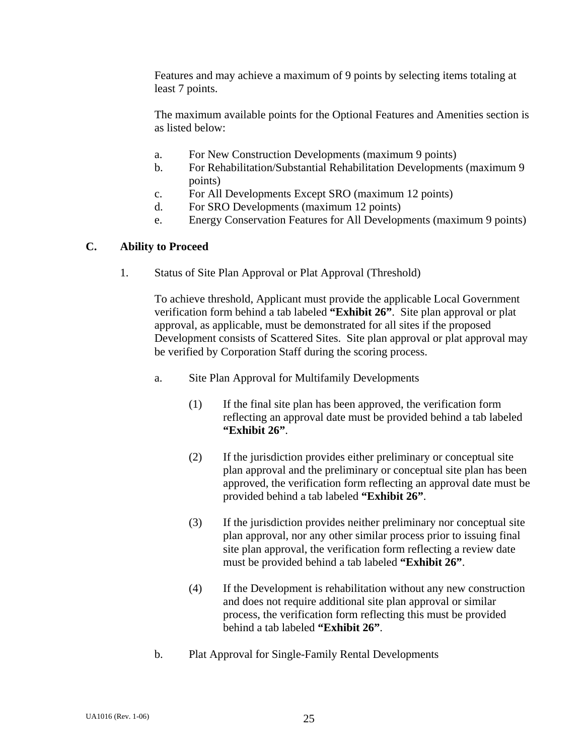Features and may achieve a maximum of 9 points by selecting items totaling at least 7 points.

 The maximum available points for the Optional Features and Amenities section is as listed below:

- a. For New Construction Developments (maximum 9 points)
- b. For Rehabilitation/Substantial Rehabilitation Developments (maximum 9 points)
- c. For All Developments Except SRO (maximum 12 points)
- d. For SRO Developments (maximum 12 points)
- e. Energy Conservation Features for All Developments (maximum 9 points)

### **C. Ability to Proceed**

1. Status of Site Plan Approval or Plat Approval (Threshold)

 To achieve threshold, Applicant must provide the applicable Local Government verification form behind a tab labeled **"Exhibit 26"**. Site plan approval or plat approval, as applicable, must be demonstrated for all sites if the proposed Development consists of Scattered Sites. Site plan approval or plat approval may be verified by Corporation Staff during the scoring process.

- a. Site Plan Approval for Multifamily Developments
	- (1) If the final site plan has been approved, the verification form reflecting an approval date must be provided behind a tab labeled **"Exhibit 26"**.
	- (2) If the jurisdiction provides either preliminary or conceptual site plan approval and the preliminary or conceptual site plan has been approved, the verification form reflecting an approval date must be provided behind a tab labeled **"Exhibit 26"**.
	- (3) If the jurisdiction provides neither preliminary nor conceptual site plan approval, nor any other similar process prior to issuing final site plan approval, the verification form reflecting a review date must be provided behind a tab labeled **"Exhibit 26"**.
	- (4) If the Development is rehabilitation without any new construction and does not require additional site plan approval or similar process, the verification form reflecting this must be provided behind a tab labeled **"Exhibit 26"**.
- b. Plat Approval for Single-Family Rental Developments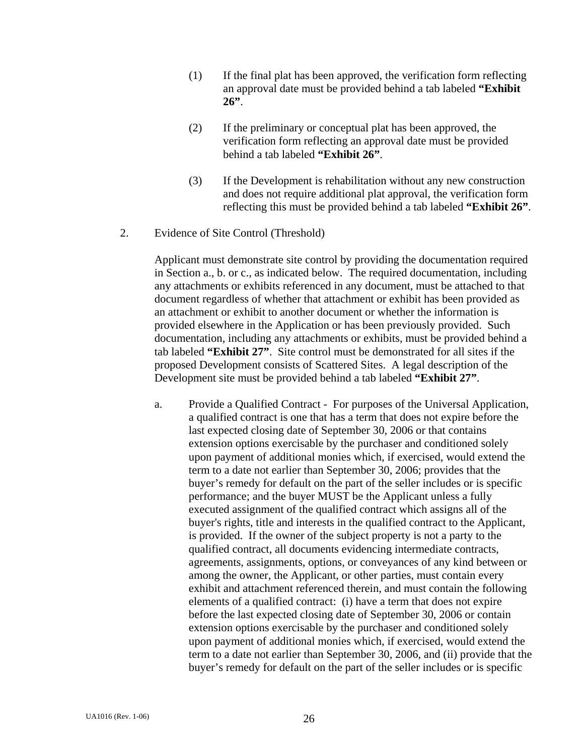- (1) If the final plat has been approved, the verification form reflecting an approval date must be provided behind a tab labeled **"Exhibit 26"**.
- (2) If the preliminary or conceptual plat has been approved, the verification form reflecting an approval date must be provided behind a tab labeled **"Exhibit 26"**.
- (3) If the Development is rehabilitation without any new construction and does not require additional plat approval, the verification form reflecting this must be provided behind a tab labeled **"Exhibit 26"**.
- 2. Evidence of Site Control (Threshold)

 Applicant must demonstrate site control by providing the documentation required in Section a., b. or c., as indicated below. The required documentation, including any attachments or exhibits referenced in any document, must be attached to that document regardless of whether that attachment or exhibit has been provided as an attachment or exhibit to another document or whether the information is provided elsewhere in the Application or has been previously provided. Such documentation, including any attachments or exhibits, must be provided behind a tab labeled **"Exhibit 27"**. Site control must be demonstrated for all sites if the proposed Development consists of Scattered Sites. A legal description of the Development site must be provided behind a tab labeled **"Exhibit 27"**.

 a. Provide a Qualified Contract - For purposes of the Universal Application, a qualified contract is one that has a term that does not expire before the last expected closing date of September 30, 2006 or that contains extension options exercisable by the purchaser and conditioned solely upon payment of additional monies which, if exercised, would extend the term to a date not earlier than September 30, 2006; provides that the buyer's remedy for default on the part of the seller includes or is specific performance; and the buyer MUST be the Applicant unless a fully executed assignment of the qualified contract which assigns all of the buyer's rights, title and interests in the qualified contract to the Applicant, is provided. If the owner of the subject property is not a party to the qualified contract, all documents evidencing intermediate contracts, agreements, assignments, options, or conveyances of any kind between or among the owner, the Applicant, or other parties, must contain every exhibit and attachment referenced therein, and must contain the following elements of a qualified contract: (i) have a term that does not expire before the last expected closing date of September 30, 2006 or contain extension options exercisable by the purchaser and conditioned solely upon payment of additional monies which, if exercised, would extend the term to a date not earlier than September 30, 2006, and (ii) provide that the buyer's remedy for default on the part of the seller includes or is specific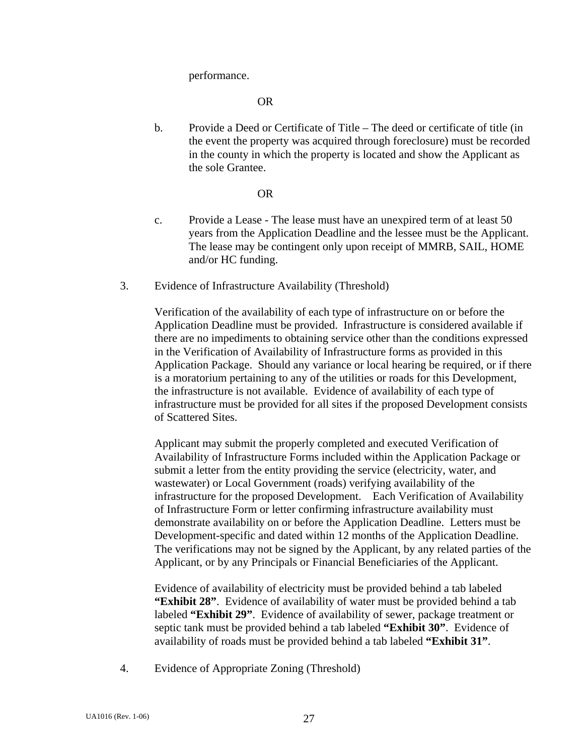performance.

OR

 b. Provide a Deed or Certificate of Title – The deed or certificate of title (in the event the property was acquired through foreclosure) must be recorded in the county in which the property is located and show the Applicant as the sole Grantee.

#### OR

- c. Provide a Lease The lease must have an unexpired term of at least 50 years from the Application Deadline and the lessee must be the Applicant. The lease may be contingent only upon receipt of MMRB, SAIL, HOME and/or HC funding.
- 3. Evidence of Infrastructure Availability (Threshold)

 Verification of the availability of each type of infrastructure on or before the Application Deadline must be provided. Infrastructure is considered available if there are no impediments to obtaining service other than the conditions expressed in the Verification of Availability of Infrastructure forms as provided in this Application Package. Should any variance or local hearing be required, or if there is a moratorium pertaining to any of the utilities or roads for this Development, the infrastructure is not available. Evidence of availability of each type of infrastructure must be provided for all sites if the proposed Development consists of Scattered Sites.

 Applicant may submit the properly completed and executed Verification of Availability of Infrastructure Forms included within the Application Package or submit a letter from the entity providing the service (electricity, water, and wastewater) or Local Government (roads) verifying availability of the infrastructure for the proposed Development. Each Verification of Availability of Infrastructure Form or letter confirming infrastructure availability must demonstrate availability on or before the Application Deadline. Letters must be Development-specific and dated within 12 months of the Application Deadline. The verifications may not be signed by the Applicant, by any related parties of the Applicant, or by any Principals or Financial Beneficiaries of the Applicant.

 Evidence of availability of electricity must be provided behind a tab labeled **"Exhibit 28"**. Evidence of availability of water must be provided behind a tab labeled **"Exhibit 29"**. Evidence of availability of sewer, package treatment or septic tank must be provided behind a tab labeled **"Exhibit 30"**. Evidence of availability of roads must be provided behind a tab labeled **"Exhibit 31"**.

4. Evidence of Appropriate Zoning (Threshold)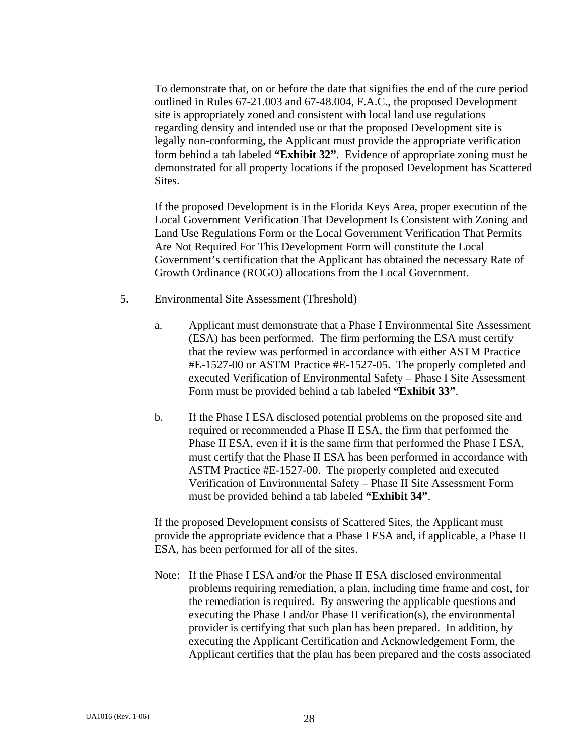To demonstrate that, on or before the date that signifies the end of the cure period outlined in Rules 67-21.003 and 67-48.004, F.A.C., the proposed Development site is appropriately zoned and consistent with local land use regulations regarding density and intended use or that the proposed Development site is legally non-conforming, the Applicant must provide the appropriate verification form behind a tab labeled **"Exhibit 32"**. Evidence of appropriate zoning must be demonstrated for all property locations if the proposed Development has Scattered Sites.

If the proposed Development is in the Florida Keys Area, proper execution of the Local Government Verification That Development Is Consistent with Zoning and Land Use Regulations Form or the Local Government Verification That Permits Are Not Required For This Development Form will constitute the Local Government's certification that the Applicant has obtained the necessary Rate of Growth Ordinance (ROGO) allocations from the Local Government.

- 5. Environmental Site Assessment (Threshold)
	- a. Applicant must demonstrate that a Phase I Environmental Site Assessment (ESA) has been performed. The firm performing the ESA must certify that the review was performed in accordance with either ASTM Practice #E-1527-00 or ASTM Practice #E-1527-05. The properly completed and executed Verification of Environmental Safety – Phase I Site Assessment Form must be provided behind a tab labeled **"Exhibit 33"**.
	- b. If the Phase I ESA disclosed potential problems on the proposed site and required or recommended a Phase II ESA, the firm that performed the Phase II ESA, even if it is the same firm that performed the Phase I ESA, must certify that the Phase II ESA has been performed in accordance with ASTM Practice #E-1527-00. The properly completed and executed Verification of Environmental Safety – Phase II Site Assessment Form must be provided behind a tab labeled **"Exhibit 34"**.

 If the proposed Development consists of Scattered Sites, the Applicant must provide the appropriate evidence that a Phase I ESA and, if applicable, a Phase II ESA, has been performed for all of the sites.

Note: If the Phase I ESA and/or the Phase II ESA disclosed environmental problems requiring remediation, a plan, including time frame and cost, for the remediation is required. By answering the applicable questions and executing the Phase I and/or Phase II verification(s), the environmental provider is certifying that such plan has been prepared. In addition, by executing the Applicant Certification and Acknowledgement Form, the Applicant certifies that the plan has been prepared and the costs associated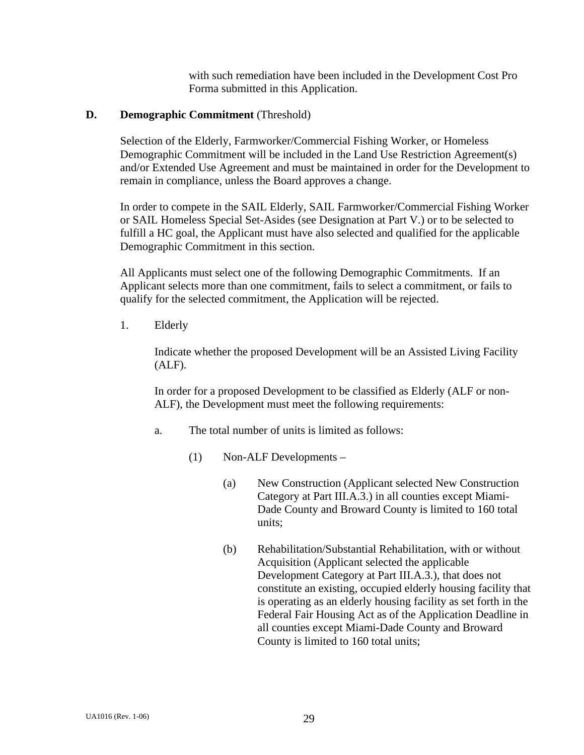with such remediation have been included in the Development Cost Pro Forma submitted in this Application.

### **D. Demographic Commitment** (Threshold)

 Selection of the Elderly, Farmworker/Commercial Fishing Worker, or Homeless Demographic Commitment will be included in the Land Use Restriction Agreement(s) and/or Extended Use Agreement and must be maintained in order for the Development to remain in compliance, unless the Board approves a change.

 In order to compete in the SAIL Elderly, SAIL Farmworker/Commercial Fishing Worker or SAIL Homeless Special Set-Asides (see Designation at Part V.) or to be selected to fulfill a HC goal, the Applicant must have also selected and qualified for the applicable Demographic Commitment in this section.

All Applicants must select one of the following Demographic Commitments. If an Applicant selects more than one commitment, fails to select a commitment, or fails to qualify for the selected commitment, the Application will be rejected.

1. Elderly

 Indicate whether the proposed Development will be an Assisted Living Facility (ALF).

 In order for a proposed Development to be classified as Elderly (ALF or non-ALF), the Development must meet the following requirements:

- a. The total number of units is limited as follows:
	- (1) Non-ALF Developments
		- (a) New Construction (Applicant selected New Construction Category at Part III.A.3.) in all counties except Miami-Dade County and Broward County is limited to 160 total units;
		- (b) Rehabilitation/Substantial Rehabilitation, with or without Acquisition (Applicant selected the applicable Development Category at Part III.A.3.), that does not constitute an existing, occupied elderly housing facility that is operating as an elderly housing facility as set forth in the Federal Fair Housing Act as of the Application Deadline in all counties except Miami-Dade County and Broward County is limited to 160 total units;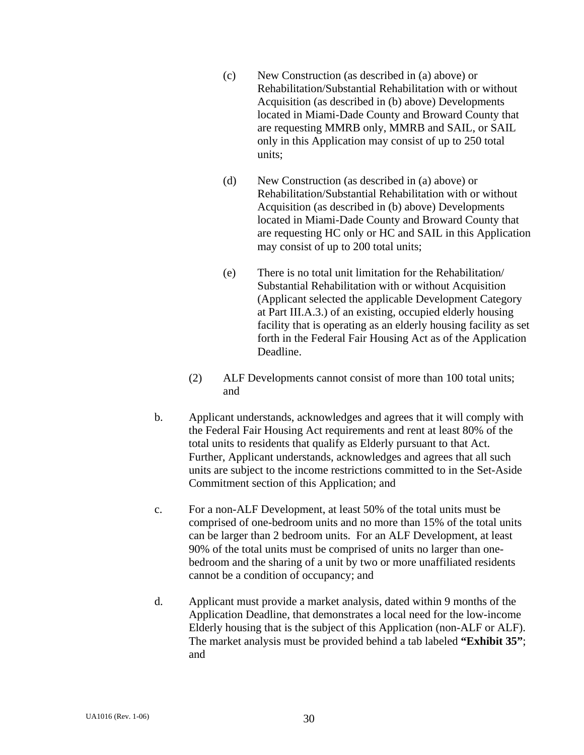- (c) New Construction (as described in (a) above) or Rehabilitation/Substantial Rehabilitation with or without Acquisition (as described in (b) above) Developments located in Miami-Dade County and Broward County that are requesting MMRB only, MMRB and SAIL, or SAIL only in this Application may consist of up to 250 total units;
- (d) New Construction (as described in (a) above) or Rehabilitation/Substantial Rehabilitation with or without Acquisition (as described in (b) above) Developments located in Miami-Dade County and Broward County that are requesting HC only or HC and SAIL in this Application may consist of up to 200 total units;
- (e) There is no total unit limitation for the Rehabilitation/ Substantial Rehabilitation with or without Acquisition (Applicant selected the applicable Development Category at Part III.A.3.) of an existing, occupied elderly housing facility that is operating as an elderly housing facility as set forth in the Federal Fair Housing Act as of the Application Deadline.
- (2) ALF Developments cannot consist of more than 100 total units; and
- b. Applicant understands, acknowledges and agrees that it will comply with the Federal Fair Housing Act requirements and rent at least 80% of the total units to residents that qualify as Elderly pursuant to that Act. Further, Applicant understands, acknowledges and agrees that all such units are subject to the income restrictions committed to in the Set-Aside Commitment section of this Application; and
- c. For a non-ALF Development, at least 50% of the total units must be comprised of one-bedroom units and no more than 15% of the total units can be larger than 2 bedroom units. For an ALF Development, at least 90% of the total units must be comprised of units no larger than onebedroom and the sharing of a unit by two or more unaffiliated residents cannot be a condition of occupancy; and
- d. Applicant must provide a market analysis, dated within 9 months of the Application Deadline, that demonstrates a local need for the low-income Elderly housing that is the subject of this Application (non-ALF or ALF). The market analysis must be provided behind a tab labeled **"Exhibit 35"**; and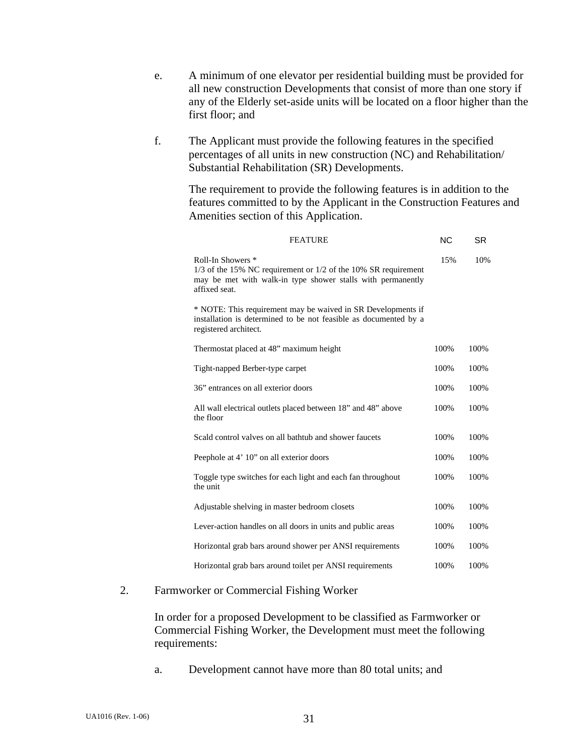- e. A minimum of one elevator per residential building must be provided for all new construction Developments that consist of more than one story if any of the Elderly set-aside units will be located on a floor higher than the first floor; and
- f. The Applicant must provide the following features in the specified percentages of all units in new construction (NC) and Rehabilitation/ Substantial Rehabilitation (SR) Developments.

The requirement to provide the following features is in addition to the features committed to by the Applicant in the Construction Features and Amenities section of this Application.

| <b>FEATURE</b>                                                                                                                                                          | <b>NC</b> | <b>SR</b> |
|-------------------------------------------------------------------------------------------------------------------------------------------------------------------------|-----------|-----------|
| Roll-In Showers *<br>$1/3$ of the 15% NC requirement or $1/2$ of the 10% SR requirement<br>may be met with walk-in type shower stalls with permanently<br>affixed seat. | 15%       | 10%       |
| * NOTE: This requirement may be waived in SR Developments if<br>installation is determined to be not feasible as documented by a<br>registered architect.               |           |           |
| Thermostat placed at 48" maximum height                                                                                                                                 | 100%      | 100%      |
| Tight-napped Berber-type carpet                                                                                                                                         | 100%      | 100%      |
| 36" entrances on all exterior doors                                                                                                                                     | 100%      | 100%      |
| All wall electrical outlets placed between 18" and 48" above<br>the floor                                                                                               | 100%      | 100%      |
| Scald control valves on all bathtub and shower faucets                                                                                                                  | 100%      | 100%      |
| Peephole at 4' 10" on all exterior doors                                                                                                                                | 100%      | 100%      |
| Toggle type switches for each light and each fan throughout<br>the unit                                                                                                 | 100%      | 100%      |
| Adjustable shelving in master bedroom closets                                                                                                                           | 100%      | 100%      |
| Lever-action handles on all doors in units and public areas                                                                                                             | 100%      | 100%      |
| Horizontal grab bars around shower per ANSI requirements                                                                                                                | 100%      | 100%      |
| Horizontal grab bars around toilet per ANSI requirements                                                                                                                | 100%      | 100%      |

#### 2. Farmworker or Commercial Fishing Worker

 In order for a proposed Development to be classified as Farmworker or Commercial Fishing Worker, the Development must meet the following requirements:

a. Development cannot have more than 80 total units; and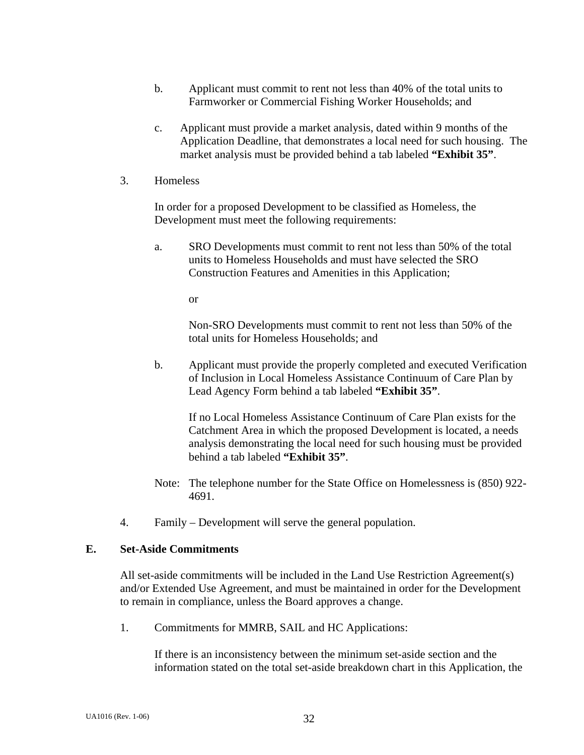- b. Applicant must commit to rent not less than 40% of the total units to Farmworker or Commercial Fishing Worker Households; and
- c. Applicant must provide a market analysis, dated within 9 months of the Application Deadline, that demonstrates a local need for such housing. The market analysis must be provided behind a tab labeled **"Exhibit 35"**.
- 3. Homeless

In order for a proposed Development to be classified as Homeless, the Development must meet the following requirements:

 a. SRO Developments must commit to rent not less than 50% of the total units to Homeless Households and must have selected the SRO Construction Features and Amenities in this Application;

or

 Non-SRO Developments must commit to rent not less than 50% of the total units for Homeless Households; and

 b. Applicant must provide the properly completed and executed Verification of Inclusion in Local Homeless Assistance Continuum of Care Plan by Lead Agency Form behind a tab labeled **"Exhibit 35"**.

 If no Local Homeless Assistance Continuum of Care Plan exists for the Catchment Area in which the proposed Development is located, a needs analysis demonstrating the local need for such housing must be provided behind a tab labeled **"Exhibit 35"**.

- Note: The telephone number for the State Office on Homelessness is (850) 922- 4691.
- 4. Family Development will serve the general population.

#### **E. Set-Aside Commitments**

 All set-aside commitments will be included in the Land Use Restriction Agreement(s) and/or Extended Use Agreement, and must be maintained in order for the Development to remain in compliance, unless the Board approves a change.

1. Commitments for MMRB, SAIL and HC Applications:

If there is an inconsistency between the minimum set-aside section and the information stated on the total set-aside breakdown chart in this Application, the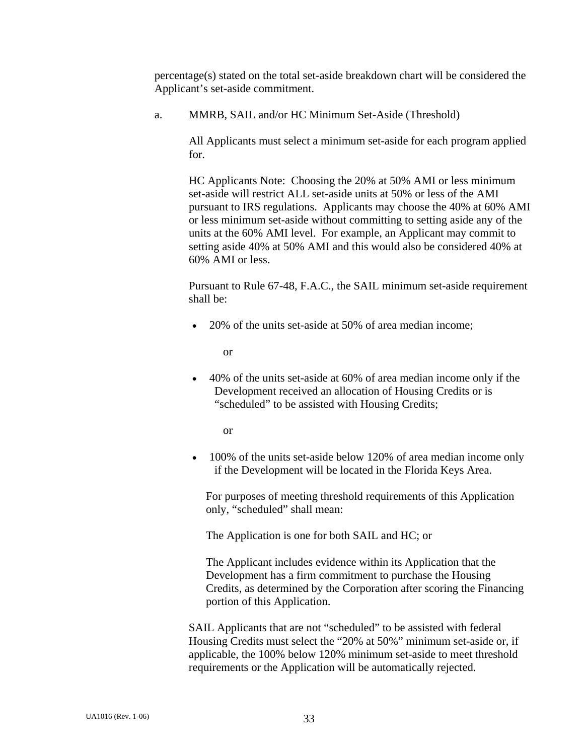percentage(s) stated on the total set-aside breakdown chart will be considered the Applicant's set-aside commitment.

a. MMRB, SAIL and/or HC Minimum Set-Aside (Threshold)

 All Applicants must select a minimum set-aside for each program applied for.

 HC Applicants Note: Choosing the 20% at 50% AMI or less minimum set-aside will restrict ALL set-aside units at 50% or less of the AMI pursuant to IRS regulations. Applicants may choose the 40% at 60% AMI or less minimum set-aside without committing to setting aside any of the units at the 60% AMI level. For example, an Applicant may commit to setting aside 40% at 50% AMI and this would also be considered 40% at 60% AMI or less.

 Pursuant to Rule 67-48, F.A.C., the SAIL minimum set-aside requirement shall be:

• 20% of the units set-aside at 50% of area median income;

or

• 40% of the units set-aside at 60% of area median income only if the Development received an allocation of Housing Credits or is "scheduled" to be assisted with Housing Credits;

or

• 100% of the units set-aside below 120% of area median income only if the Development will be located in the Florida Keys Area.

 For purposes of meeting threshold requirements of this Application only, "scheduled" shall mean:

The Application is one for both SAIL and HC; or

 The Applicant includes evidence within its Application that the Development has a firm commitment to purchase the Housing Credits, as determined by the Corporation after scoring the Financing portion of this Application.

 SAIL Applicants that are not "scheduled" to be assisted with federal Housing Credits must select the "20% at 50%" minimum set-aside or, if applicable, the 100% below 120% minimum set-aside to meet threshold requirements or the Application will be automatically rejected.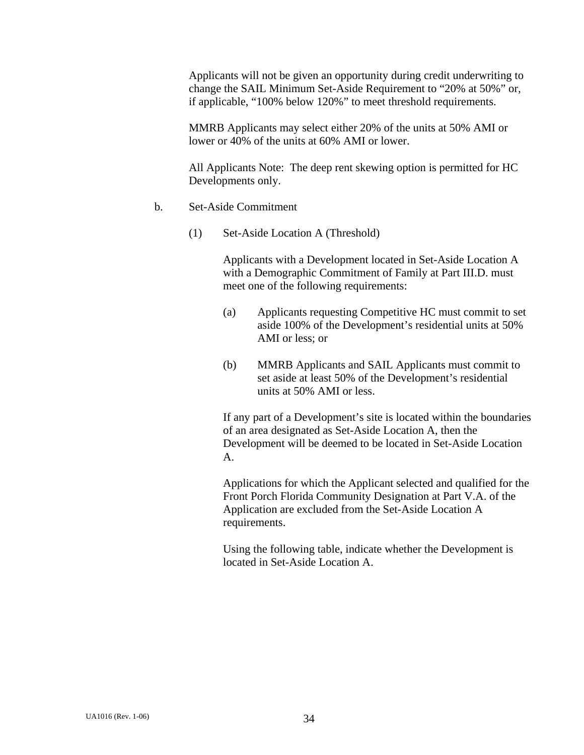Applicants will not be given an opportunity during credit underwriting to change the SAIL Minimum Set-Aside Requirement to "20% at 50%" or, if applicable, "100% below 120%" to meet threshold requirements.

MMRB Applicants may select either 20% of the units at 50% AMI or lower or 40% of the units at 60% AMI or lower.

 All Applicants Note: The deep rent skewing option is permitted for HC Developments only.

- b. Set-Aside Commitment
	- (1) Set-Aside Location A (Threshold)

 Applicants with a Development located in Set-Aside Location A with a Demographic Commitment of Family at Part III.D. must meet one of the following requirements:

- (a) Applicants requesting Competitive HC must commit to set aside 100% of the Development's residential units at 50% AMI or less; or
- (b) MMRB Applicants and SAIL Applicants must commit to set aside at least 50% of the Development's residential units at 50% AMI or less.

If any part of a Development's site is located within the boundaries of an area designated as Set-Aside Location A, then the Development will be deemed to be located in Set-Aside Location A.

 Applications for which the Applicant selected and qualified for the Front Porch Florida Community Designation at Part V.A. of the Application are excluded from the Set-Aside Location A requirements.

 Using the following table, indicate whether the Development is located in Set-Aside Location A.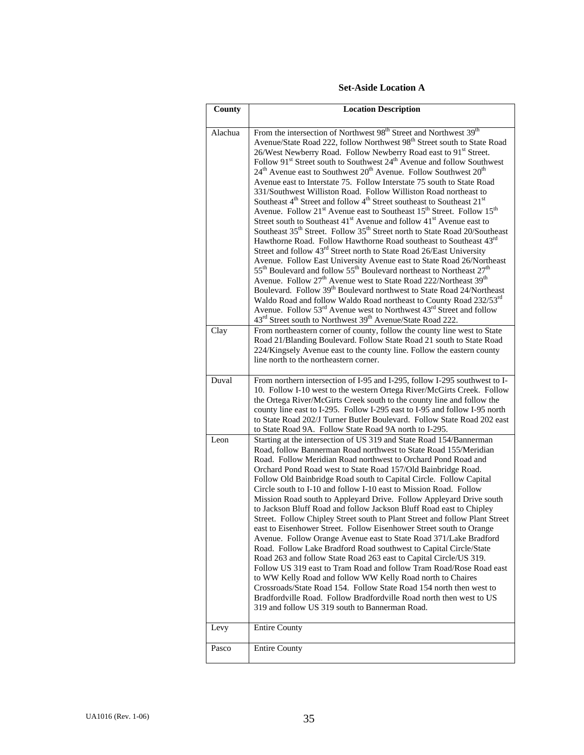#### **Set-Aside Location A**

| County          | <b>Location Description</b>                                                                                                                                                                                                                                                                                                                                                                                                                                                                                                                                                                                                                                                                                                                                                                                                                                                                                                                                                                                                                                                                                                                                                                                                                                                                                                                                                                                                                                                                                                                                                                                                                                                                                                                                                                                                                                                                                                                                                                                                                                                                                                 |
|-----------------|-----------------------------------------------------------------------------------------------------------------------------------------------------------------------------------------------------------------------------------------------------------------------------------------------------------------------------------------------------------------------------------------------------------------------------------------------------------------------------------------------------------------------------------------------------------------------------------------------------------------------------------------------------------------------------------------------------------------------------------------------------------------------------------------------------------------------------------------------------------------------------------------------------------------------------------------------------------------------------------------------------------------------------------------------------------------------------------------------------------------------------------------------------------------------------------------------------------------------------------------------------------------------------------------------------------------------------------------------------------------------------------------------------------------------------------------------------------------------------------------------------------------------------------------------------------------------------------------------------------------------------------------------------------------------------------------------------------------------------------------------------------------------------------------------------------------------------------------------------------------------------------------------------------------------------------------------------------------------------------------------------------------------------------------------------------------------------------------------------------------------------|
| Alachua<br>Clay | From the intersection of Northwest 98 <sup>th</sup> Street and Northwest 39 <sup>th</sup><br>Avenue/State Road 222, follow Northwest 98 <sup>th</sup> Street south to State Road<br>26/West Newberry Road. Follow Newberry Road east to 91 <sup>st</sup> Street.<br>Follow 91 <sup>st</sup> Street south to Southwest 24 <sup>th</sup> Avenue and follow Southwest<br>24 <sup>th</sup> Avenue east to Southwest 20 <sup>th</sup> Avenue. Follow Southwest 20 <sup>th</sup><br>Avenue east to Interstate 75. Follow Interstate 75 south to State Road<br>331/Southwest Williston Road. Follow Williston Road northeast to<br>Southeast 4 <sup>th</sup> Street and follow 4 <sup>th</sup> Street southeast to Southeast 21 <sup>st</sup><br>Avenue. Follow 21 <sup>st</sup> Avenue east to Southeast 15 <sup>th</sup> Street. Follow 15 <sup>th</sup><br>Street south to Southeast 41 <sup>st</sup> Avenue and follow 41 <sup>st</sup> Avenue east to<br>Southeast 35 <sup>th</sup> Street. Follow 35 <sup>th</sup> Street north to State Road 20/Southeast<br>Hawthorne Road. Follow Hawthorne Road southeast to Southeast 43rd<br>Street and follow 43 <sup>rd</sup> Street north to State Road 26/East University<br>Avenue. Follow East University Avenue east to State Road 26/Northeast<br>$55^{\text{th}}$ Boulevard and follow $55^{\text{th}}$ Boulevard northeast to Northeast $27^{\text{th}}$<br>Avenue. Follow 27 <sup>th</sup> Avenue west to State Road 222/Northeast 39 <sup>th</sup><br>Boulevard. Follow 39 <sup>th</sup> Boulevard northwest to State Road 24/Northeast<br>Waldo Road and follow Waldo Road northeast to County Road 232/53rd<br>Avenue. Follow 53 <sup>rd</sup> Avenue west to Northwest 43 <sup>rd</sup> Street and follow<br>43 <sup>rd</sup> Street south to Northwest 39 <sup>th</sup> Avenue/State Road 222.<br>From northeastern corner of county, follow the county line west to State<br>Road 21/Blanding Boulevard. Follow State Road 21 south to State Road<br>224/Kingsely Avenue east to the county line. Follow the eastern county<br>line north to the northeastern corner. |
| Duval           | From northern intersection of I-95 and I-295, follow I-295 southwest to I-<br>10. Follow I-10 west to the western Ortega River/McGirts Creek. Follow<br>the Ortega River/McGirts Creek south to the county line and follow the<br>county line east to I-295. Follow I-295 east to I-95 and follow I-95 north<br>to State Road 202/J Turner Butler Boulevard. Follow State Road 202 east<br>to State Road 9A. Follow State Road 9A north to I-295.                                                                                                                                                                                                                                                                                                                                                                                                                                                                                                                                                                                                                                                                                                                                                                                                                                                                                                                                                                                                                                                                                                                                                                                                                                                                                                                                                                                                                                                                                                                                                                                                                                                                           |
| Leon            | Starting at the intersection of US 319 and State Road 154/Bannerman<br>Road, follow Bannerman Road northwest to State Road 155/Meridian<br>Road. Follow Meridian Road northwest to Orchard Pond Road and<br>Orchard Pond Road west to State Road 157/Old Bainbridge Road.<br>Follow Old Bainbridge Road south to Capital Circle. Follow Capital<br>Circle south to I-10 and follow I-10 east to Mission Road. Follow<br>Mission Road south to Appleyard Drive. Follow Appleyard Drive south<br>to Jackson Bluff Road and follow Jackson Bluff Road east to Chipley<br>Street. Follow Chipley Street south to Plant Street and follow Plant Street<br>east to Eisenhower Street. Follow Eisenhower Street south to Orange<br>Avenue. Follow Orange Avenue east to State Road 371/Lake Bradford<br>Road. Follow Lake Bradford Road southwest to Capital Circle/State<br>Road 263 and follow State Road 263 east to Capital Circle/US 319.<br>Follow US 319 east to Tram Road and follow Tram Road/Rose Road east<br>to WW Kelly Road and follow WW Kelly Road north to Chaires<br>Crossroads/State Road 154. Follow State Road 154 north then west to<br>Bradfordville Road. Follow Bradfordville Road north then west to US<br>319 and follow US 319 south to Bannerman Road.                                                                                                                                                                                                                                                                                                                                                                                                                                                                                                                                                                                                                                                                                                                                                                                                                                                |
| Levy            | <b>Entire County</b>                                                                                                                                                                                                                                                                                                                                                                                                                                                                                                                                                                                                                                                                                                                                                                                                                                                                                                                                                                                                                                                                                                                                                                                                                                                                                                                                                                                                                                                                                                                                                                                                                                                                                                                                                                                                                                                                                                                                                                                                                                                                                                        |
| Pasco           | <b>Entire County</b>                                                                                                                                                                                                                                                                                                                                                                                                                                                                                                                                                                                                                                                                                                                                                                                                                                                                                                                                                                                                                                                                                                                                                                                                                                                                                                                                                                                                                                                                                                                                                                                                                                                                                                                                                                                                                                                                                                                                                                                                                                                                                                        |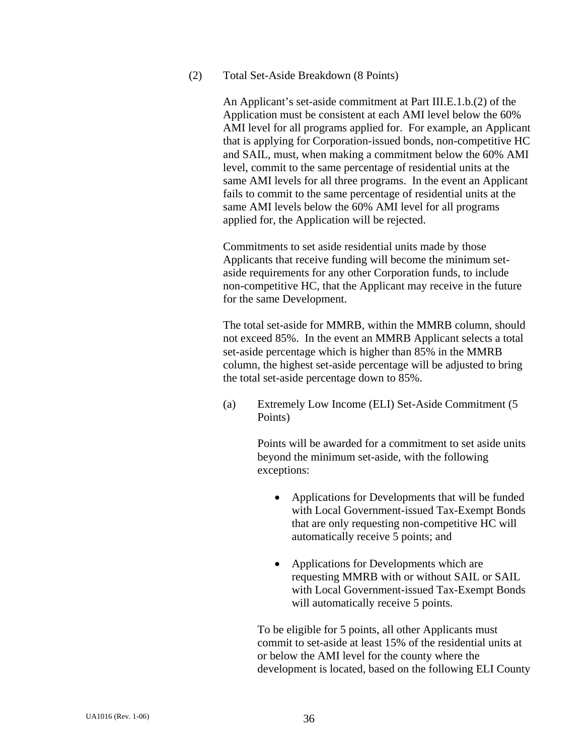#### (2) Total Set-Aside Breakdown (8 Points)

An Applicant's set-aside commitment at Part III.E.1.b.(2) of the Application must be consistent at each AMI level below the 60% AMI level for all programs applied for. For example, an Applicant that is applying for Corporation-issued bonds, non-competitive HC and SAIL, must, when making a commitment below the 60% AMI level, commit to the same percentage of residential units at the same AMI levels for all three programs. In the event an Applicant fails to commit to the same percentage of residential units at the same AMI levels below the 60% AMI level for all programs applied for, the Application will be rejected.

Commitments to set aside residential units made by those Applicants that receive funding will become the minimum setaside requirements for any other Corporation funds, to include non-competitive HC, that the Applicant may receive in the future for the same Development.

The total set-aside for MMRB, within the MMRB column, should not exceed 85%. In the event an MMRB Applicant selects a total set-aside percentage which is higher than 85% in the MMRB column, the highest set-aside percentage will be adjusted to bring the total set-aside percentage down to 85%.

 (a) Extremely Low Income (ELI) Set-Aside Commitment (5 Points)

> Points will be awarded for a commitment to set aside units beyond the minimum set-aside, with the following exceptions:

- Applications for Developments that will be funded with Local Government-issued Tax-Exempt Bonds that are only requesting non-competitive HC will automatically receive 5 points; and
- Applications for Developments which are requesting MMRB with or without SAIL or SAIL with Local Government-issued Tax-Exempt Bonds will automatically receive 5 points.

 To be eligible for 5 points, all other Applicants must commit to set-aside at least 15% of the residential units at or below the AMI level for the county where the development is located, based on the following ELI County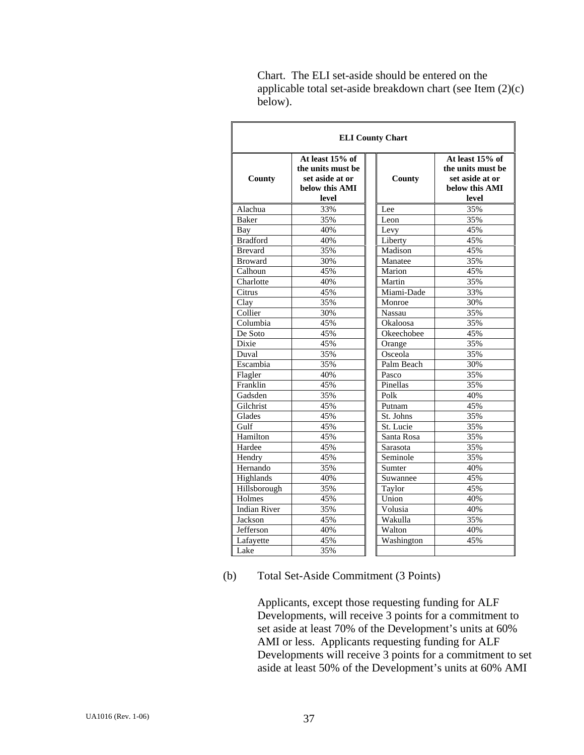| <b>ELI County Chart</b>         |                                                                                    |               |                                                                                    |  |  |
|---------------------------------|------------------------------------------------------------------------------------|---------------|------------------------------------------------------------------------------------|--|--|
| County                          | At least 15% of<br>the units must be<br>set aside at or<br>below this AMI<br>level | County        | At least 15% of<br>the units must be<br>set aside at or<br>below this AMI<br>level |  |  |
| Alachua                         | 33%                                                                                | Lee           | 35%                                                                                |  |  |
| <b>Baker</b>                    | 35%                                                                                | Leon          | 35%                                                                                |  |  |
| Bay                             | 40%                                                                                | Levy          | 45%                                                                                |  |  |
| <b>Bradford</b>                 | 40%                                                                                | Liberty       | 45%                                                                                |  |  |
| <b>Brevard</b>                  | 35%                                                                                | Madison       | 45%                                                                                |  |  |
| <b>Broward</b>                  | 30%                                                                                | Manatee       | 35%                                                                                |  |  |
| Calhoun                         | 45%                                                                                | Marion        | 45%                                                                                |  |  |
| Charlotte                       | 40%                                                                                | Martin        | 35%                                                                                |  |  |
| Citrus                          | 45%                                                                                | Miami-Dade    | 33%                                                                                |  |  |
| Clay                            | 35%                                                                                | Monroe        | 30%                                                                                |  |  |
| Collier                         | 30%                                                                                | <b>Nassau</b> | 35%                                                                                |  |  |
| $\overline{\mathrm{C}}$ olumbia | 45%                                                                                | Okaloosa      | 35%                                                                                |  |  |
| De Soto                         | 45%                                                                                | Okeechobee    | 45%                                                                                |  |  |
| Dixie                           | 45%                                                                                | Orange        | 35%                                                                                |  |  |
| Duval                           | 35%                                                                                | Osceola       | 35%                                                                                |  |  |
| Escambia                        | 35%                                                                                | Palm Beach    | 30%                                                                                |  |  |
| Flagler                         | 40%                                                                                | Pasco         | 35%                                                                                |  |  |
| Franklin                        | 45%                                                                                | Pinellas      | 35%                                                                                |  |  |
| Gadsden                         | 35%                                                                                | Polk          | 40%                                                                                |  |  |
| Gilchrist                       | 45%                                                                                | Putnam        | 45%                                                                                |  |  |
| Glades                          | 45%                                                                                | St. Johns     | 35%                                                                                |  |  |
| Gulf                            | 45%                                                                                | St. Lucie     | 35%                                                                                |  |  |
| Hamilton                        | 45%                                                                                | Santa Rosa    | 35%                                                                                |  |  |
| Hardee                          | 45%                                                                                | Sarasota      | 35%                                                                                |  |  |
| Hendry                          | 45%                                                                                | Seminole      | 35%                                                                                |  |  |
| Hernando                        | 35%                                                                                | Sumter        | 40%                                                                                |  |  |
| Highlands                       | 40%                                                                                | Suwannee      | 45%                                                                                |  |  |
| Hillsborough                    | 35%                                                                                | Taylor        | 45%                                                                                |  |  |
| Holmes                          | 45%                                                                                | Union         | 40%                                                                                |  |  |
| <b>Indian River</b>             | 35%                                                                                | Volusia       | 40%                                                                                |  |  |
| Jackson                         | 45%                                                                                | Wakulla       | 35%                                                                                |  |  |
| Jefferson                       | 40%                                                                                | Walton        | 40%                                                                                |  |  |
| Lafayette                       | 45%                                                                                | Washington    | 45%                                                                                |  |  |
| Lake                            | 35%                                                                                |               |                                                                                    |  |  |

Chart. The ELI set-aside should be entered on the applicable total set-aside breakdown chart (see Item (2)(c) below).

# (b) Total Set-Aside Commitment (3 Points)

 Applicants, except those requesting funding for ALF Developments, will receive 3 points for a commitment to set aside at least 70% of the Development's units at 60% AMI or less. Applicants requesting funding for ALF Developments will receive 3 points for a commitment to set aside at least 50% of the Development's units at 60% AMI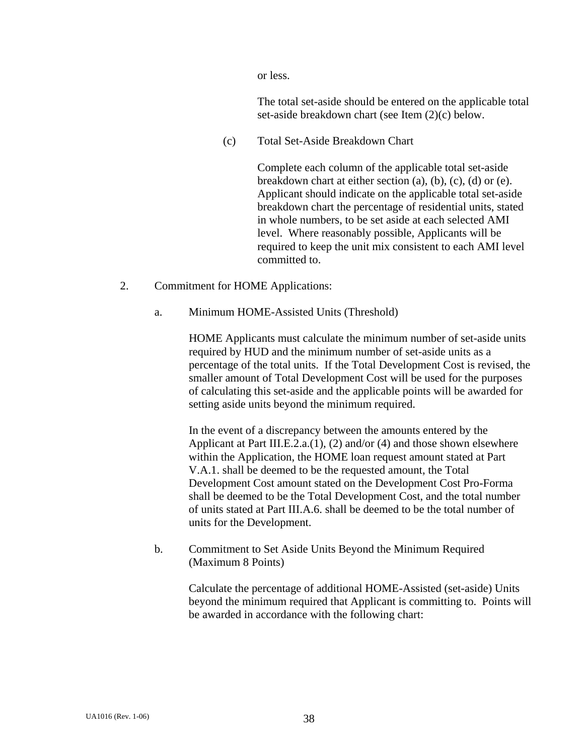or less.

 The total set-aside should be entered on the applicable total set-aside breakdown chart (see Item (2)(c) below.

(c) Total Set-Aside Breakdown Chart

Complete each column of the applicable total set-aside breakdown chart at either section (a), (b), (c), (d) or (e). Applicant should indicate on the applicable total set-aside breakdown chart the percentage of residential units, stated in whole numbers, to be set aside at each selected AMI level. Where reasonably possible, Applicants will be required to keep the unit mix consistent to each AMI level committed to.

- 2. Commitment for HOME Applications:
	- a. Minimum HOME-Assisted Units (Threshold)

 HOME Applicants must calculate the minimum number of set-aside units required by HUD and the minimum number of set-aside units as a percentage of the total units. If the Total Development Cost is revised, the smaller amount of Total Development Cost will be used for the purposes of calculating this set-aside and the applicable points will be awarded for setting aside units beyond the minimum required.

 In the event of a discrepancy between the amounts entered by the Applicant at Part III.E.2.a.(1), (2) and/or (4) and those shown elsewhere within the Application, the HOME loan request amount stated at Part V.A.1. shall be deemed to be the requested amount, the Total Development Cost amount stated on the Development Cost Pro-Forma shall be deemed to be the Total Development Cost, and the total number of units stated at Part III.A.6. shall be deemed to be the total number of units for the Development.

 b. Commitment to Set Aside Units Beyond the Minimum Required (Maximum 8 Points)

> Calculate the percentage of additional HOME-Assisted (set-aside) Units beyond the minimum required that Applicant is committing to. Points will be awarded in accordance with the following chart: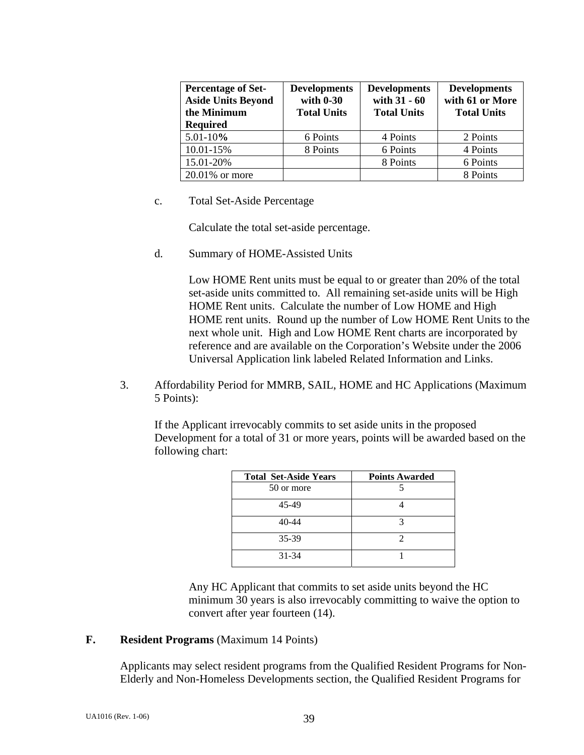| <b>Percentage of Set-</b><br><b>Aside Units Beyond</b><br>the Minimum<br><b>Required</b> | <b>Developments</b><br>with $0-30$<br><b>Total Units</b> | <b>Developments</b><br>with 31 - 60<br><b>Total Units</b> | <b>Developments</b><br>with 61 or More<br><b>Total Units</b> |
|------------------------------------------------------------------------------------------|----------------------------------------------------------|-----------------------------------------------------------|--------------------------------------------------------------|
| $5.01 - 10%$                                                                             | 6 Points                                                 | 4 Points                                                  | 2 Points                                                     |
| 10.01-15%                                                                                | 8 Points                                                 | 6 Points                                                  | 4 Points                                                     |
| 15.01-20%                                                                                |                                                          | 8 Points                                                  | 6 Points                                                     |
| $20.01\%$ or more                                                                        |                                                          |                                                           | 8 Points                                                     |

c. Total Set-Aside Percentage

Calculate the total set-aside percentage.

d. Summary of HOME-Assisted Units

 Low HOME Rent units must be equal to or greater than 20% of the total set-aside units committed to. All remaining set-aside units will be High HOME Rent units. Calculate the number of Low HOME and High HOME rent units. Round up the number of Low HOME Rent Units to the next whole unit. High and Low HOME Rent charts are incorporated by reference and are available on the Corporation's Website under the 2006 Universal Application link labeled Related Information and Links.

 3. Affordability Period for MMRB, SAIL, HOME and HC Applications (Maximum 5 Points):

If the Applicant irrevocably commits to set aside units in the proposed Development for a total of 31 or more years, points will be awarded based on the following chart:

| <b>Total Set-Aside Years</b> | <b>Points Awarded</b> |
|------------------------------|-----------------------|
| 50 or more                   |                       |
| 45-49                        |                       |
| 40-44                        |                       |
| 35-39                        |                       |
| $31 - 34$                    |                       |

 Any HC Applicant that commits to set aside units beyond the HC minimum 30 years is also irrevocably committing to waive the option to convert after year fourteen (14).

### **F. Resident Programs** (Maximum 14 Points)

Applicants may select resident programs from the Qualified Resident Programs for Non-Elderly and Non-Homeless Developments section, the Qualified Resident Programs for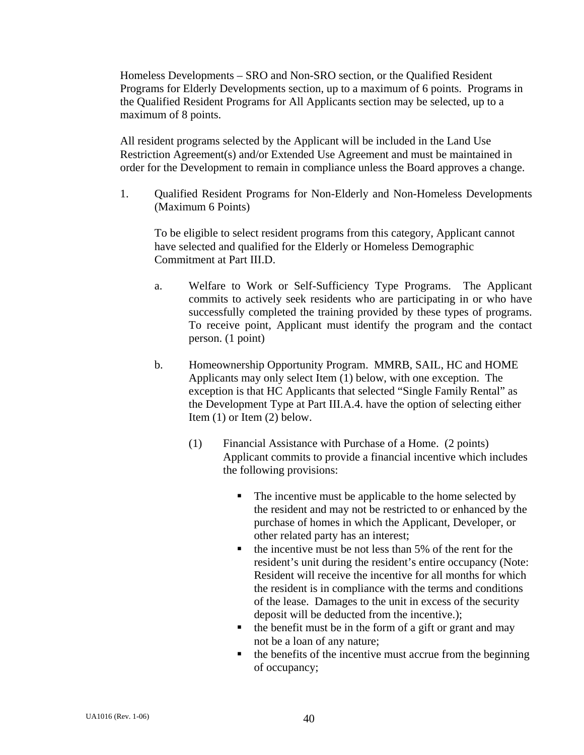Homeless Developments – SRO and Non-SRO section, or the Qualified Resident Programs for Elderly Developments section, up to a maximum of 6 points. Programs in the Qualified Resident Programs for All Applicants section may be selected, up to a maximum of 8 points.

All resident programs selected by the Applicant will be included in the Land Use Restriction Agreement(s) and/or Extended Use Agreement and must be maintained in order for the Development to remain in compliance unless the Board approves a change.

1. Qualified Resident Programs for Non-Elderly and Non-Homeless Developments (Maximum 6 Points)

To be eligible to select resident programs from this category, Applicant cannot have selected and qualified for the Elderly or Homeless Demographic Commitment at Part III.D.

- a. Welfare to Work or Self-Sufficiency Type Programs. The Applicant commits to actively seek residents who are participating in or who have successfully completed the training provided by these types of programs. To receive point, Applicant must identify the program and the contact person. (1 point)
- b. Homeownership Opportunity Program. MMRB, SAIL, HC and HOME Applicants may only select Item (1) below, with one exception. The exception is that HC Applicants that selected "Single Family Rental" as the Development Type at Part III.A.4. have the option of selecting either Item (1) or Item (2) below.
	- (1) Financial Assistance with Purchase of a Home. (2 points) Applicant commits to provide a financial incentive which includes the following provisions:
		- The incentive must be applicable to the home selected by the resident and may not be restricted to or enhanced by the purchase of homes in which the Applicant, Developer, or other related party has an interest;
		- $\blacksquare$  the incentive must be not less than 5% of the rent for the resident's unit during the resident's entire occupancy (Note: Resident will receive the incentive for all months for which the resident is in compliance with the terms and conditions of the lease. Damages to the unit in excess of the security deposit will be deducted from the incentive.);
		- $\blacksquare$  the benefit must be in the form of a gift or grant and may not be a loan of any nature;
		- $\blacksquare$  the benefits of the incentive must accrue from the beginning of occupancy;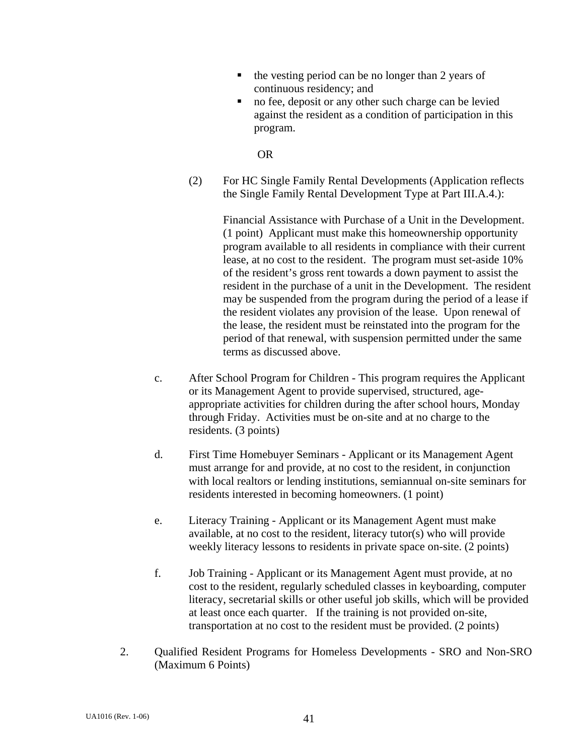- the vesting period can be no longer than 2 years of continuous residency; and
- no fee, deposit or any other such charge can be levied against the resident as a condition of participation in this program.

OR

 (2) For HC Single Family Rental Developments (Application reflects the Single Family Rental Development Type at Part III.A.4.):

> Financial Assistance with Purchase of a Unit in the Development. (1 point) Applicant must make this homeownership opportunity program available to all residents in compliance with their current lease, at no cost to the resident. The program must set-aside 10% of the resident's gross rent towards a down payment to assist the resident in the purchase of a unit in the Development. The resident may be suspended from the program during the period of a lease if the resident violates any provision of the lease. Upon renewal of the lease, the resident must be reinstated into the program for the period of that renewal, with suspension permitted under the same terms as discussed above.

- c. After School Program for Children This program requires the Applicant or its Management Agent to provide supervised, structured, ageappropriate activities for children during the after school hours, Monday through Friday. Activities must be on-site and at no charge to the residents. (3 points)
- d. First Time Homebuyer Seminars Applicant or its Management Agent must arrange for and provide, at no cost to the resident, in conjunction with local realtors or lending institutions, semiannual on-site seminars for residents interested in becoming homeowners. (1 point)
- e. Literacy Training Applicant or its Management Agent must make available, at no cost to the resident, literacy tutor(s) who will provide weekly literacy lessons to residents in private space on-site. (2 points)
- f. Job Training Applicant or its Management Agent must provide, at no cost to the resident, regularly scheduled classes in keyboarding, computer literacy, secretarial skills or other useful job skills, which will be provided at least once each quarter. If the training is not provided on-site, transportation at no cost to the resident must be provided. (2 points)
- 2. Qualified Resident Programs for Homeless Developments SRO and Non-SRO (Maximum 6 Points)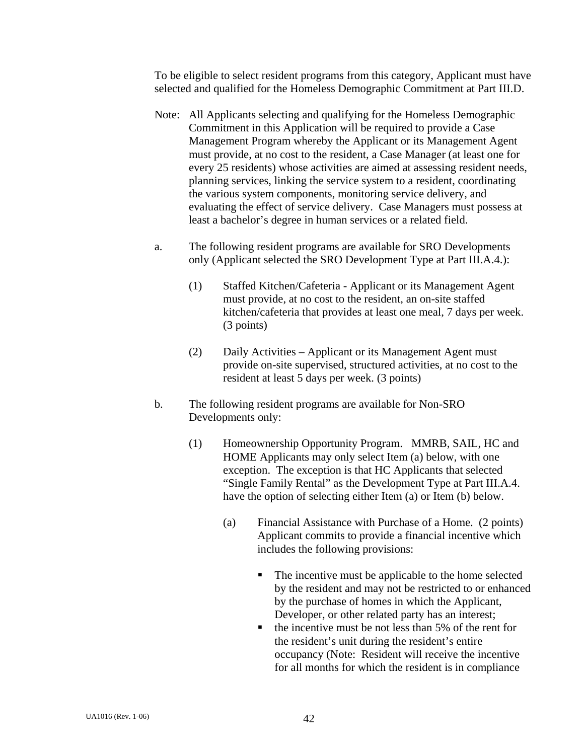To be eligible to select resident programs from this category, Applicant must have selected and qualified for the Homeless Demographic Commitment at Part III.D.

- Note: All Applicants selecting and qualifying for the Homeless Demographic Commitment in this Application will be required to provide a Case Management Program whereby the Applicant or its Management Agent must provide, at no cost to the resident, a Case Manager (at least one for every 25 residents) whose activities are aimed at assessing resident needs, planning services, linking the service system to a resident, coordinating the various system components, monitoring service delivery, and evaluating the effect of service delivery. Case Managers must possess at least a bachelor's degree in human services or a related field.
- a. The following resident programs are available for SRO Developments only (Applicant selected the SRO Development Type at Part III.A.4.):
	- (1) Staffed Kitchen/Cafeteria Applicant or its Management Agent must provide, at no cost to the resident, an on-site staffed kitchen/cafeteria that provides at least one meal, 7 days per week. (3 points)
	- (2) Daily Activities Applicant or its Management Agent must provide on-site supervised, structured activities, at no cost to the resident at least 5 days per week. (3 points)
- b. The following resident programs are available for Non-SRO Developments only:
	- (1) Homeownership Opportunity Program. MMRB, SAIL, HC and HOME Applicants may only select Item (a) below, with one exception. The exception is that HC Applicants that selected "Single Family Rental" as the Development Type at Part III.A.4. have the option of selecting either Item (a) or Item (b) below.
		- (a) Financial Assistance with Purchase of a Home. (2 points) Applicant commits to provide a financial incentive which includes the following provisions:
			- The incentive must be applicable to the home selected by the resident and may not be restricted to or enhanced by the purchase of homes in which the Applicant, Developer, or other related party has an interest;
			- $\blacksquare$  the incentive must be not less than 5% of the rent for the resident's unit during the resident's entire occupancy (Note: Resident will receive the incentive for all months for which the resident is in compliance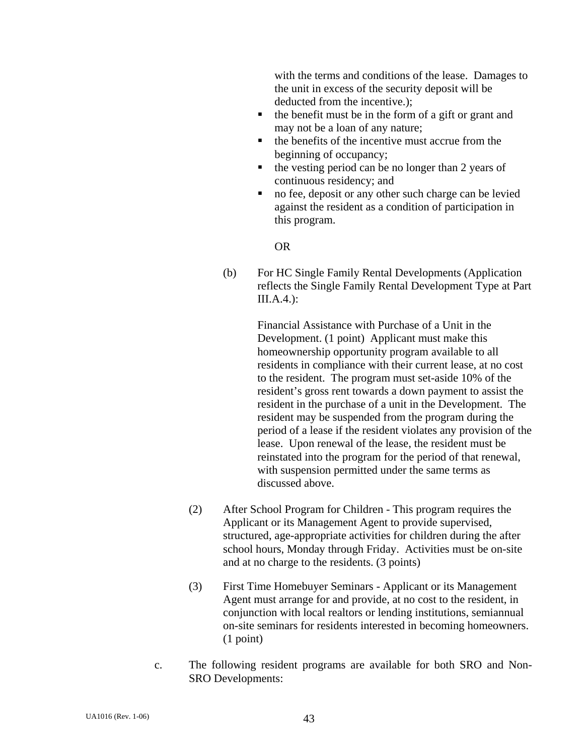with the terms and conditions of the lease. Damages to the unit in excess of the security deposit will be deducted from the incentive.);

- $\blacksquare$  the benefit must be in the form of a gift or grant and may not be a loan of any nature;
- $\blacksquare$  the benefits of the incentive must accrue from the beginning of occupancy;
- $\blacksquare$  the vesting period can be no longer than 2 years of continuous residency; and
- no fee, deposit or any other such charge can be levied against the resident as a condition of participation in this program.

OR

 (b) For HC Single Family Rental Developments (Application reflects the Single Family Rental Development Type at Part III.A.4.):

> Financial Assistance with Purchase of a Unit in the Development. (1 point) Applicant must make this homeownership opportunity program available to all residents in compliance with their current lease, at no cost to the resident. The program must set-aside 10% of the resident's gross rent towards a down payment to assist the resident in the purchase of a unit in the Development. The resident may be suspended from the program during the period of a lease if the resident violates any provision of the lease. Upon renewal of the lease, the resident must be reinstated into the program for the period of that renewal, with suspension permitted under the same terms as discussed above.

- (2) After School Program for Children This program requires the Applicant or its Management Agent to provide supervised, structured, age-appropriate activities for children during the after school hours, Monday through Friday. Activities must be on-site and at no charge to the residents. (3 points)
- (3) First Time Homebuyer Seminars Applicant or its Management Agent must arrange for and provide, at no cost to the resident, in conjunction with local realtors or lending institutions, semiannual on-site seminars for residents interested in becoming homeowners. (1 point)
- c. The following resident programs are available for both SRO and Non-SRO Developments: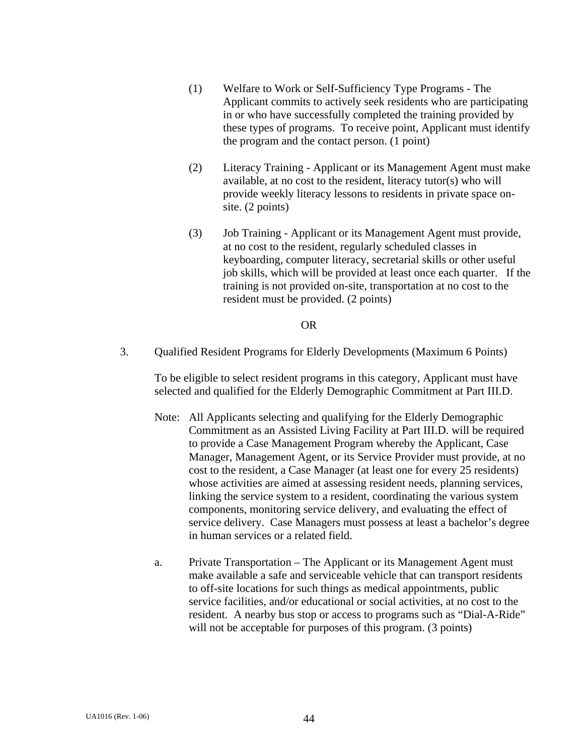- (1) Welfare to Work or Self-Sufficiency Type Programs The Applicant commits to actively seek residents who are participating in or who have successfully completed the training provided by these types of programs. To receive point, Applicant must identify the program and the contact person. (1 point)
- (2) Literacy Training Applicant or its Management Agent must make available, at no cost to the resident, literacy tutor(s) who will provide weekly literacy lessons to residents in private space onsite. (2 points)
- (3) Job Training Applicant or its Management Agent must provide, at no cost to the resident, regularly scheduled classes in keyboarding, computer literacy, secretarial skills or other useful job skills, which will be provided at least once each quarter. If the training is not provided on-site, transportation at no cost to the resident must be provided. (2 points)

### OR

3. Qualified Resident Programs for Elderly Developments (Maximum 6 Points)

To be eligible to select resident programs in this category, Applicant must have selected and qualified for the Elderly Demographic Commitment at Part III.D.

- Note: All Applicants selecting and qualifying for the Elderly Demographic Commitment as an Assisted Living Facility at Part III.D. will be required to provide a Case Management Program whereby the Applicant, Case Manager, Management Agent, or its Service Provider must provide, at no cost to the resident, a Case Manager (at least one for every 25 residents) whose activities are aimed at assessing resident needs, planning services, linking the service system to a resident, coordinating the various system components, monitoring service delivery, and evaluating the effect of service delivery. Case Managers must possess at least a bachelor's degree in human services or a related field.
- a. Private Transportation The Applicant or its Management Agent must make available a safe and serviceable vehicle that can transport residents to off-site locations for such things as medical appointments, public service facilities, and/or educational or social activities, at no cost to the resident. A nearby bus stop or access to programs such as "Dial-A-Ride" will not be acceptable for purposes of this program. (3 points)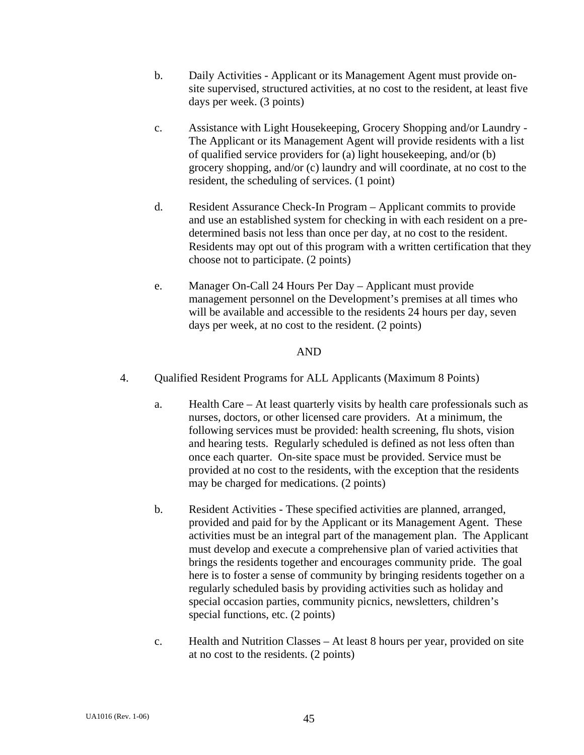- b. Daily Activities Applicant or its Management Agent must provide onsite supervised, structured activities, at no cost to the resident, at least five days per week. (3 points)
- c. Assistance with Light Housekeeping, Grocery Shopping and/or Laundry The Applicant or its Management Agent will provide residents with a list of qualified service providers for (a) light housekeeping, and/or (b) grocery shopping, and/or (c) laundry and will coordinate, at no cost to the resident, the scheduling of services. (1 point)
- d. Resident Assurance Check-In Program Applicant commits to provide and use an established system for checking in with each resident on a predetermined basis not less than once per day, at no cost to the resident. Residents may opt out of this program with a written certification that they choose not to participate. (2 points)
- e. Manager On-Call 24 Hours Per Day Applicant must provide management personnel on the Development's premises at all times who will be available and accessible to the residents 24 hours per day, seven days per week, at no cost to the resident. (2 points)

### AND

- 4. Qualified Resident Programs for ALL Applicants (Maximum 8 Points)
	- a. Health Care At least quarterly visits by health care professionals such as nurses, doctors, or other licensed care providers. At a minimum, the following services must be provided: health screening, flu shots, vision and hearing tests. Regularly scheduled is defined as not less often than once each quarter. On-site space must be provided. Service must be provided at no cost to the residents, with the exception that the residents may be charged for medications. (2 points)
	- b. Resident Activities These specified activities are planned, arranged, provided and paid for by the Applicant or its Management Agent. These activities must be an integral part of the management plan. The Applicant must develop and execute a comprehensive plan of varied activities that brings the residents together and encourages community pride. The goal here is to foster a sense of community by bringing residents together on a regularly scheduled basis by providing activities such as holiday and special occasion parties, community picnics, newsletters, children's special functions, etc. (2 points)
	- c. Health and Nutrition Classes At least 8 hours per year, provided on site at no cost to the residents. (2 points)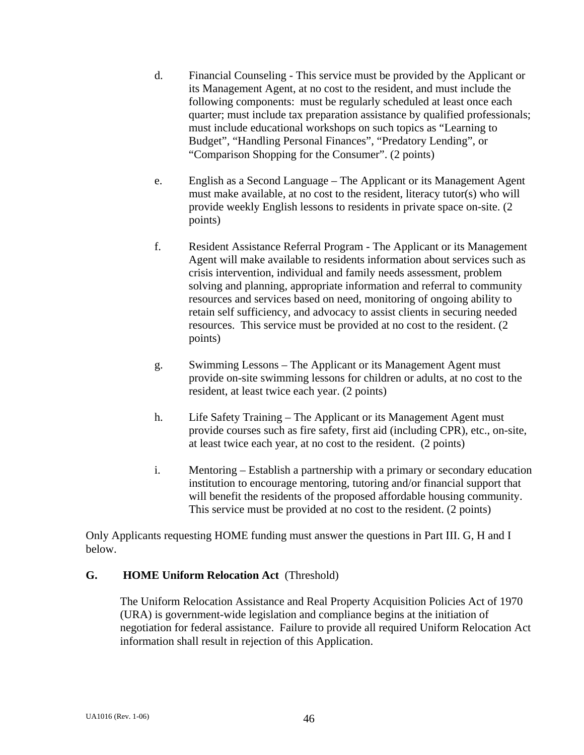- d. Financial Counseling This service must be provided by the Applicant or its Management Agent, at no cost to the resident, and must include the following components: must be regularly scheduled at least once each quarter; must include tax preparation assistance by qualified professionals; must include educational workshops on such topics as "Learning to Budget", "Handling Personal Finances", "Predatory Lending", or "Comparison Shopping for the Consumer". (2 points)
- e. English as a Second Language The Applicant or its Management Agent must make available, at no cost to the resident, literacy tutor(s) who will provide weekly English lessons to residents in private space on-site. (2 points)
- f. Resident Assistance Referral Program The Applicant or its Management Agent will make available to residents information about services such as crisis intervention, individual and family needs assessment, problem solving and planning, appropriate information and referral to community resources and services based on need, monitoring of ongoing ability to retain self sufficiency, and advocacy to assist clients in securing needed resources. This service must be provided at no cost to the resident. (2 points)
- g. Swimming Lessons The Applicant or its Management Agent must provide on-site swimming lessons for children or adults, at no cost to the resident, at least twice each year. (2 points)
- h. Life Safety Training The Applicant or its Management Agent must provide courses such as fire safety, first aid (including CPR), etc., on-site, at least twice each year, at no cost to the resident. (2 points)
- i. Mentoring Establish a partnership with a primary or secondary education institution to encourage mentoring, tutoring and/or financial support that will benefit the residents of the proposed affordable housing community. This service must be provided at no cost to the resident. (2 points)

Only Applicants requesting HOME funding must answer the questions in Part III. G, H and I below.

# **G. HOME Uniform Relocation Act** (Threshold)

The Uniform Relocation Assistance and Real Property Acquisition Policies Act of 1970 (URA) is government-wide legislation and compliance begins at the initiation of negotiation for federal assistance. Failure to provide all required Uniform Relocation Act information shall result in rejection of this Application.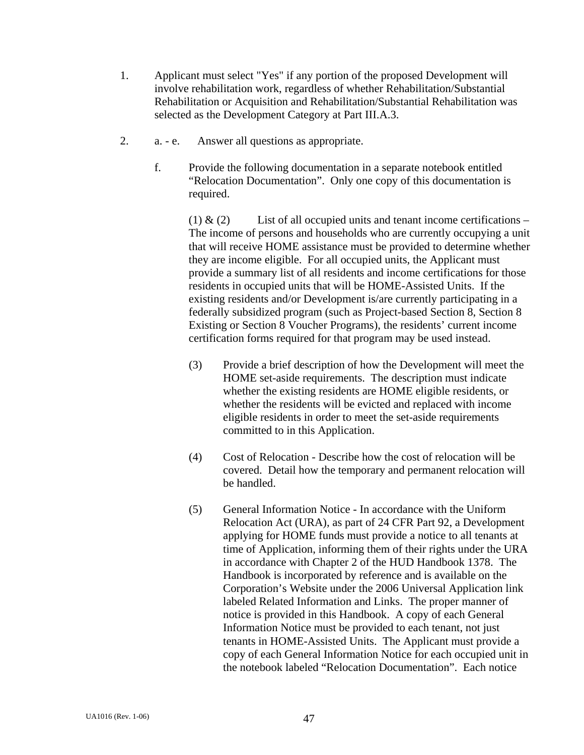- 1. Applicant must select "Yes" if any portion of the proposed Development will involve rehabilitation work, regardless of whether Rehabilitation/Substantial Rehabilitation or Acquisition and Rehabilitation/Substantial Rehabilitation was selected as the Development Category at Part III.A.3.
- 2. a. e. Answer all questions as appropriate.
	- f. Provide the following documentation in a separate notebook entitled "Relocation Documentation". Only one copy of this documentation is required.

(1)  $\&$  (2) List of all occupied units and tenant income certifications – The income of persons and households who are currently occupying a unit that will receive HOME assistance must be provided to determine whether they are income eligible. For all occupied units, the Applicant must provide a summary list of all residents and income certifications for those residents in occupied units that will be HOME-Assisted Units. If the existing residents and/or Development is/are currently participating in a federally subsidized program (such as Project-based Section 8, Section 8 Existing or Section 8 Voucher Programs), the residents' current income certification forms required for that program may be used instead.

- (3) Provide a brief description of how the Development will meet the HOME set-aside requirements. The description must indicate whether the existing residents are HOME eligible residents, or whether the residents will be evicted and replaced with income eligible residents in order to meet the set-aside requirements committed to in this Application.
- (4) Cost of Relocation Describe how the cost of relocation will be covered. Detail how the temporary and permanent relocation will be handled.
- (5) General Information Notice In accordance with the Uniform Relocation Act (URA), as part of 24 CFR Part 92, a Development applying for HOME funds must provide a notice to all tenants at time of Application, informing them of their rights under the URA in accordance with Chapter 2 of the HUD Handbook 1378. The Handbook is incorporated by reference and is available on the Corporation's Website under the 2006 Universal Application link labeled Related Information and Links. The proper manner of notice is provided in this Handbook. A copy of each General Information Notice must be provided to each tenant, not just tenants in HOME-Assisted Units. The Applicant must provide a copy of each General Information Notice for each occupied unit in the notebook labeled "Relocation Documentation". Each notice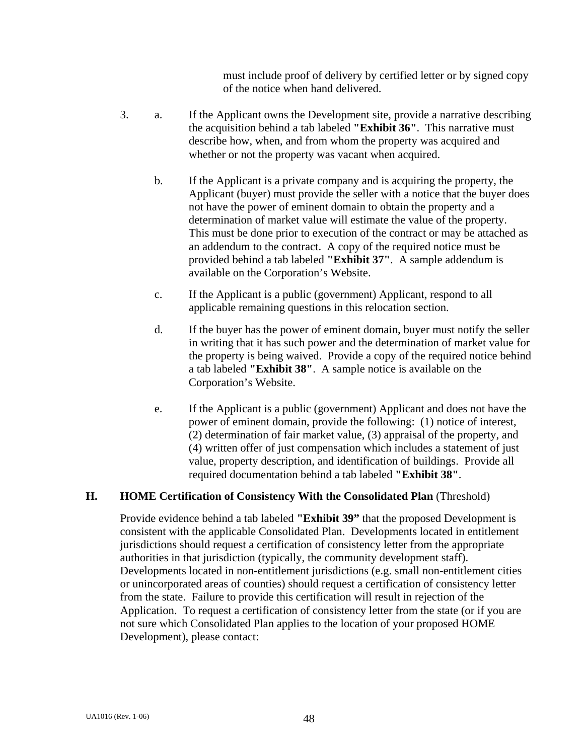must include proof of delivery by certified letter or by signed copy of the notice when hand delivered.

- 3. a. If the Applicant owns the Development site, provide a narrative describing the acquisition behind a tab labeled **"Exhibit 36"**. This narrative must describe how, when, and from whom the property was acquired and whether or not the property was vacant when acquired.
	- b. If the Applicant is a private company and is acquiring the property, the Applicant (buyer) must provide the seller with a notice that the buyer does not have the power of eminent domain to obtain the property and a determination of market value will estimate the value of the property. This must be done prior to execution of the contract or may be attached as an addendum to the contract. A copy of the required notice must be provided behind a tab labeled **"Exhibit 37"**. A sample addendum is available on the Corporation's Website.
	- c. If the Applicant is a public (government) Applicant, respond to all applicable remaining questions in this relocation section.
	- d. If the buyer has the power of eminent domain, buyer must notify the seller in writing that it has such power and the determination of market value for the property is being waived. Provide a copy of the required notice behind a tab labeled **"Exhibit 38"**. A sample notice is available on the Corporation's Website.
	- e. If the Applicant is a public (government) Applicant and does not have the power of eminent domain, provide the following: (1) notice of interest, (2) determination of fair market value, (3) appraisal of the property, and (4) written offer of just compensation which includes a statement of just value, property description, and identification of buildings. Provide all required documentation behind a tab labeled **"Exhibit 38"**.

# **H. HOME Certification of Consistency With the Consolidated Plan** (Threshold)

Provide evidence behind a tab labeled **"Exhibit 39"** that the proposed Development is consistent with the applicable Consolidated Plan. Developments located in entitlement jurisdictions should request a certification of consistency letter from the appropriate authorities in that jurisdiction (typically, the community development staff). Developments located in non-entitlement jurisdictions (e.g. small non-entitlement cities or unincorporated areas of counties) should request a certification of consistency letter from the state. Failure to provide this certification will result in rejection of the Application. To request a certification of consistency letter from the state (or if you are not sure which Consolidated Plan applies to the location of your proposed HOME Development), please contact: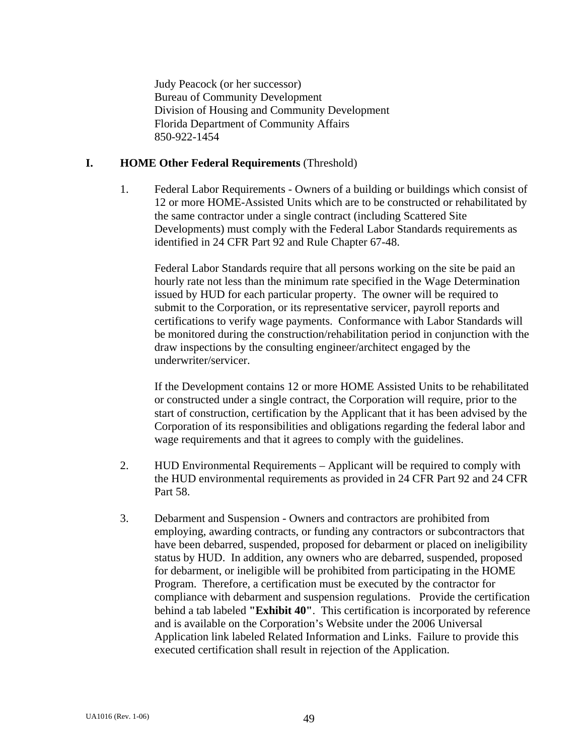Judy Peacock (or her successor) Bureau of Community Development Division of Housing and Community Development Florida Department of Community Affairs 850-922-1454

#### **I. HOME Other Federal Requirements** (Threshold)

 1. Federal Labor Requirements - Owners of a building or buildings which consist of 12 or more HOME-Assisted Units which are to be constructed or rehabilitated by the same contractor under a single contract (including Scattered Site Developments) must comply with the Federal Labor Standards requirements as identified in 24 CFR Part 92 and Rule Chapter 67-48.

Federal Labor Standards require that all persons working on the site be paid an hourly rate not less than the minimum rate specified in the Wage Determination issued by HUD for each particular property. The owner will be required to submit to the Corporation, or its representative servicer, payroll reports and certifications to verify wage payments. Conformance with Labor Standards will be monitored during the construction/rehabilitation period in conjunction with the draw inspections by the consulting engineer/architect engaged by the underwriter/servicer.

If the Development contains 12 or more HOME Assisted Units to be rehabilitated or constructed under a single contract, the Corporation will require, prior to the start of construction, certification by the Applicant that it has been advised by the Corporation of its responsibilities and obligations regarding the federal labor and wage requirements and that it agrees to comply with the guidelines.

- 2. HUD Environmental Requirements Applicant will be required to comply with the HUD environmental requirements as provided in 24 CFR Part 92 and 24 CFR Part 58.
- 3. Debarment and Suspension Owners and contractors are prohibited from employing, awarding contracts, or funding any contractors or subcontractors that have been debarred, suspended, proposed for debarment or placed on ineligibility status by HUD. In addition, any owners who are debarred, suspended, proposed for debarment, or ineligible will be prohibited from participating in the HOME Program. Therefore, a certification must be executed by the contractor for compliance with debarment and suspension regulations. Provide the certification behind a tab labeled **"Exhibit 40"**. This certification is incorporated by reference and is available on the Corporation's Website under the 2006 Universal Application link labeled Related Information and Links. Failure to provide this executed certification shall result in rejection of the Application.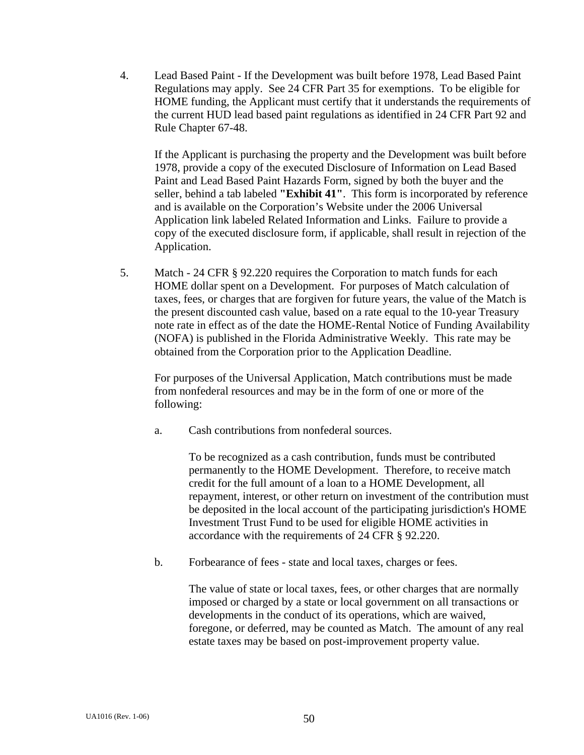4. Lead Based Paint - If the Development was built before 1978, Lead Based Paint Regulations may apply. See 24 CFR Part 35 for exemptions. To be eligible for HOME funding, the Applicant must certify that it understands the requirements of the current HUD lead based paint regulations as identified in 24 CFR Part 92 and Rule Chapter 67-48.

If the Applicant is purchasing the property and the Development was built before 1978, provide a copy of the executed Disclosure of Information on Lead Based Paint and Lead Based Paint Hazards Form, signed by both the buyer and the seller, behind a tab labeled **"Exhibit 41"**. This form is incorporated by reference and is available on the Corporation's Website under the 2006 Universal Application link labeled Related Information and Links. Failure to provide a copy of the executed disclosure form, if applicable, shall result in rejection of the Application.

 5. Match - 24 CFR § 92.220 requires the Corporation to match funds for each HOME dollar spent on a Development. For purposes of Match calculation of taxes, fees, or charges that are forgiven for future years, the value of the Match is the present discounted cash value, based on a rate equal to the 10-year Treasury note rate in effect as of the date the HOME-Rental Notice of Funding Availability (NOFA) is published in the Florida Administrative Weekly. This rate may be obtained from the Corporation prior to the Application Deadline.

 For purposes of the Universal Application, Match contributions must be made from nonfederal resources and may be in the form of one or more of the following:

a. Cash contributions from nonfederal sources.

 To be recognized as a cash contribution, funds must be contributed permanently to the HOME Development. Therefore, to receive match credit for the full amount of a loan to a HOME Development, all repayment, interest, or other return on investment of the contribution must be deposited in the local account of the participating jurisdiction's HOME Investment Trust Fund to be used for eligible HOME activities in accordance with the requirements of 24 CFR § 92.220.

b. Forbearance of fees - state and local taxes, charges or fees.

 The value of state or local taxes, fees, or other charges that are normally imposed or charged by a state or local government on all transactions or developments in the conduct of its operations, which are waived, foregone, or deferred, may be counted as Match. The amount of any real estate taxes may be based on post-improvement property value.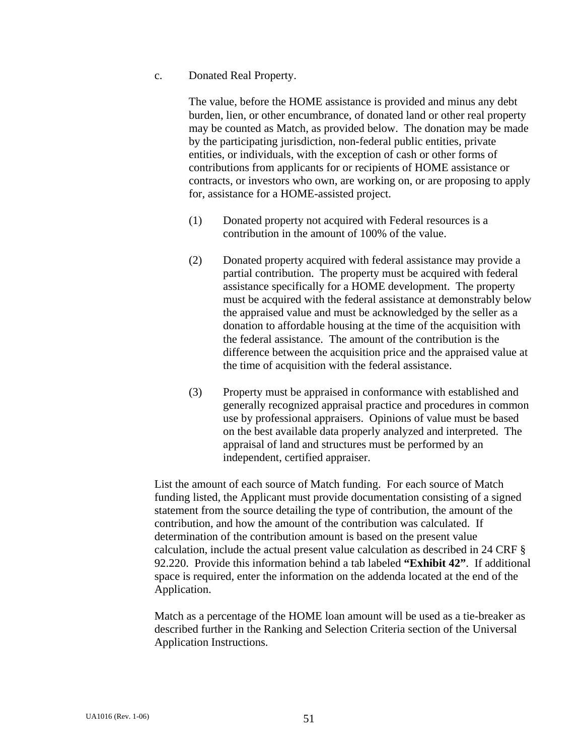c. Donated Real Property.

 The value, before the HOME assistance is provided and minus any debt burden, lien, or other encumbrance, of donated land or other real property may be counted as Match, as provided below. The donation may be made by the participating jurisdiction, non-federal public entities, private entities, or individuals, with the exception of cash or other forms of contributions from applicants for or recipients of HOME assistance or contracts, or investors who own, are working on, or are proposing to apply for, assistance for a HOME-assisted project.

- (1) Donated property not acquired with Federal resources is a contribution in the amount of 100% of the value.
- (2) Donated property acquired with federal assistance may provide a partial contribution. The property must be acquired with federal assistance specifically for a HOME development. The property must be acquired with the federal assistance at demonstrably below the appraised value and must be acknowledged by the seller as a donation to affordable housing at the time of the acquisition with the federal assistance. The amount of the contribution is the difference between the acquisition price and the appraised value at the time of acquisition with the federal assistance.
- (3) Property must be appraised in conformance with established and generally recognized appraisal practice and procedures in common use by professional appraisers. Opinions of value must be based on the best available data properly analyzed and interpreted. The appraisal of land and structures must be performed by an independent, certified appraiser.

 List the amount of each source of Match funding. For each source of Match funding listed, the Applicant must provide documentation consisting of a signed statement from the source detailing the type of contribution, the amount of the contribution, and how the amount of the contribution was calculated. If determination of the contribution amount is based on the present value calculation, include the actual present value calculation as described in 24 CRF § 92.220. Provide this information behind a tab labeled **"Exhibit 42"**. If additional space is required, enter the information on the addenda located at the end of the Application.

Match as a percentage of the HOME loan amount will be used as a tie-breaker as described further in the Ranking and Selection Criteria section of the Universal Application Instructions.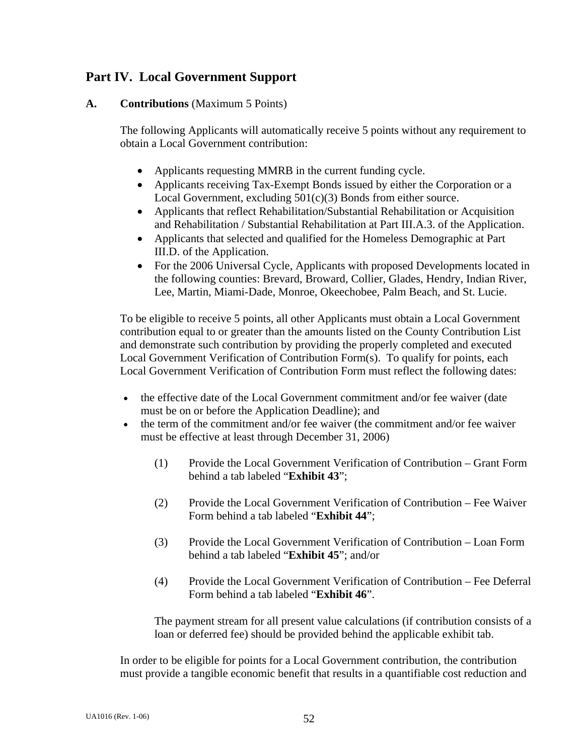# **Part IV. Local Government Support**

### **A. Contributions** (Maximum 5 Points)

The following Applicants will automatically receive 5 points without any requirement to obtain a Local Government contribution:

- Applicants requesting MMRB in the current funding cycle.
- Applicants receiving Tax-Exempt Bonds issued by either the Corporation or a Local Government, excluding 501(c)(3) Bonds from either source.
- Applicants that reflect Rehabilitation/Substantial Rehabilitation or Acquisition and Rehabilitation / Substantial Rehabilitation at Part III.A.3. of the Application.
- Applicants that selected and qualified for the Homeless Demographic at Part III.D. of the Application.
- For the 2006 Universal Cycle, Applicants with proposed Developments located in the following counties: Brevard, Broward, Collier, Glades, Hendry, Indian River, Lee, Martin, Miami-Dade, Monroe, Okeechobee, Palm Beach, and St. Lucie.

 To be eligible to receive 5 points, all other Applicants must obtain a Local Government contribution equal to or greater than the amounts listed on the County Contribution List and demonstrate such contribution by providing the properly completed and executed Local Government Verification of Contribution Form(s). To qualify for points, each Local Government Verification of Contribution Form must reflect the following dates:

- the effective date of the Local Government commitment and/or fee waiver (date must be on or before the Application Deadline); and
- the term of the commitment and/or fee waiver (the commitment and/or fee waiver must be effective at least through December 31, 2006)
	- (1) Provide the Local Government Verification of Contribution Grant Form behind a tab labeled "**Exhibit 43**";
	- (2) Provide the Local Government Verification of Contribution Fee Waiver Form behind a tab labeled "**Exhibit 44**";
	- (3) Provide the Local Government Verification of Contribution Loan Form behind a tab labeled "**Exhibit 45**"; and/or
	- (4) Provide the Local Government Verification of Contribution Fee Deferral Form behind a tab labeled "**Exhibit 46**".

 The payment stream for all present value calculations (if contribution consists of a loan or deferred fee) should be provided behind the applicable exhibit tab.

 In order to be eligible for points for a Local Government contribution, the contribution must provide a tangible economic benefit that results in a quantifiable cost reduction and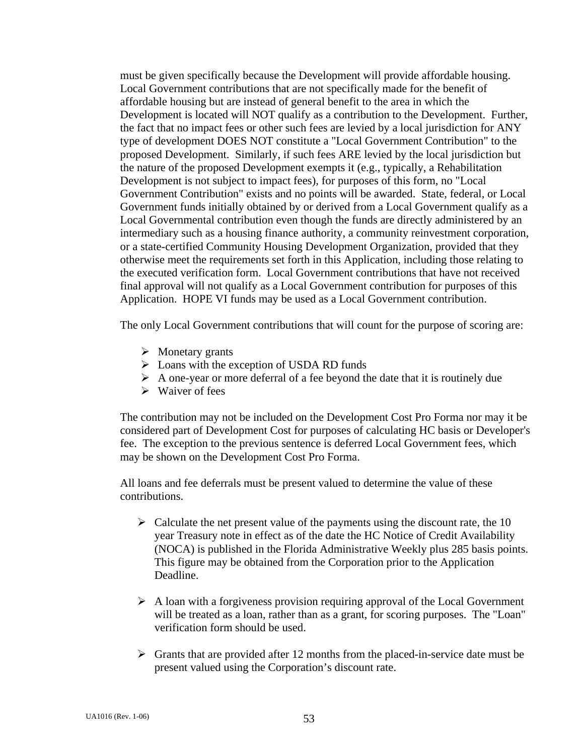must be given specifically because the Development will provide affordable housing. Local Government contributions that are not specifically made for the benefit of affordable housing but are instead of general benefit to the area in which the Development is located will NOT qualify as a contribution to the Development. Further, the fact that no impact fees or other such fees are levied by a local jurisdiction for ANY type of development DOES NOT constitute a "Local Government Contribution" to the proposed Development. Similarly, if such fees ARE levied by the local jurisdiction but the nature of the proposed Development exempts it (e.g., typically, a Rehabilitation Development is not subject to impact fees), for purposes of this form, no "Local Government Contribution" exists and no points will be awarded. State, federal, or Local Government funds initially obtained by or derived from a Local Government qualify as a Local Governmental contribution even though the funds are directly administered by an intermediary such as a housing finance authority, a community reinvestment corporation, or a state-certified Community Housing Development Organization, provided that they otherwise meet the requirements set forth in this Application, including those relating to the executed verification form. Local Government contributions that have not received final approval will not qualify as a Local Government contribution for purposes of this Application. HOPE VI funds may be used as a Local Government contribution.

The only Local Government contributions that will count for the purpose of scoring are:

- $\triangleright$  Monetary grants
- $\triangleright$  Loans with the exception of USDA RD funds
- $\triangleright$  A one-year or more deferral of a fee beyond the date that it is routinely due
- $\triangleright$  Waiver of fees

 The contribution may not be included on the Development Cost Pro Forma nor may it be considered part of Development Cost for purposes of calculating HC basis or Developer's fee. The exception to the previous sentence is deferred Local Government fees, which may be shown on the Development Cost Pro Forma.

 All loans and fee deferrals must be present valued to determine the value of these contributions.

- $\triangleright$  Calculate the net present value of the payments using the discount rate, the 10 year Treasury note in effect as of the date the HC Notice of Credit Availability (NOCA) is published in the Florida Administrative Weekly plus 285 basis points. This figure may be obtained from the Corporation prior to the Application Deadline.
- $\triangleright$  A loan with a forgiveness provision requiring approval of the Local Government will be treated as a loan, rather than as a grant, for scoring purposes. The "Loan" verification form should be used.
- $\triangleright$  Grants that are provided after 12 months from the placed-in-service date must be present valued using the Corporation's discount rate.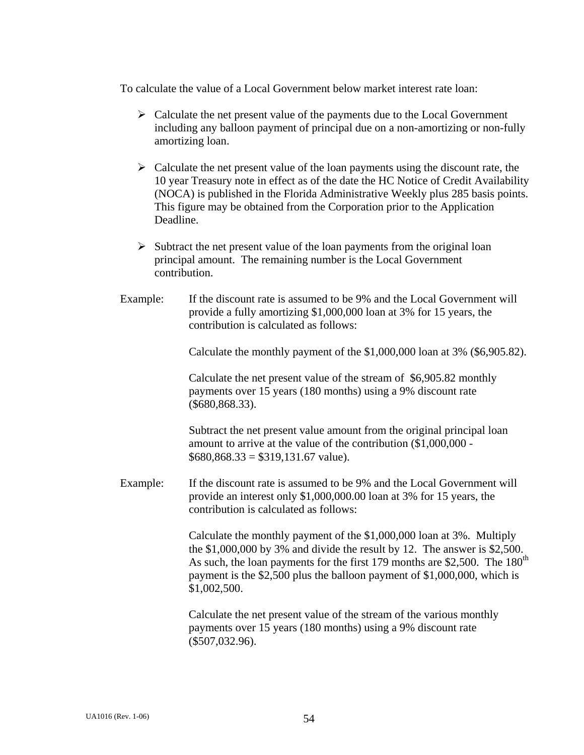To calculate the value of a Local Government below market interest rate loan:

- $\triangleright$  Calculate the net present value of the payments due to the Local Government including any balloon payment of principal due on a non-amortizing or non-fully amortizing loan.
- $\triangleright$  Calculate the net present value of the loan payments using the discount rate, the 10 year Treasury note in effect as of the date the HC Notice of Credit Availability (NOCA) is published in the Florida Administrative Weekly plus 285 basis points. This figure may be obtained from the Corporation prior to the Application Deadline.
- $\triangleright$  Subtract the net present value of the loan payments from the original loan principal amount. The remaining number is the Local Government contribution.
- Example: If the discount rate is assumed to be 9% and the Local Government will provide a fully amortizing \$1,000,000 loan at 3% for 15 years, the contribution is calculated as follows:

Calculate the monthly payment of the \$1,000,000 loan at 3% (\$6,905.82).

 Calculate the net present value of the stream of \$6,905.82 monthly payments over 15 years (180 months) using a 9% discount rate (\$680,868.33).

 Subtract the net present value amount from the original principal loan amount to arrive at the value of the contribution (\$1,000,000 -  $$680,868.33 = $319,131.67$  value).

 Example: If the discount rate is assumed to be 9% and the Local Government will provide an interest only \$1,000,000.00 loan at 3% for 15 years, the contribution is calculated as follows:

> Calculate the monthly payment of the \$1,000,000 loan at 3%. Multiply the \$1,000,000 by 3% and divide the result by 12. The answer is \$2,500. As such, the loan payments for the first 179 months are \$2,500. The  $180<sup>th</sup>$ payment is the \$2,500 plus the balloon payment of \$1,000,000, which is \$1,002,500.

 Calculate the net present value of the stream of the various monthly payments over 15 years (180 months) using a 9% discount rate (\$507,032.96).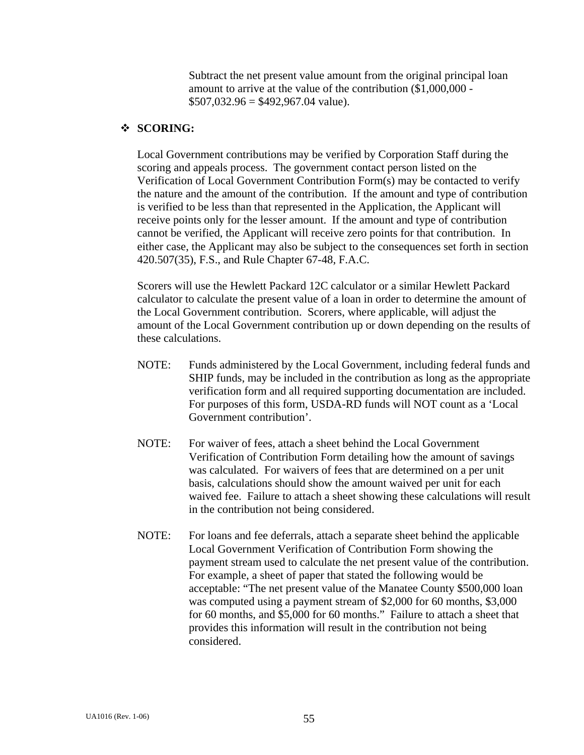Subtract the net present value amount from the original principal loan amount to arrive at the value of the contribution (\$1,000,000 -  $$507,032.96 = $492,967.04$  value).

# **SCORING:**

 Local Government contributions may be verified by Corporation Staff during the scoring and appeals process. The government contact person listed on the Verification of Local Government Contribution Form(s) may be contacted to verify the nature and the amount of the contribution. If the amount and type of contribution is verified to be less than that represented in the Application, the Applicant will receive points only for the lesser amount. If the amount and type of contribution cannot be verified, the Applicant will receive zero points for that contribution. In either case, the Applicant may also be subject to the consequences set forth in section 420.507(35), F.S., and Rule Chapter 67-48, F.A.C.

 Scorers will use the Hewlett Packard 12C calculator or a similar Hewlett Packard calculator to calculate the present value of a loan in order to determine the amount of the Local Government contribution. Scorers, where applicable, will adjust the amount of the Local Government contribution up or down depending on the results of these calculations.

- NOTE: Funds administered by the Local Government, including federal funds and SHIP funds, may be included in the contribution as long as the appropriate verification form and all required supporting documentation are included. For purposes of this form, USDA-RD funds will NOT count as a 'Local Government contribution'.
- NOTE: For waiver of fees, attach a sheet behind the Local Government Verification of Contribution Form detailing how the amount of savings was calculated. For waivers of fees that are determined on a per unit basis, calculations should show the amount waived per unit for each waived fee. Failure to attach a sheet showing these calculations will result in the contribution not being considered.
- NOTE: For loans and fee deferrals, attach a separate sheet behind the applicable Local Government Verification of Contribution Form showing the payment stream used to calculate the net present value of the contribution. For example, a sheet of paper that stated the following would be acceptable: "The net present value of the Manatee County \$500,000 loan was computed using a payment stream of \$2,000 for 60 months, \$3,000 for 60 months, and \$5,000 for 60 months." Failure to attach a sheet that provides this information will result in the contribution not being considered.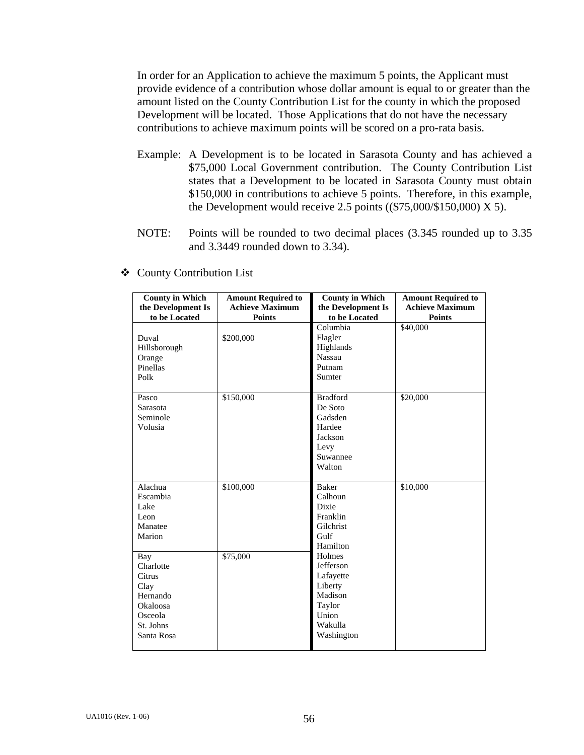In order for an Application to achieve the maximum 5 points, the Applicant must provide evidence of a contribution whose dollar amount is equal to or greater than the amount listed on the County Contribution List for the county in which the proposed Development will be located. Those Applications that do not have the necessary contributions to achieve maximum points will be scored on a pro-rata basis.

- Example: A Development is to be located in Sarasota County and has achieved a \$75,000 Local Government contribution. The County Contribution List states that a Development to be located in Sarasota County must obtain \$150,000 in contributions to achieve 5 points. Therefore, in this example, the Development would receive 2.5 points  $((\$75,000/\$150,000) \times 5)$ .
- NOTE: Points will be rounded to two decimal places (3.345 rounded up to 3.35 and 3.3449 rounded down to 3.34).

| <b>County in Which</b> | <b>Amount Required to</b> | <b>County in Which</b> | <b>Amount Required to</b> |
|------------------------|---------------------------|------------------------|---------------------------|
| the Development Is     | <b>Achieve Maximum</b>    | the Development Is     | <b>Achieve Maximum</b>    |
| to be Located          | <b>Points</b>             | to be Located          | <b>Points</b>             |
|                        |                           | Columbia               | \$40,000                  |
| Duval                  | \$200,000                 | Flagler                |                           |
| Hillsborough           |                           | Highlands              |                           |
| Orange                 |                           | <b>Nassau</b>          |                           |
| Pinellas               |                           | Putnam                 |                           |
| Polk                   |                           | Sumter                 |                           |
|                        |                           |                        |                           |
| Pasco                  | \$150,000                 | <b>Bradford</b>        | \$20,000                  |
| Sarasota               |                           | De Soto                |                           |
| Seminole               |                           | Gadsden                |                           |
| Volusia                |                           | Hardee                 |                           |
|                        |                           | Jackson                |                           |
|                        |                           | Levy                   |                           |
|                        |                           | Suwannee               |                           |
|                        |                           | Walton                 |                           |
|                        |                           |                        |                           |
| Alachua                | \$100,000                 | <b>Baker</b>           | \$10,000                  |
| Escambia               |                           | Calhoun                |                           |
| Lake                   |                           | Dixie                  |                           |
| Leon                   |                           | Franklin               |                           |
| Manatee                |                           | Gilchrist              |                           |
| Marion                 |                           | Gulf                   |                           |
|                        |                           | Hamilton               |                           |
| Bay                    | \$75,000                  | Holmes                 |                           |
| Charlotte              |                           | Jefferson              |                           |
| Citrus                 |                           | Lafayette              |                           |
| Clay                   |                           | Liberty                |                           |
| Hernando               |                           | Madison                |                           |
| Okaloosa               |                           | Taylor                 |                           |
| Osceola                |                           | Union                  |                           |
| St. Johns              |                           | Wakulla                |                           |
| Santa Rosa             |                           | Washington             |                           |
|                        |                           |                        |                           |

County Contribution List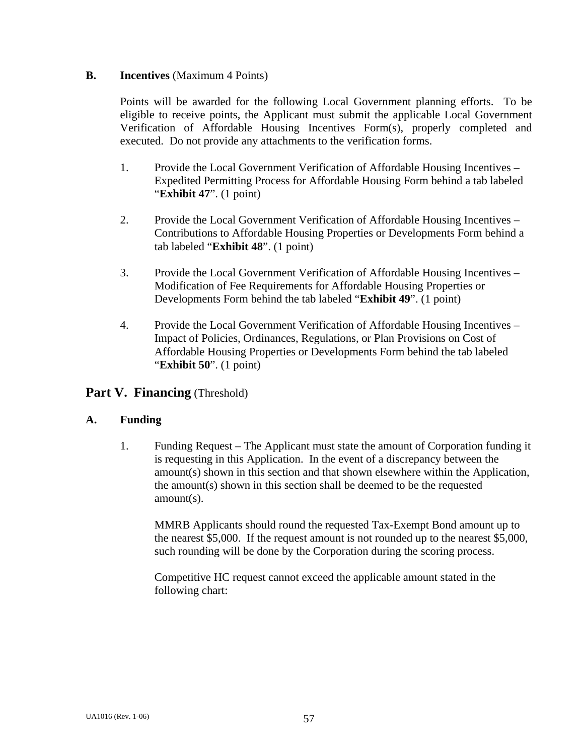### **B. Incentives** (Maximum 4 Points)

 Points will be awarded for the following Local Government planning efforts. To be eligible to receive points, the Applicant must submit the applicable Local Government Verification of Affordable Housing Incentives Form(s), properly completed and executed. Do not provide any attachments to the verification forms.

- 1. Provide the Local Government Verification of Affordable Housing Incentives Expedited Permitting Process for Affordable Housing Form behind a tab labeled "**Exhibit 47**". (1 point)
- 2. Provide the Local Government Verification of Affordable Housing Incentives Contributions to Affordable Housing Properties or Developments Form behind a tab labeled "**Exhibit 48**". (1 point)
- 3. Provide the Local Government Verification of Affordable Housing Incentives Modification of Fee Requirements for Affordable Housing Properties or Developments Form behind the tab labeled "**Exhibit 49**". (1 point)
- 4. Provide the Local Government Verification of Affordable Housing Incentives Impact of Policies, Ordinances, Regulations, or Plan Provisions on Cost of Affordable Housing Properties or Developments Form behind the tab labeled "**Exhibit 50**". (1 point)

# **Part V. Financing** (Threshold)

# **A. Funding**

 1. Funding Request – The Applicant must state the amount of Corporation funding it is requesting in this Application. In the event of a discrepancy between the amount(s) shown in this section and that shown elsewhere within the Application, the amount(s) shown in this section shall be deemed to be the requested amount(s).

 MMRB Applicants should round the requested Tax-Exempt Bond amount up to the nearest \$5,000. If the request amount is not rounded up to the nearest \$5,000, such rounding will be done by the Corporation during the scoring process.

 Competitive HC request cannot exceed the applicable amount stated in the following chart: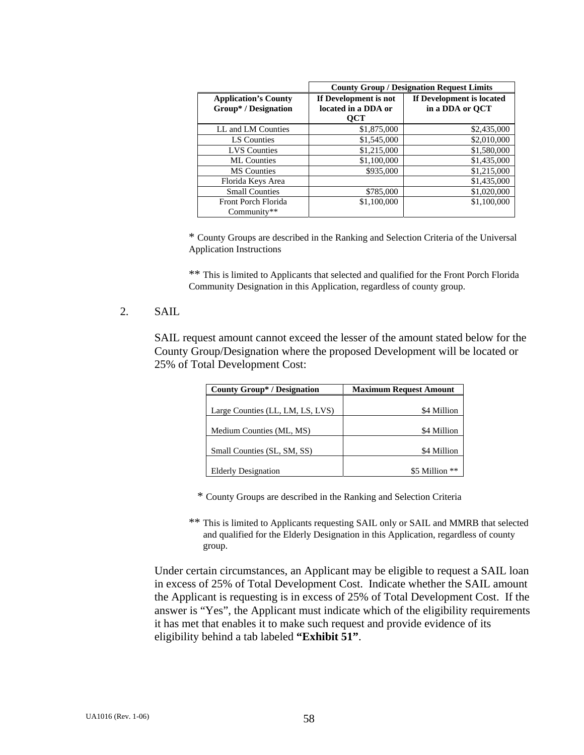|                                                     | <b>County Group / Designation Request Limits</b>    |                                              |  |
|-----------------------------------------------------|-----------------------------------------------------|----------------------------------------------|--|
| <b>Application's County</b><br>Group* / Designation | If Development is not<br>located in a DDA or<br>OCT | If Development is located<br>in a DDA or OCT |  |
| LL and LM Counties                                  | \$1,875,000                                         | \$2,435,000                                  |  |
| LS Counties                                         | \$1,545,000                                         | \$2,010,000                                  |  |
| <b>LVS</b> Counties                                 | \$1,215,000                                         | \$1,580,000                                  |  |
| <b>ML</b> Counties                                  | \$1,100,000                                         | \$1,435,000                                  |  |
| <b>MS</b> Counties                                  | \$935,000                                           | \$1,215,000                                  |  |
| Florida Keys Area                                   |                                                     | \$1,435,000                                  |  |
| <b>Small Counties</b>                               | \$785,000                                           | \$1,020,000                                  |  |
| Front Porch Florida<br>Community**                  | \$1,100,000                                         | \$1,100,000                                  |  |

\* County Groups are described in the Ranking and Selection Criteria of the Universal Application Instructions

 \*\* This is limited to Applicants that selected and qualified for the Front Porch Florida Community Designation in this Application, regardless of county group.

### 2. SAIL

 SAIL request amount cannot exceed the lesser of the amount stated below for the County Group/Designation where the proposed Development will be located or 25% of Total Development Cost:

| <b>County Group* / Designation</b> | <b>Maximum Request Amount</b> |  |  |
|------------------------------------|-------------------------------|--|--|
|                                    |                               |  |  |
| Large Counties (LL, LM, LS, LVS)   | \$4 Million                   |  |  |
|                                    |                               |  |  |
| Medium Counties (ML, MS)           | \$4 Million                   |  |  |
|                                    |                               |  |  |
| Small Counties (SL, SM, SS)        | \$4 Million                   |  |  |
|                                    |                               |  |  |
| <b>Elderly Designation</b>         | \$5 Million **                |  |  |

\* County Groups are described in the Ranking and Selection Criteria

 \*\* This is limited to Applicants requesting SAIL only or SAIL and MMRB that selected and qualified for the Elderly Designation in this Application, regardless of county group.

 Under certain circumstances, an Applicant may be eligible to request a SAIL loan in excess of 25% of Total Development Cost. Indicate whether the SAIL amount the Applicant is requesting is in excess of 25% of Total Development Cost. If the answer is "Yes", the Applicant must indicate which of the eligibility requirements it has met that enables it to make such request and provide evidence of its eligibility behind a tab labeled **"Exhibit 51"**.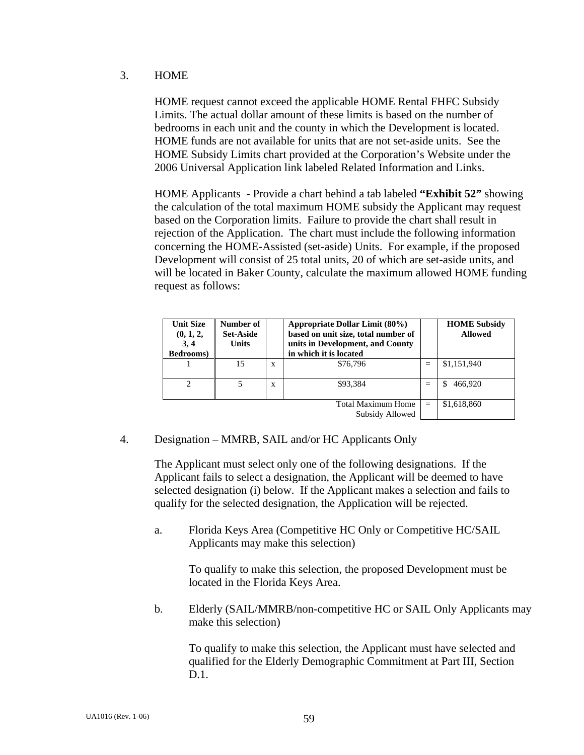#### 3. HOME

HOME request cannot exceed the applicable HOME Rental FHFC Subsidy Limits. The actual dollar amount of these limits is based on the number of bedrooms in each unit and the county in which the Development is located. HOME funds are not available for units that are not set-aside units. See the HOME Subsidy Limits chart provided at the Corporation's Website under the 2006 Universal Application link labeled Related Information and Links.

 HOME Applicants - Provide a chart behind a tab labeled **"Exhibit 52"** showing the calculation of the total maximum HOME subsidy the Applicant may request based on the Corporation limits. Failure to provide the chart shall result in rejection of the Application. The chart must include the following information concerning the HOME-Assisted (set-aside) Units. For example, if the proposed Development will consist of 25 total units, 20 of which are set-aside units, and will be located in Baker County, calculate the maximum allowed HOME funding request as follows:

| <b>Unit Size</b><br>(0, 1, 2,<br>3, 4<br>Bedrooms) | Number of<br><b>Set-Aside</b><br><b>Units</b> |   | Appropriate Dollar Limit (80%)<br>based on unit size, total number of<br>units in Development, and County<br>in which it is located |     | <b>HOME Subsidy</b><br><b>Allowed</b> |
|----------------------------------------------------|-----------------------------------------------|---|-------------------------------------------------------------------------------------------------------------------------------------|-----|---------------------------------------|
|                                                    | 15                                            | X | \$76,796                                                                                                                            | $=$ | \$1,151,940                           |
| $\mathcal{D}$                                      | 5                                             | X | \$93.384                                                                                                                            | $=$ | 466,920                               |
|                                                    |                                               |   | <b>Total Maximum Home</b><br>Subsidy Allowed                                                                                        | $=$ | \$1,618,860                           |

### 4. Designation – MMRB, SAIL and/or HC Applicants Only

 The Applicant must select only one of the following designations. If the Applicant fails to select a designation, the Applicant will be deemed to have selected designation (i) below. If the Applicant makes a selection and fails to qualify for the selected designation, the Application will be rejected.

 a. Florida Keys Area (Competitive HC Only or Competitive HC/SAIL Applicants may make this selection)

To qualify to make this selection, the proposed Development must be located in the Florida Keys Area.

 b. Elderly (SAIL/MMRB/non-competitive HC or SAIL Only Applicants may make this selection)

 To qualify to make this selection, the Applicant must have selected and qualified for the Elderly Demographic Commitment at Part III, Section D.1.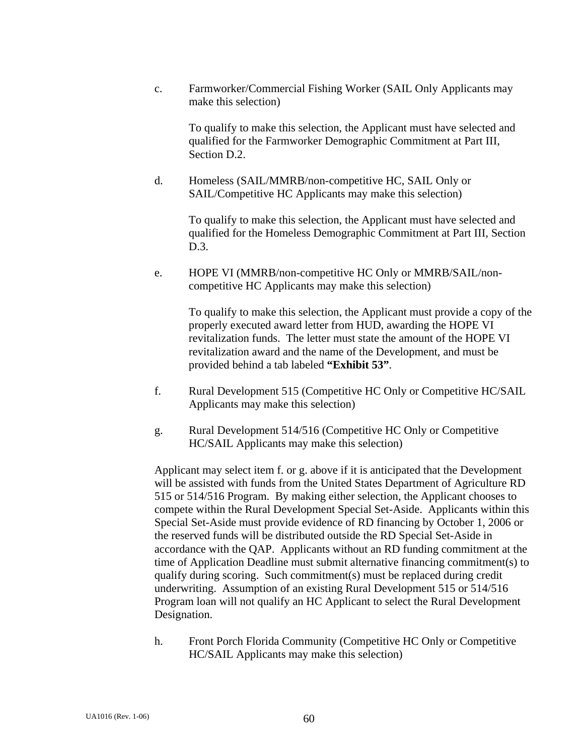c. Farmworker/Commercial Fishing Worker (SAIL Only Applicants may make this selection)

 To qualify to make this selection, the Applicant must have selected and qualified for the Farmworker Demographic Commitment at Part III, Section D.2.

d. Homeless (SAIL/MMRB/non-competitive HC, SAIL Only or SAIL/Competitive HC Applicants may make this selection)

> To qualify to make this selection, the Applicant must have selected and qualified for the Homeless Demographic Commitment at Part III, Section D.3.

e. HOPE VI (MMRB/non-competitive HC Only or MMRB/SAIL/noncompetitive HC Applicants may make this selection)

 To qualify to make this selection, the Applicant must provide a copy of the properly executed award letter from HUD, awarding the HOPE VI revitalization funds. The letter must state the amount of the HOPE VI revitalization award and the name of the Development, and must be provided behind a tab labeled **"Exhibit 53"**.

- f. Rural Development 515 (Competitive HC Only or Competitive HC/SAIL Applicants may make this selection)
- g. Rural Development 514/516 (Competitive HC Only or Competitive HC/SAIL Applicants may make this selection)

 Applicant may select item f. or g. above if it is anticipated that the Development will be assisted with funds from the United States Department of Agriculture RD 515 or 514/516 Program. By making either selection, the Applicant chooses to compete within the Rural Development Special Set-Aside. Applicants within this Special Set-Aside must provide evidence of RD financing by October 1, 2006 or the reserved funds will be distributed outside the RD Special Set-Aside in accordance with the QAP. Applicants without an RD funding commitment at the time of Application Deadline must submit alternative financing commitment(s) to qualify during scoring. Such commitment(s) must be replaced during credit underwriting. Assumption of an existing Rural Development 515 or 514/516 Program loan will not qualify an HC Applicant to select the Rural Development Designation.

h. Front Porch Florida Community (Competitive HC Only or Competitive HC/SAIL Applicants may make this selection)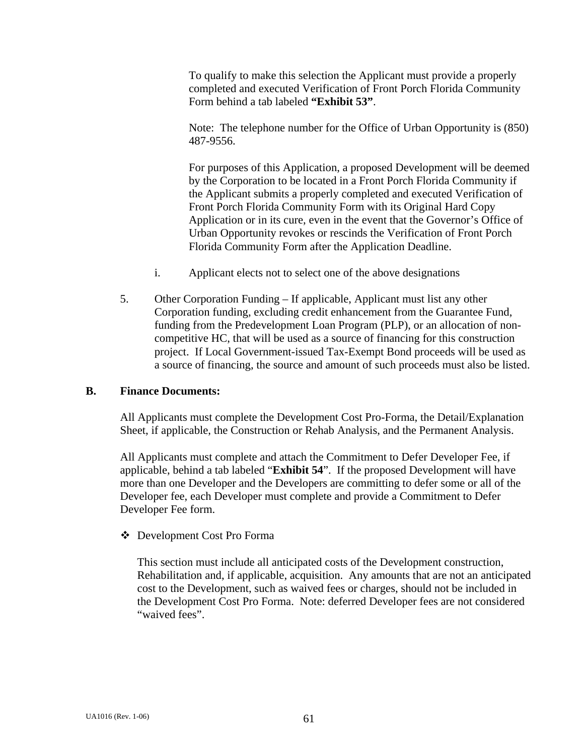To qualify to make this selection the Applicant must provide a properly completed and executed Verification of Front Porch Florida Community Form behind a tab labeled **"Exhibit 53"**.

Note: The telephone number for the Office of Urban Opportunity is (850) 487-9556.

For purposes of this Application, a proposed Development will be deemed by the Corporation to be located in a Front Porch Florida Community if the Applicant submits a properly completed and executed Verification of Front Porch Florida Community Form with its Original Hard Copy Application or in its cure, even in the event that the Governor's Office of Urban Opportunity revokes or rescinds the Verification of Front Porch Florida Community Form after the Application Deadline.

- i. Applicant elects not to select one of the above designations
- 5. Other Corporation Funding If applicable, Applicant must list any other Corporation funding, excluding credit enhancement from the Guarantee Fund, funding from the Predevelopment Loan Program (PLP), or an allocation of noncompetitive HC, that will be used as a source of financing for this construction project. If Local Government-issued Tax-Exempt Bond proceeds will be used as a source of financing, the source and amount of such proceeds must also be listed.

#### **B. Finance Documents:**

All Applicants must complete the Development Cost Pro-Forma, the Detail/Explanation Sheet, if applicable, the Construction or Rehab Analysis, and the Permanent Analysis.

All Applicants must complete and attach the Commitment to Defer Developer Fee, if applicable, behind a tab labeled "**Exhibit 54**". If the proposed Development will have more than one Developer and the Developers are committing to defer some or all of the Developer fee, each Developer must complete and provide a Commitment to Defer Developer Fee form.

#### Development Cost Pro Forma

 This section must include all anticipated costs of the Development construction, Rehabilitation and, if applicable, acquisition. Any amounts that are not an anticipated cost to the Development, such as waived fees or charges, should not be included in the Development Cost Pro Forma. Note: deferred Developer fees are not considered "waived fees".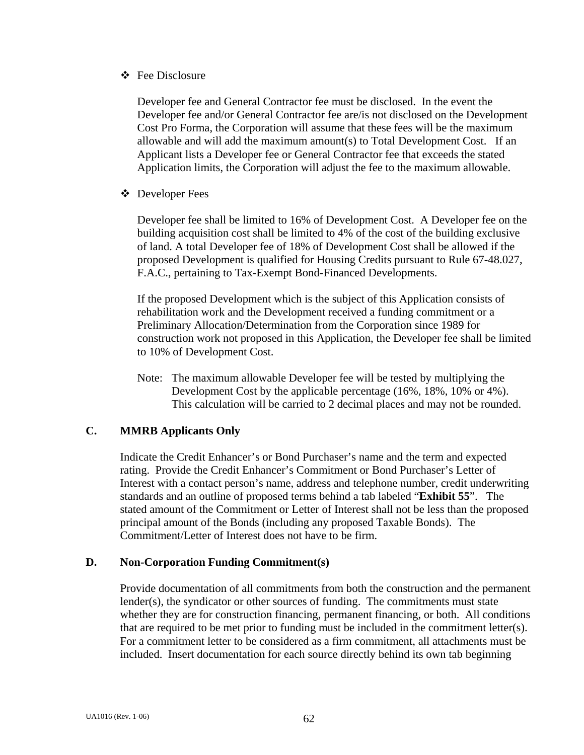Fee Disclosure

 Developer fee and General Contractor fee must be disclosed. In the event the Developer fee and/or General Contractor fee are/is not disclosed on the Development Cost Pro Forma, the Corporation will assume that these fees will be the maximum allowable and will add the maximum amount(s) to Total Development Cost. If an Applicant lists a Developer fee or General Contractor fee that exceeds the stated Application limits, the Corporation will adjust the fee to the maximum allowable.

Developer Fees

 Developer fee shall be limited to 16% of Development Cost. A Developer fee on the building acquisition cost shall be limited to 4% of the cost of the building exclusive of land. A total Developer fee of 18% of Development Cost shall be allowed if the proposed Development is qualified for Housing Credits pursuant to Rule 67-48.027, F.A.C., pertaining to Tax-Exempt Bond-Financed Developments.

 If the proposed Development which is the subject of this Application consists of rehabilitation work and the Development received a funding commitment or a Preliminary Allocation/Determination from the Corporation since 1989 for construction work not proposed in this Application, the Developer fee shall be limited to 10% of Development Cost.

Note: The maximum allowable Developer fee will be tested by multiplying the Development Cost by the applicable percentage (16%, 18%, 10% or 4%). This calculation will be carried to 2 decimal places and may not be rounded.

# **C. MMRB Applicants Only**

Indicate the Credit Enhancer's or Bond Purchaser's name and the term and expected rating. Provide the Credit Enhancer's Commitment or Bond Purchaser's Letter of Interest with a contact person's name, address and telephone number, credit underwriting standards and an outline of proposed terms behind a tab labeled "**Exhibit 55**". The stated amount of the Commitment or Letter of Interest shall not be less than the proposed principal amount of the Bonds (including any proposed Taxable Bonds). The Commitment/Letter of Interest does not have to be firm.

### **D. Non-Corporation Funding Commitment(s)**

 Provide documentation of all commitments from both the construction and the permanent lender(s), the syndicator or other sources of funding. The commitments must state whether they are for construction financing, permanent financing, or both. All conditions that are required to be met prior to funding must be included in the commitment letter(s). For a commitment letter to be considered as a firm commitment, all attachments must be included. Insert documentation for each source directly behind its own tab beginning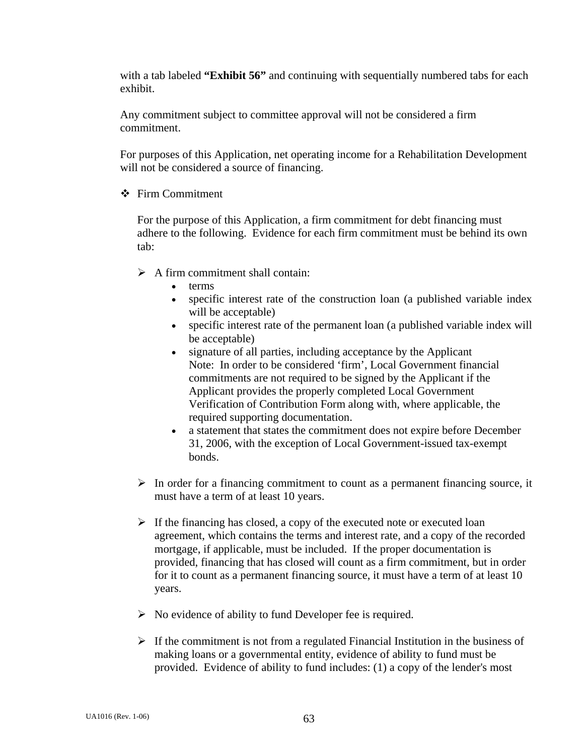with a tab labeled **"Exhibit 56"** and continuing with sequentially numbered tabs for each exhibit.

Any commitment subject to committee approval will not be considered a firm commitment.

For purposes of this Application, net operating income for a Rehabilitation Development will not be considered a source of financing.

 $\div$  Firm Commitment

 For the purpose of this Application, a firm commitment for debt financing must adhere to the following. Evidence for each firm commitment must be behind its own tab:

 $\triangleright$  A firm commitment shall contain:

- terms
- specific interest rate of the construction loan (a published variable index will be acceptable)
- specific interest rate of the permanent loan (a published variable index will be acceptable)
- signature of all parties, including acceptance by the Applicant Note: In order to be considered 'firm', Local Government financial commitments are not required to be signed by the Applicant if the Applicant provides the properly completed Local Government Verification of Contribution Form along with, where applicable, the required supporting documentation.
- a statement that states the commitment does not expire before December 31, 2006, with the exception of Local Government-issued tax-exempt bonds.
- $\triangleright$  In order for a financing commitment to count as a permanent financing source, it must have a term of at least 10 years.
- $\triangleright$  If the financing has closed, a copy of the executed note or executed loan agreement, which contains the terms and interest rate, and a copy of the recorded mortgage, if applicable, must be included. If the proper documentation is provided, financing that has closed will count as a firm commitment, but in order for it to count as a permanent financing source, it must have a term of at least 10 years.
- $\triangleright$  No evidence of ability to fund Developer fee is required.
- $\triangleright$  If the commitment is not from a regulated Financial Institution in the business of making loans or a governmental entity, evidence of ability to fund must be provided. Evidence of ability to fund includes: (1) a copy of the lender's most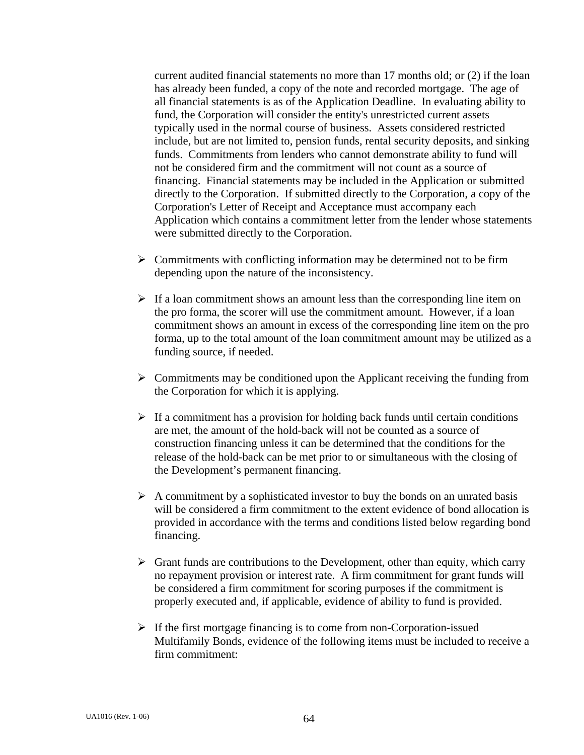current audited financial statements no more than 17 months old; or (2) if the loan has already been funded, a copy of the note and recorded mortgage. The age of all financial statements is as of the Application Deadline. In evaluating ability to fund, the Corporation will consider the entity's unrestricted current assets typically used in the normal course of business. Assets considered restricted include, but are not limited to, pension funds, rental security deposits, and sinking funds. Commitments from lenders who cannot demonstrate ability to fund will not be considered firm and the commitment will not count as a source of financing. Financial statements may be included in the Application or submitted directly to the Corporation. If submitted directly to the Corporation, a copy of the Corporation's Letter of Receipt and Acceptance must accompany each Application which contains a commitment letter from the lender whose statements were submitted directly to the Corporation.

- $\triangleright$  Commitments with conflicting information may be determined not to be firm depending upon the nature of the inconsistency.
- $\triangleright$  If a loan commitment shows an amount less than the corresponding line item on the pro forma, the scorer will use the commitment amount. However, if a loan commitment shows an amount in excess of the corresponding line item on the pro forma, up to the total amount of the loan commitment amount may be utilized as a funding source, if needed.
- $\triangleright$  Commitments may be conditioned upon the Applicant receiving the funding from the Corporation for which it is applying.
- $\triangleright$  If a commitment has a provision for holding back funds until certain conditions are met, the amount of the hold-back will not be counted as a source of construction financing unless it can be determined that the conditions for the release of the hold-back can be met prior to or simultaneous with the closing of the Development's permanent financing.
- $\triangleright$  A commitment by a sophisticated investor to buy the bonds on an unrated basis will be considered a firm commitment to the extent evidence of bond allocation is provided in accordance with the terms and conditions listed below regarding bond financing.
- $\triangleright$  Grant funds are contributions to the Development, other than equity, which carry no repayment provision or interest rate. A firm commitment for grant funds will be considered a firm commitment for scoring purposes if the commitment is properly executed and, if applicable, evidence of ability to fund is provided.
- $\triangleright$  If the first mortgage financing is to come from non-Corporation-issued Multifamily Bonds, evidence of the following items must be included to receive a firm commitment: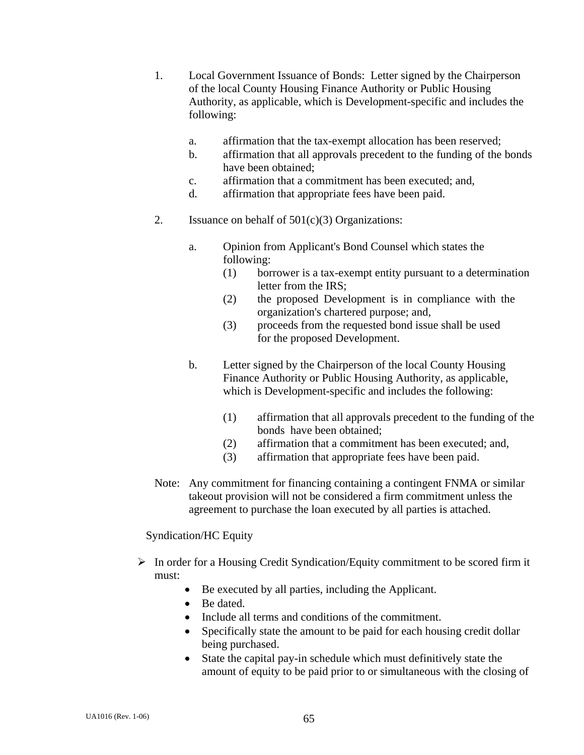- 1. Local Government Issuance of Bonds: Letter signed by the Chairperson of the local County Housing Finance Authority or Public Housing Authority, as applicable, which is Development-specific and includes the following:
	- a. affirmation that the tax-exempt allocation has been reserved;
	- **b.** affirmation that all approvals precedent to the funding of the bonds have been obtained;
	- c. affirmation that a commitment has been executed; and,
	- d. affirmation that appropriate fees have been paid.
- 2. Issuance on behalf of  $501(c)(3)$  Organizations:
	- a. Opinion from Applicant's Bond Counsel which states the following:
		- (1) borrower is a tax-exempt entity pursuant to a determination letter from the IRS;
		- (2) the proposed Development is in compliance with the organization's chartered purpose; and,
		- (3) proceeds from the requested bond issue shall be used for the proposed Development.
	- b. Letter signed by the Chairperson of the local County Housing Finance Authority or Public Housing Authority, as applicable, which is Development-specific and includes the following:
		- (1) affirmation that all approvals precedent to the funding of the bonds have been obtained;
		- (2) affirmation that a commitment has been executed; and,
		- (3) affirmation that appropriate fees have been paid.
- Note: Any commitment for financing containing a contingent FNMA or similar takeout provision will not be considered a firm commitment unless the agreement to purchase the loan executed by all parties is attached.

#### Syndication/HC Equity

- $\triangleright$  In order for a Housing Credit Syndication/Equity commitment to be scored firm it must:
	- Be executed by all parties, including the Applicant.
	- Be dated.
	- Include all terms and conditions of the commitment.
	- Specifically state the amount to be paid for each housing credit dollar being purchased.
	- State the capital pay-in schedule which must definitively state the amount of equity to be paid prior to or simultaneous with the closing of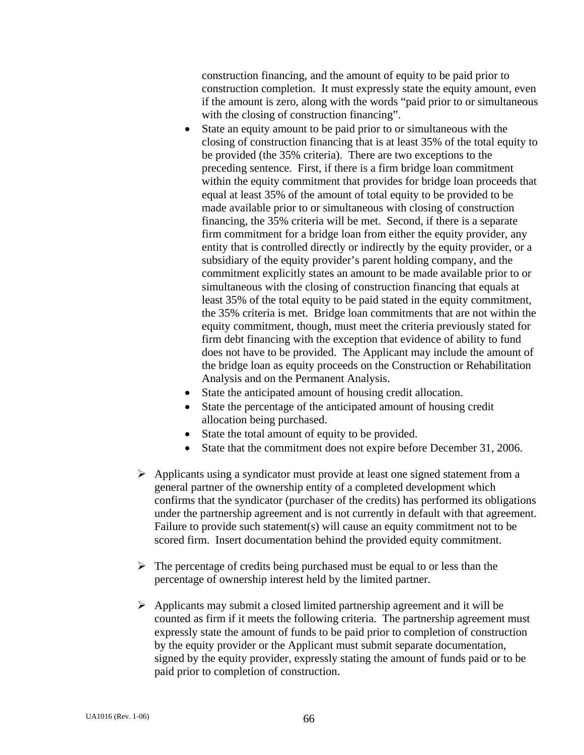construction financing, and the amount of equity to be paid prior to construction completion. It must expressly state the equity amount, even if the amount is zero, along with the words "paid prior to or simultaneous with the closing of construction financing".

- State an equity amount to be paid prior to or simultaneous with the closing of construction financing that is at least 35% of the total equity to be provided (the 35% criteria). There are two exceptions to the preceding sentence. First, if there is a firm bridge loan commitment within the equity commitment that provides for bridge loan proceeds that equal at least 35% of the amount of total equity to be provided to be made available prior to or simultaneous with closing of construction financing, the 35% criteria will be met. Second, if there is a separate firm commitment for a bridge loan from either the equity provider, any entity that is controlled directly or indirectly by the equity provider, or a subsidiary of the equity provider's parent holding company, and the commitment explicitly states an amount to be made available prior to or simultaneous with the closing of construction financing that equals at least 35% of the total equity to be paid stated in the equity commitment, the 35% criteria is met. Bridge loan commitments that are not within the equity commitment, though, must meet the criteria previously stated for firm debt financing with the exception that evidence of ability to fund does not have to be provided. The Applicant may include the amount of the bridge loan as equity proceeds on the Construction or Rehabilitation Analysis and on the Permanent Analysis.
- State the anticipated amount of housing credit allocation.
- State the percentage of the anticipated amount of housing credit allocation being purchased.
- State the total amount of equity to be provided.
- State that the commitment does not expire before December 31, 2006.
- $\triangleright$  Applicants using a syndicator must provide at least one signed statement from a general partner of the ownership entity of a completed development which confirms that the syndicator (purchaser of the credits) has performed its obligations under the partnership agreement and is not currently in default with that agreement. Failure to provide such statement(s) will cause an equity commitment not to be scored firm. Insert documentation behind the provided equity commitment.
- $\triangleright$  The percentage of credits being purchased must be equal to or less than the percentage of ownership interest held by the limited partner.
- $\triangleright$  Applicants may submit a closed limited partnership agreement and it will be counted as firm if it meets the following criteria. The partnership agreement must expressly state the amount of funds to be paid prior to completion of construction by the equity provider or the Applicant must submit separate documentation, signed by the equity provider, expressly stating the amount of funds paid or to be paid prior to completion of construction.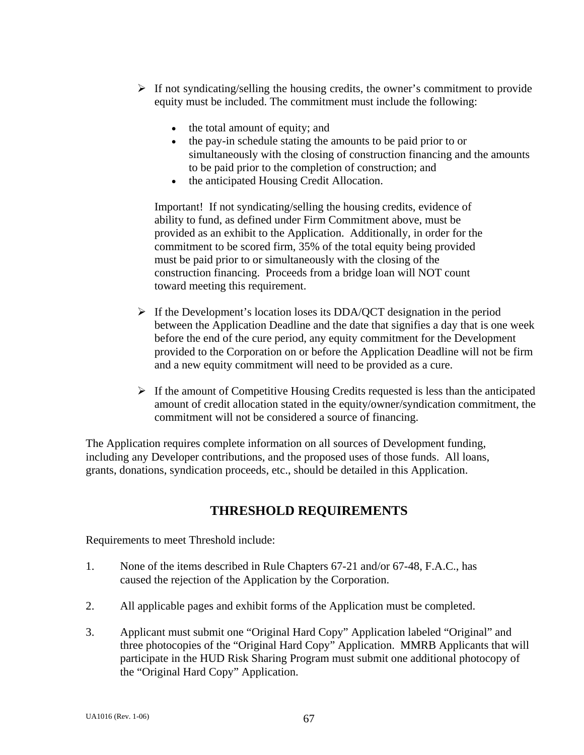- $\triangleright$  If not syndicating/selling the housing credits, the owner's commitment to provide equity must be included. The commitment must include the following:
	- the total amount of equity; and
	- the pay-in schedule stating the amounts to be paid prior to or simultaneously with the closing of construction financing and the amounts to be paid prior to the completion of construction; and
	- the anticipated Housing Credit Allocation.

 Important! If not syndicating/selling the housing credits, evidence of ability to fund, as defined under Firm Commitment above, must be provided as an exhibit to the Application. Additionally, in order for the commitment to be scored firm, 35% of the total equity being provided must be paid prior to or simultaneously with the closing of the construction financing. Proceeds from a bridge loan will NOT count toward meeting this requirement.

- $\triangleright$  If the Development's location loses its DDA/QCT designation in the period between the Application Deadline and the date that signifies a day that is one week before the end of the cure period, any equity commitment for the Development provided to the Corporation on or before the Application Deadline will not be firm and a new equity commitment will need to be provided as a cure.
- $\triangleright$  If the amount of Competitive Housing Credits requested is less than the anticipated amount of credit allocation stated in the equity/owner/syndication commitment, the commitment will not be considered a source of financing.

The Application requires complete information on all sources of Development funding, including any Developer contributions, and the proposed uses of those funds. All loans, grants, donations, syndication proceeds, etc., should be detailed in this Application.

# **THRESHOLD REQUIREMENTS**

Requirements to meet Threshold include:

- 1. None of the items described in Rule Chapters 67-21 and/or 67-48, F.A.C., has caused the rejection of the Application by the Corporation.
- 2. All applicable pages and exhibit forms of the Application must be completed.
- 3. Applicant must submit one "Original Hard Copy" Application labeled "Original" and three photocopies of the "Original Hard Copy" Application. MMRB Applicants that will participate in the HUD Risk Sharing Program must submit one additional photocopy of the "Original Hard Copy" Application.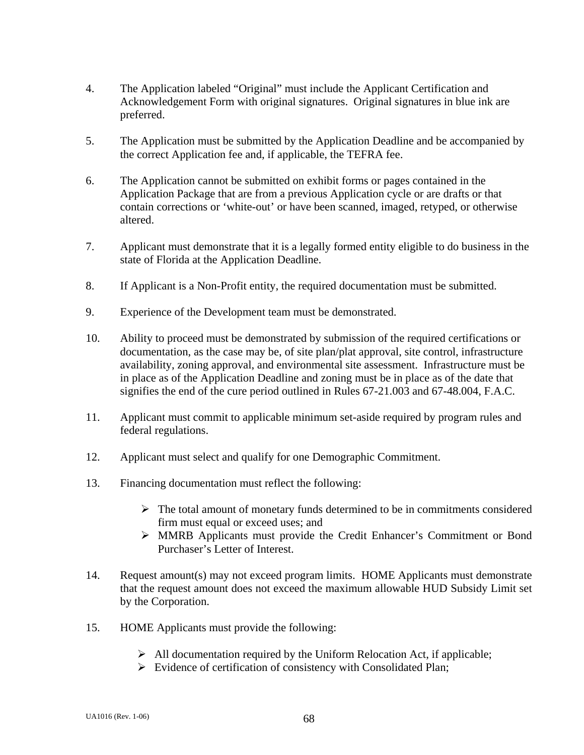- 4. The Application labeled "Original" must include the Applicant Certification and Acknowledgement Form with original signatures. Original signatures in blue ink are preferred.
- 5. The Application must be submitted by the Application Deadline and be accompanied by the correct Application fee and, if applicable, the TEFRA fee.
- 6. The Application cannot be submitted on exhibit forms or pages contained in the Application Package that are from a previous Application cycle or are drafts or that contain corrections or 'white-out' or have been scanned, imaged, retyped, or otherwise altered.
- 7. Applicant must demonstrate that it is a legally formed entity eligible to do business in the state of Florida at the Application Deadline.
- 8. If Applicant is a Non-Profit entity, the required documentation must be submitted.
- 9. Experience of the Development team must be demonstrated.
- 10. Ability to proceed must be demonstrated by submission of the required certifications or documentation, as the case may be, of site plan/plat approval, site control, infrastructure availability, zoning approval, and environmental site assessment. Infrastructure must be in place as of the Application Deadline and zoning must be in place as of the date that signifies the end of the cure period outlined in Rules 67-21.003 and 67-48.004, F.A.C.
- 11. Applicant must commit to applicable minimum set-aside required by program rules and federal regulations.
- 12. Applicant must select and qualify for one Demographic Commitment.
- 13. Financing documentation must reflect the following:
	- $\triangleright$  The total amount of monetary funds determined to be in commitments considered firm must equal or exceed uses; and
	- ¾ MMRB Applicants must provide the Credit Enhancer's Commitment or Bond Purchaser's Letter of Interest.
- 14. Request amount(s) may not exceed program limits. HOME Applicants must demonstrate that the request amount does not exceed the maximum allowable HUD Subsidy Limit set by the Corporation.
- 15. HOME Applicants must provide the following:
	- $\triangleright$  All documentation required by the Uniform Relocation Act, if applicable;
	- $\triangleright$  Evidence of certification of consistency with Consolidated Plan;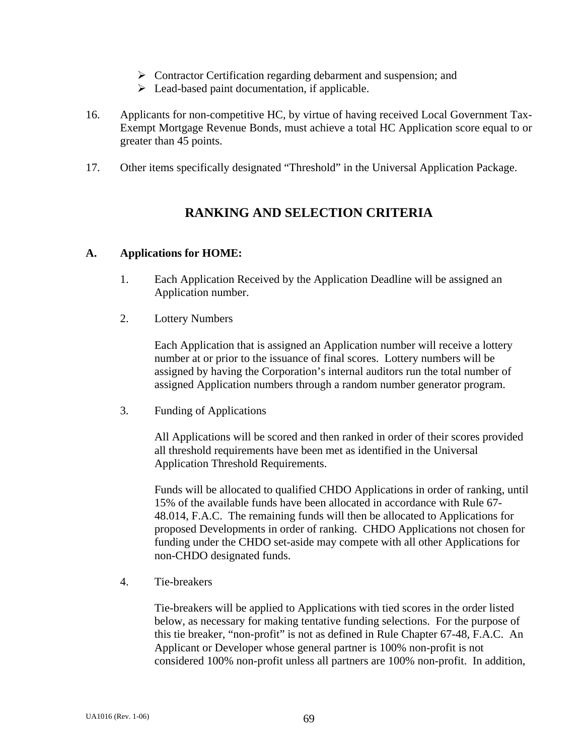- ¾ Contractor Certification regarding debarment and suspension; and
- $\triangleright$  Lead-based paint documentation, if applicable.
- 16. Applicants for non-competitive HC, by virtue of having received Local Government Tax-Exempt Mortgage Revenue Bonds, must achieve a total HC Application score equal to or greater than 45 points.
- 17. Other items specifically designated "Threshold" in the Universal Application Package.

# **RANKING AND SELECTION CRITERIA**

#### **A. Applications for HOME:**

- 1. Each Application Received by the Application Deadline will be assigned an Application number.
- 2. Lottery Numbers

Each Application that is assigned an Application number will receive a lottery number at or prior to the issuance of final scores. Lottery numbers will be assigned by having the Corporation's internal auditors run the total number of assigned Application numbers through a random number generator program.

3. Funding of Applications

 All Applications will be scored and then ranked in order of their scores provided all threshold requirements have been met as identified in the Universal Application Threshold Requirements.

 Funds will be allocated to qualified CHDO Applications in order of ranking, until 15% of the available funds have been allocated in accordance with Rule 67- 48.014, F.A.C. The remaining funds will then be allocated to Applications for proposed Developments in order of ranking. CHDO Applications not chosen for funding under the CHDO set-aside may compete with all other Applications for non-CHDO designated funds.

4. Tie-breakers

Tie-breakers will be applied to Applications with tied scores in the order listed below, as necessary for making tentative funding selections. For the purpose of this tie breaker, "non-profit" is not as defined in Rule Chapter 67-48, F.A.C. An Applicant or Developer whose general partner is 100% non-profit is not considered 100% non-profit unless all partners are 100% non-profit. In addition,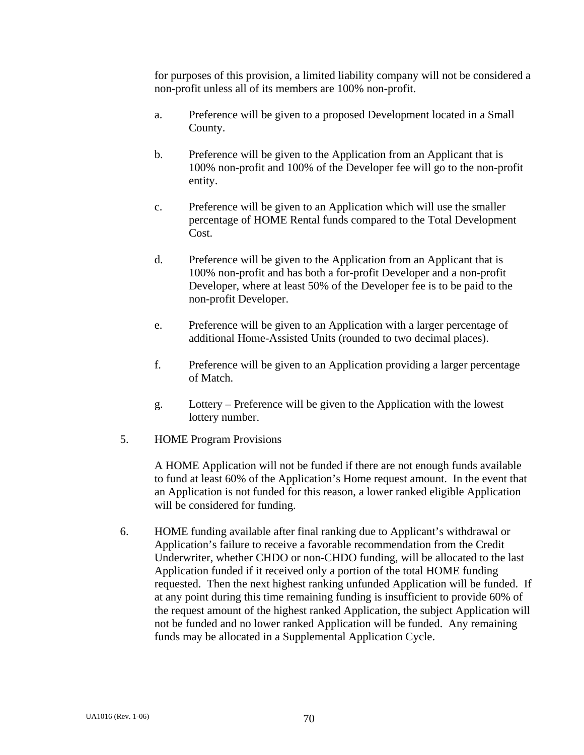for purposes of this provision, a limited liability company will not be considered a non-profit unless all of its members are 100% non-profit.

- a. Preference will be given to a proposed Development located in a Small County.
- b. Preference will be given to the Application from an Applicant that is 100% non-profit and 100% of the Developer fee will go to the non-profit entity.
- c. Preference will be given to an Application which will use the smaller percentage of HOME Rental funds compared to the Total Development Cost.
- d. Preference will be given to the Application from an Applicant that is 100% non-profit and has both a for-profit Developer and a non-profit Developer, where at least 50% of the Developer fee is to be paid to the non-profit Developer.
- e. Preference will be given to an Application with a larger percentage of additional Home-Assisted Units (rounded to two decimal places).
- f. Preference will be given to an Application providing a larger percentage of Match.
- g. Lottery Preference will be given to the Application with the lowest lottery number.
- 5. HOME Program Provisions

 A HOME Application will not be funded if there are not enough funds available to fund at least 60% of the Application's Home request amount. In the event that an Application is not funded for this reason, a lower ranked eligible Application will be considered for funding.

 6. HOME funding available after final ranking due to Applicant's withdrawal or Application's failure to receive a favorable recommendation from the Credit Underwriter, whether CHDO or non-CHDO funding, will be allocated to the last Application funded if it received only a portion of the total HOME funding requested. Then the next highest ranking unfunded Application will be funded. If at any point during this time remaining funding is insufficient to provide 60% of the request amount of the highest ranked Application, the subject Application will not be funded and no lower ranked Application will be funded. Any remaining funds may be allocated in a Supplemental Application Cycle.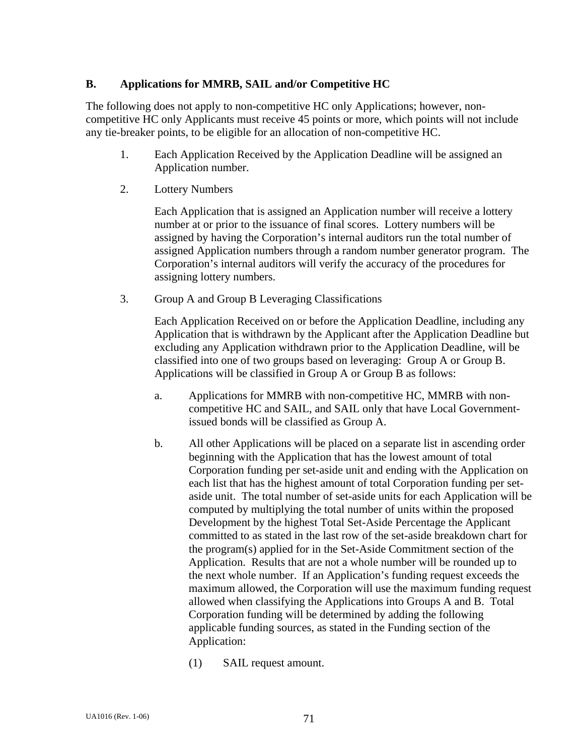### **B. Applications for MMRB, SAIL and/or Competitive HC**

The following does not apply to non-competitive HC only Applications; however, noncompetitive HC only Applicants must receive 45 points or more, which points will not include any tie-breaker points, to be eligible for an allocation of non-competitive HC.

- 1. Each Application Received by the Application Deadline will be assigned an Application number.
- 2. Lottery Numbers

Each Application that is assigned an Application number will receive a lottery number at or prior to the issuance of final scores. Lottery numbers will be assigned by having the Corporation's internal auditors run the total number of assigned Application numbers through a random number generator program. The Corporation's internal auditors will verify the accuracy of the procedures for assigning lottery numbers.

3. Group A and Group B Leveraging Classifications

Each Application Received on or before the Application Deadline, including any Application that is withdrawn by the Applicant after the Application Deadline but excluding any Application withdrawn prior to the Application Deadline, will be classified into one of two groups based on leveraging: Group A or Group B. Applications will be classified in Group A or Group B as follows:

- a. Applications for MMRB with non-competitive HC, MMRB with noncompetitive HC and SAIL, and SAIL only that have Local Governmentissued bonds will be classified as Group A.
- b. All other Applications will be placed on a separate list in ascending order beginning with the Application that has the lowest amount of total Corporation funding per set-aside unit and ending with the Application on each list that has the highest amount of total Corporation funding per setaside unit. The total number of set-aside units for each Application will be computed by multiplying the total number of units within the proposed Development by the highest Total Set-Aside Percentage the Applicant committed to as stated in the last row of the set-aside breakdown chart for the program(s) applied for in the Set-Aside Commitment section of the Application. Results that are not a whole number will be rounded up to the next whole number. If an Application's funding request exceeds the maximum allowed, the Corporation will use the maximum funding request allowed when classifying the Applications into Groups A and B. Total Corporation funding will be determined by adding the following applicable funding sources, as stated in the Funding section of the Application:
	- (1) SAIL request amount.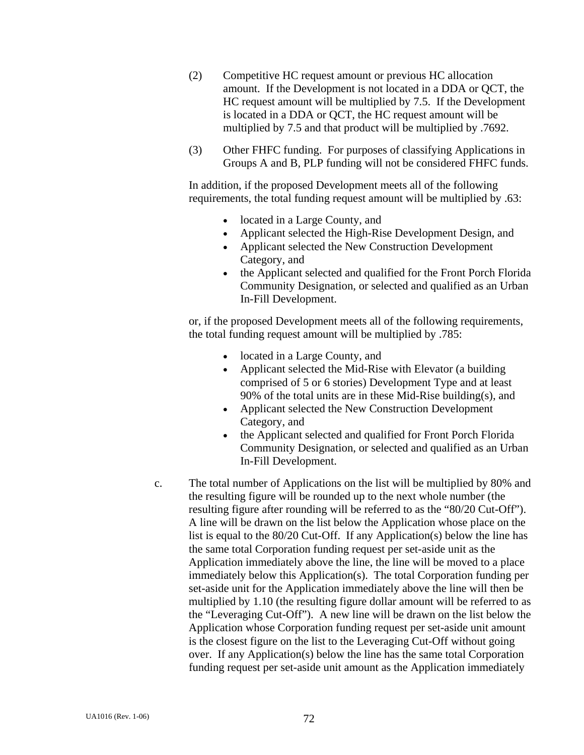- (2) Competitive HC request amount or previous HC allocation amount. If the Development is not located in a DDA or QCT, the HC request amount will be multiplied by 7.5. If the Development is located in a DDA or QCT, the HC request amount will be multiplied by 7.5 and that product will be multiplied by .7692.
- (3) Other FHFC funding. For purposes of classifying Applications in Groups A and B, PLP funding will not be considered FHFC funds.

In addition, if the proposed Development meets all of the following requirements, the total funding request amount will be multiplied by .63:

- located in a Large County, and
- Applicant selected the High-Rise Development Design, and
- Applicant selected the New Construction Development Category, and
- the Applicant selected and qualified for the Front Porch Florida Community Designation, or selected and qualified as an Urban In-Fill Development.

or, if the proposed Development meets all of the following requirements, the total funding request amount will be multiplied by .785:

- located in a Large County, and
- Applicant selected the Mid-Rise with Elevator (a building comprised of 5 or 6 stories) Development Type and at least 90% of the total units are in these Mid-Rise building(s), and
- Applicant selected the New Construction Development Category, and
- the Applicant selected and qualified for Front Porch Florida Community Designation, or selected and qualified as an Urban In-Fill Development.
- c. The total number of Applications on the list will be multiplied by 80% and the resulting figure will be rounded up to the next whole number (the resulting figure after rounding will be referred to as the "80/20 Cut-Off"). A line will be drawn on the list below the Application whose place on the list is equal to the 80/20 Cut-Off. If any Application(s) below the line has the same total Corporation funding request per set-aside unit as the Application immediately above the line, the line will be moved to a place immediately below this Application(s). The total Corporation funding per set-aside unit for the Application immediately above the line will then be multiplied by 1.10 (the resulting figure dollar amount will be referred to as the "Leveraging Cut-Off"). A new line will be drawn on the list below the Application whose Corporation funding request per set-aside unit amount is the closest figure on the list to the Leveraging Cut-Off without going over. If any Application(s) below the line has the same total Corporation funding request per set-aside unit amount as the Application immediately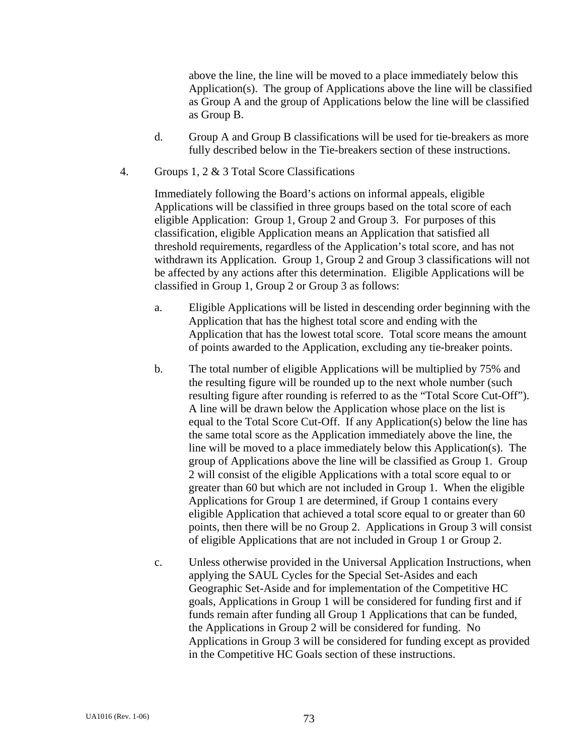above the line, the line will be moved to a place immediately below this Application(s). The group of Applications above the line will be classified as Group A and the group of Applications below the line will be classified as Group B.

- d. Group A and Group B classifications will be used for tie-breakers as more fully described below in the Tie-breakers section of these instructions.
- 4. Groups 1, 2 & 3 Total Score Classifications

Immediately following the Board's actions on informal appeals, eligible Applications will be classified in three groups based on the total score of each eligible Application: Group 1, Group 2 and Group 3. For purposes of this classification, eligible Application means an Application that satisfied all threshold requirements, regardless of the Application's total score, and has not withdrawn its Application. Group 1, Group 2 and Group 3 classifications will not be affected by any actions after this determination. Eligible Applications will be classified in Group 1, Group 2 or Group 3 as follows:

- a. Eligible Applications will be listed in descending order beginning with the Application that has the highest total score and ending with the Application that has the lowest total score. Total score means the amount of points awarded to the Application, excluding any tie-breaker points.
- b. The total number of eligible Applications will be multiplied by 75% and the resulting figure will be rounded up to the next whole number (such resulting figure after rounding is referred to as the "Total Score Cut-Off"). A line will be drawn below the Application whose place on the list is equal to the Total Score Cut-Off. If any Application(s) below the line has the same total score as the Application immediately above the line, the line will be moved to a place immediately below this Application(s). The group of Applications above the line will be classified as Group 1. Group 2 will consist of the eligible Applications with a total score equal to or greater than 60 but which are not included in Group 1. When the eligible Applications for Group 1 are determined, if Group 1 contains every eligible Application that achieved a total score equal to or greater than 60 points, then there will be no Group 2. Applications in Group 3 will consist of eligible Applications that are not included in Group 1 or Group 2.
- c. Unless otherwise provided in the Universal Application Instructions, when applying the SAUL Cycles for the Special Set-Asides and each Geographic Set-Aside and for implementation of the Competitive HC goals, Applications in Group 1 will be considered for funding first and if funds remain after funding all Group 1 Applications that can be funded, the Applications in Group 2 will be considered for funding. No Applications in Group 3 will be considered for funding except as provided in the Competitive HC Goals section of these instructions.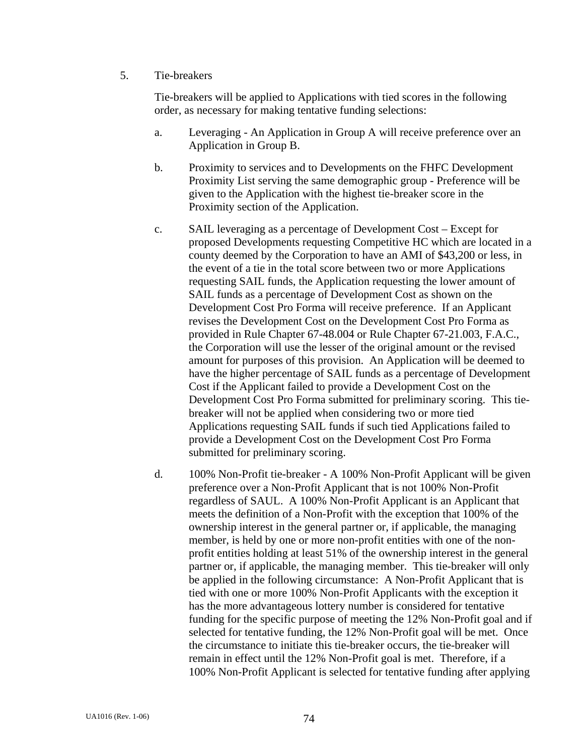## 5. Tie-breakers

Tie-breakers will be applied to Applications with tied scores in the following order, as necessary for making tentative funding selections:

- a. Leveraging An Application in Group A will receive preference over an Application in Group B.
- b. Proximity to services and to Developments on the FHFC Development Proximity List serving the same demographic group - Preference will be given to the Application with the highest tie-breaker score in the Proximity section of the Application.
- c. SAIL leveraging as a percentage of Development Cost Except for proposed Developments requesting Competitive HC which are located in a county deemed by the Corporation to have an AMI of \$43,200 or less, in the event of a tie in the total score between two or more Applications requesting SAIL funds, the Application requesting the lower amount of SAIL funds as a percentage of Development Cost as shown on the Development Cost Pro Forma will receive preference. If an Applicant revises the Development Cost on the Development Cost Pro Forma as provided in Rule Chapter 67-48.004 or Rule Chapter 67-21.003, F.A.C., the Corporation will use the lesser of the original amount or the revised amount for purposes of this provision. An Application will be deemed to have the higher percentage of SAIL funds as a percentage of Development Cost if the Applicant failed to provide a Development Cost on the Development Cost Pro Forma submitted for preliminary scoring. This tiebreaker will not be applied when considering two or more tied Applications requesting SAIL funds if such tied Applications failed to provide a Development Cost on the Development Cost Pro Forma submitted for preliminary scoring.
- d. 100% Non-Profit tie-breaker A 100% Non-Profit Applicant will be given preference over a Non-Profit Applicant that is not 100% Non-Profit regardless of SAUL. A 100% Non-Profit Applicant is an Applicant that meets the definition of a Non-Profit with the exception that 100% of the ownership interest in the general partner or, if applicable, the managing member, is held by one or more non-profit entities with one of the nonprofit entities holding at least 51% of the ownership interest in the general partner or, if applicable, the managing member. This tie-breaker will only be applied in the following circumstance: A Non-Profit Applicant that is tied with one or more 100% Non-Profit Applicants with the exception it has the more advantageous lottery number is considered for tentative funding for the specific purpose of meeting the 12% Non-Profit goal and if selected for tentative funding, the 12% Non-Profit goal will be met. Once the circumstance to initiate this tie-breaker occurs, the tie-breaker will remain in effect until the 12% Non-Profit goal is met. Therefore, if a 100% Non-Profit Applicant is selected for tentative funding after applying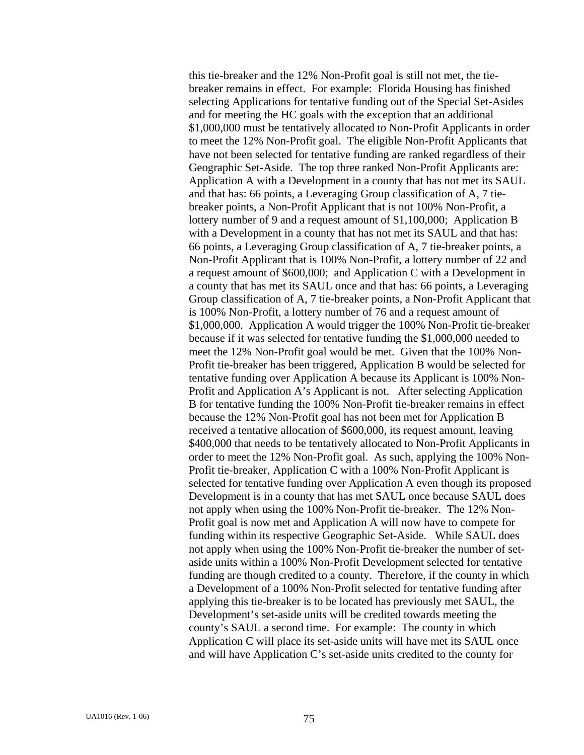this tie-breaker and the 12% Non-Profit goal is still not met, the tiebreaker remains in effect. For example: Florida Housing has finished selecting Applications for tentative funding out of the Special Set-Asides and for meeting the HC goals with the exception that an additional \$1,000,000 must be tentatively allocated to Non-Profit Applicants in order to meet the 12% Non-Profit goal. The eligible Non-Profit Applicants that have not been selected for tentative funding are ranked regardless of their Geographic Set-Aside. The top three ranked Non-Profit Applicants are: Application A with a Development in a county that has not met its SAUL and that has: 66 points, a Leveraging Group classification of A, 7 tiebreaker points, a Non-Profit Applicant that is not 100% Non-Profit, a lottery number of 9 and a request amount of \$1,100,000; Application B with a Development in a county that has not met its SAUL and that has: 66 points, a Leveraging Group classification of A, 7 tie-breaker points, a Non-Profit Applicant that is 100% Non-Profit, a lottery number of 22 and a request amount of \$600,000; and Application C with a Development in a county that has met its SAUL once and that has: 66 points, a Leveraging Group classification of A, 7 tie-breaker points, a Non-Profit Applicant that is 100% Non-Profit, a lottery number of 76 and a request amount of \$1,000,000. Application A would trigger the 100% Non-Profit tie-breaker because if it was selected for tentative funding the \$1,000,000 needed to meet the 12% Non-Profit goal would be met. Given that the 100% Non-Profit tie-breaker has been triggered, Application B would be selected for tentative funding over Application A because its Applicant is 100% Non-Profit and Application A's Applicant is not. After selecting Application B for tentative funding the 100% Non-Profit tie-breaker remains in effect because the 12% Non-Profit goal has not been met for Application B received a tentative allocation of \$600,000, its request amount, leaving \$400,000 that needs to be tentatively allocated to Non-Profit Applicants in order to meet the 12% Non-Profit goal. As such, applying the 100% Non-Profit tie-breaker, Application C with a 100% Non-Profit Applicant is selected for tentative funding over Application A even though its proposed Development is in a county that has met SAUL once because SAUL does not apply when using the 100% Non-Profit tie-breaker. The 12% Non-Profit goal is now met and Application A will now have to compete for funding within its respective Geographic Set-Aside. While SAUL does not apply when using the 100% Non-Profit tie-breaker the number of setaside units within a 100% Non-Profit Development selected for tentative funding are though credited to a county. Therefore, if the county in which a Development of a 100% Non-Profit selected for tentative funding after applying this tie-breaker is to be located has previously met SAUL, the Development's set-aside units will be credited towards meeting the county's SAUL a second time. For example: The county in which Application C will place its set-aside units will have met its SAUL once and will have Application C's set-aside units credited to the county for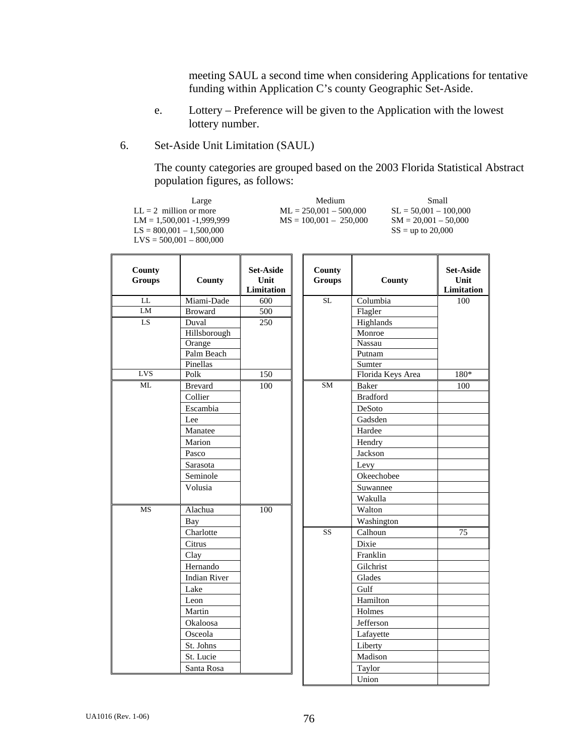meeting SAUL a second time when considering Applications for tentative funding within Application C's county Geographic Set-Aside.

- e. Lottery Preference will be given to the Application with the lowest lottery number.
- 6. Set-Aside Unit Limitation (SAUL)

 The county categories are grouped based on the 2003 Florida Statistical Abstract population figures, as follows:

 $LM = 1,500,001 - 1,999,999$ <br> $LS = 800,001 - 1,500,000$ <br> $SS = up to 20,000$ <br> $SS = up to 20,000$  $LS = 800,001 - 1,500,000$ LVS = 500,001 – 800,000

Large Medium Small<br>LL = 2 million or more ML = 250,001 - 500,000 SL = 50,001 - 100,000  $ML = 250,001 - 500,000$ <br> $MS = 100,001 - 250,000$ <br> $SM = 20,001 - 50,000$ 

| County<br><b>Groups</b> | County              | <b>Set-Aside</b><br>Unit<br>Limitation | County<br><b>Groups</b> | County            | <b>Set-Aside</b><br>Unit<br>Limitation |
|-------------------------|---------------------|----------------------------------------|-------------------------|-------------------|----------------------------------------|
| $\overline{\text{LL}}$  | Miami-Dade          | 600                                    | $\overline{\text{SL}}$  | Columbia          | 100                                    |
| LM                      | <b>Broward</b>      | 500                                    |                         | Flagler           |                                        |
| LS                      | Duval               | 250                                    |                         | Highlands         |                                        |
|                         | Hillsborough        |                                        |                         | Monroe            |                                        |
|                         | Orange              |                                        |                         | Nassau            |                                        |
|                         | Palm Beach          |                                        |                         | Putnam            |                                        |
|                         | Pinellas            |                                        |                         | Sumter            |                                        |
| LVS                     | Polk                | 150                                    |                         | Florida Keys Area | 180*                                   |
| <b>ML</b>               | <b>Brevard</b>      | 100                                    | <b>SM</b>               | <b>Baker</b>      | 100                                    |
|                         | Collier             |                                        |                         | <b>Bradford</b>   |                                        |
|                         | Escambia            |                                        |                         | DeSoto            |                                        |
|                         | Lee                 |                                        |                         | Gadsden           |                                        |
|                         | Manatee             |                                        |                         | Hardee            |                                        |
|                         | Marion              |                                        |                         | Hendry            |                                        |
|                         | Pasco               |                                        |                         | Jackson           |                                        |
|                         | Sarasota            |                                        |                         | Levy              |                                        |
|                         | Seminole            |                                        |                         | Okeechobee        |                                        |
|                         | Volusia             |                                        |                         | Suwannee          |                                        |
|                         |                     |                                        |                         | Wakulla           |                                        |
| MS                      | Alachua             | 100                                    |                         | Walton            |                                        |
|                         | Bay                 |                                        |                         | Washington        |                                        |
|                         | Charlotte           |                                        | $\overline{\text{SS}}$  | Calhoun           | 75                                     |
|                         | Citrus              |                                        |                         | Dixie             |                                        |
|                         | Clay                |                                        |                         | Franklin          |                                        |
|                         | Hernando            |                                        |                         | Gilchrist         |                                        |
|                         | <b>Indian River</b> |                                        |                         | Glades            |                                        |
|                         | Lake                |                                        |                         | Gulf              |                                        |
|                         | Leon                |                                        |                         | Hamilton          |                                        |
|                         | Martin              |                                        |                         | Holmes            |                                        |
|                         | Okaloosa            |                                        |                         | Jefferson         |                                        |
|                         | Osceola             |                                        |                         | Lafayette         |                                        |
|                         | St. Johns           |                                        |                         | Liberty           |                                        |
|                         | St. Lucie           |                                        |                         | Madison           |                                        |
|                         | Santa Rosa          |                                        |                         | Taylor            |                                        |
|                         |                     |                                        |                         | Union             |                                        |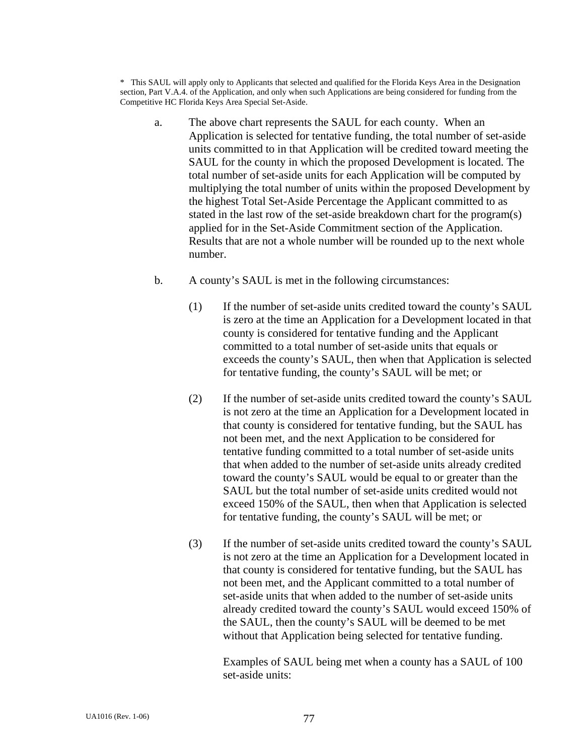\* This SAUL will apply only to Applicants that selected and qualified for the Florida Keys Area in the Designation section, Part V.A.4. of the Application, and only when such Applications are being considered for funding from the Competitive HC Florida Keys Area Special Set-Aside.

- a. The above chart represents the SAUL for each county. When an Application is selected for tentative funding, the total number of set-aside units committed to in that Application will be credited toward meeting the SAUL for the county in which the proposed Development is located. The total number of set-aside units for each Application will be computed by multiplying the total number of units within the proposed Development by the highest Total Set-Aside Percentage the Applicant committed to as stated in the last row of the set-aside breakdown chart for the program(s) applied for in the Set-Aside Commitment section of the Application. Results that are not a whole number will be rounded up to the next whole number.
- b. A county's SAUL is met in the following circumstances:
	- (1) If the number of set-aside units credited toward the county's SAUL is zero at the time an Application for a Development located in that county is considered for tentative funding and the Applicant committed to a total number of set-aside units that equals or exceeds the county's SAUL, then when that Application is selected for tentative funding, the county's SAUL will be met; or
	- (2) If the number of set-aside units credited toward the county's SAUL is not zero at the time an Application for a Development located in that county is considered for tentative funding, but the SAUL has not been met, and the next Application to be considered for tentative funding committed to a total number of set-aside units that when added to the number of set-aside units already credited toward the county's SAUL would be equal to or greater than the SAUL but the total number of set-aside units credited would not exceed 150% of the SAUL, then when that Application is selected for tentative funding, the county's SAUL will be met; or
	- (3) If the number of set-aside units credited toward the county's SAUL is not zero at the time an Application for a Development located in that county is considered for tentative funding, but the SAUL has not been met, and the Applicant committed to a total number of set-aside units that when added to the number of set-aside units already credited toward the county's SAUL would exceed 150% of the SAUL, then the county's SAUL will be deemed to be met without that Application being selected for tentative funding.

 Examples of SAUL being met when a county has a SAUL of 100 set-aside units: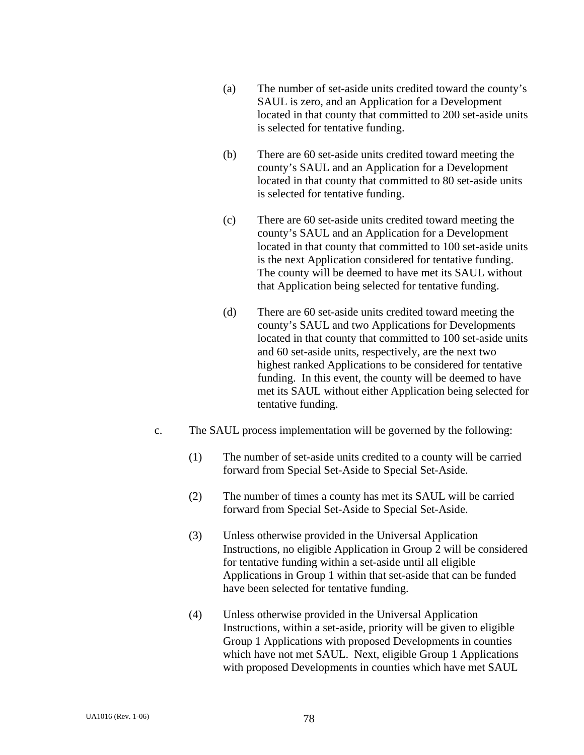- (a) The number of set-aside units credited toward the county's SAUL is zero, and an Application for a Development located in that county that committed to 200 set-aside units is selected for tentative funding.
- (b) There are 60 set-aside units credited toward meeting the county's SAUL and an Application for a Development located in that county that committed to 80 set-aside units is selected for tentative funding.
- (c) There are 60 set-aside units credited toward meeting the county's SAUL and an Application for a Development located in that county that committed to 100 set-aside units is the next Application considered for tentative funding. The county will be deemed to have met its SAUL without that Application being selected for tentative funding.
- (d) There are 60 set-aside units credited toward meeting the county's SAUL and two Applications for Developments located in that county that committed to 100 set-aside units and 60 set-aside units, respectively, are the next two highest ranked Applications to be considered for tentative funding. In this event, the county will be deemed to have met its SAUL without either Application being selected for tentative funding.
- c. The SAUL process implementation will be governed by the following:
	- (1) The number of set-aside units credited to a county will be carried forward from Special Set-Aside to Special Set-Aside.
	- (2) The number of times a county has met its SAUL will be carried forward from Special Set-Aside to Special Set-Aside.
	- (3) Unless otherwise provided in the Universal Application Instructions, no eligible Application in Group 2 will be considered for tentative funding within a set-aside until all eligible Applications in Group 1 within that set-aside that can be funded have been selected for tentative funding.
	- (4) Unless otherwise provided in the Universal Application Instructions, within a set-aside, priority will be given to eligible Group 1 Applications with proposed Developments in counties which have not met SAUL. Next, eligible Group 1 Applications with proposed Developments in counties which have met SAUL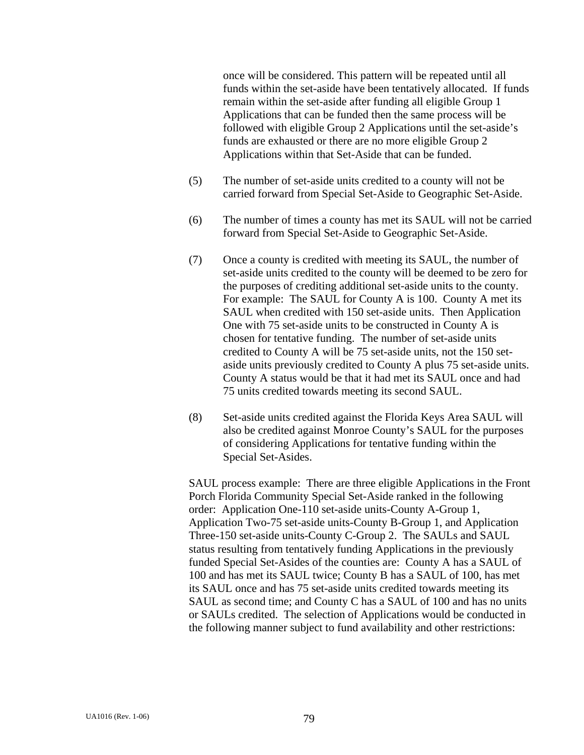once will be considered. This pattern will be repeated until all funds within the set-aside have been tentatively allocated. If funds remain within the set-aside after funding all eligible Group 1 Applications that can be funded then the same process will be followed with eligible Group 2 Applications until the set-aside's funds are exhausted or there are no more eligible Group 2 Applications within that Set-Aside that can be funded.

- (5) The number of set-aside units credited to a county will not be carried forward from Special Set-Aside to Geographic Set-Aside.
- (6) The number of times a county has met its SAUL will not be carried forward from Special Set-Aside to Geographic Set-Aside.
- (7) Once a county is credited with meeting its SAUL, the number of set-aside units credited to the county will be deemed to be zero for the purposes of crediting additional set-aside units to the county. For example: The SAUL for County A is 100. County A met its SAUL when credited with 150 set-aside units. Then Application One with 75 set-aside units to be constructed in County A is chosen for tentative funding. The number of set-aside units credited to County A will be 75 set-aside units, not the 150 setaside units previously credited to County A plus 75 set-aside units. County A status would be that it had met its SAUL once and had 75 units credited towards meeting its second SAUL.
- (8) Set-aside units credited against the Florida Keys Area SAUL will also be credited against Monroe County's SAUL for the purposes of considering Applications for tentative funding within the Special Set-Asides.

SAUL process example: There are three eligible Applications in the Front Porch Florida Community Special Set-Aside ranked in the following order: Application One-110 set-aside units-County A-Group 1, Application Two-75 set-aside units-County B-Group 1, and Application Three-150 set-aside units-County C-Group 2. The SAULs and SAUL status resulting from tentatively funding Applications in the previously funded Special Set-Asides of the counties are: County A has a SAUL of 100 and has met its SAUL twice; County B has a SAUL of 100, has met its SAUL once and has 75 set-aside units credited towards meeting its SAUL as second time; and County C has a SAUL of 100 and has no units or SAULs credited. The selection of Applications would be conducted in the following manner subject to fund availability and other restrictions: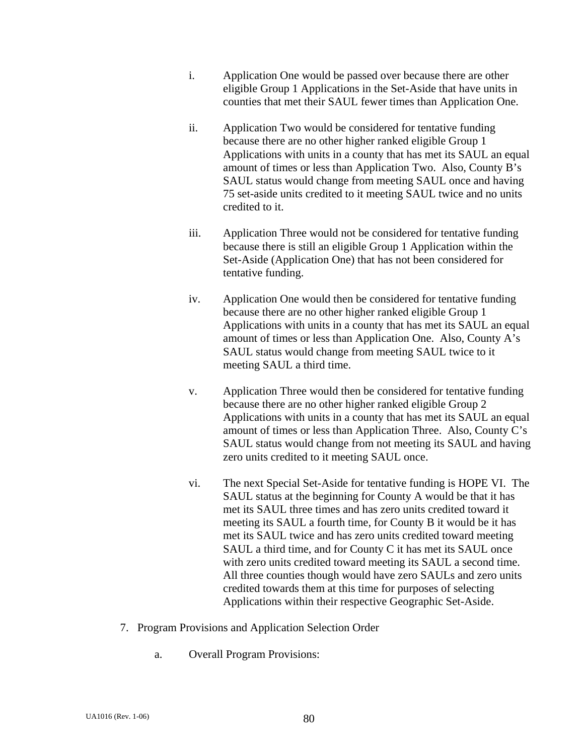- i. Application One would be passed over because there are other eligible Group 1 Applications in the Set-Aside that have units in counties that met their SAUL fewer times than Application One.
- ii. Application Two would be considered for tentative funding because there are no other higher ranked eligible Group 1 Applications with units in a county that has met its SAUL an equal amount of times or less than Application Two. Also, County B's SAUL status would change from meeting SAUL once and having 75 set-aside units credited to it meeting SAUL twice and no units credited to it.
- iii. Application Three would not be considered for tentative funding because there is still an eligible Group 1 Application within the Set-Aside (Application One) that has not been considered for tentative funding.
- iv. Application One would then be considered for tentative funding because there are no other higher ranked eligible Group 1 Applications with units in a county that has met its SAUL an equal amount of times or less than Application One. Also, County A's SAUL status would change from meeting SAUL twice to it meeting SAUL a third time.
- v. Application Three would then be considered for tentative funding because there are no other higher ranked eligible Group 2 Applications with units in a county that has met its SAUL an equal amount of times or less than Application Three. Also, County C's SAUL status would change from not meeting its SAUL and having zero units credited to it meeting SAUL once.
- vi. The next Special Set-Aside for tentative funding is HOPE VI. The SAUL status at the beginning for County A would be that it has met its SAUL three times and has zero units credited toward it meeting its SAUL a fourth time, for County B it would be it has met its SAUL twice and has zero units credited toward meeting SAUL a third time, and for County C it has met its SAUL once with zero units credited toward meeting its SAUL a second time. All three counties though would have zero SAULs and zero units credited towards them at this time for purposes of selecting Applications within their respective Geographic Set-Aside.
- 7. Program Provisions and Application Selection Order
	- a. Overall Program Provisions: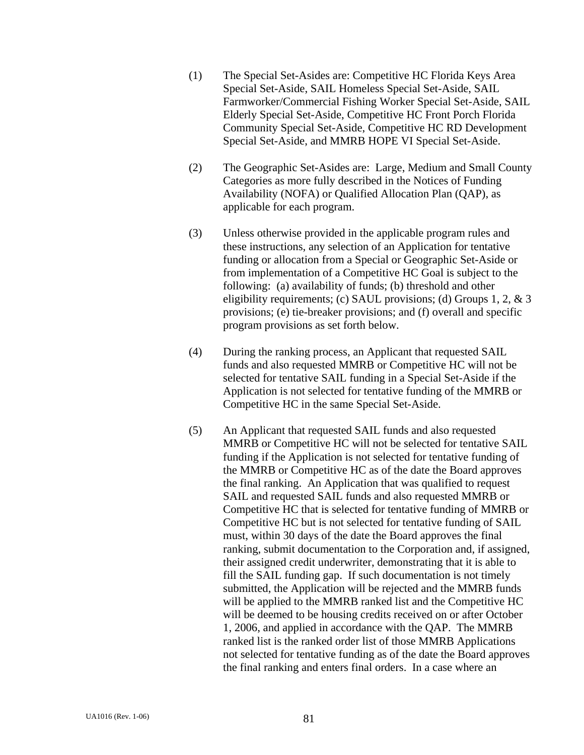- (1) The Special Set-Asides are: Competitive HC Florida Keys Area Special Set-Aside, SAIL Homeless Special Set-Aside, SAIL Farmworker/Commercial Fishing Worker Special Set-Aside, SAIL Elderly Special Set-Aside, Competitive HC Front Porch Florida Community Special Set-Aside, Competitive HC RD Development Special Set-Aside, and MMRB HOPE VI Special Set-Aside.
- (2) The Geographic Set-Asides are: Large, Medium and Small County Categories as more fully described in the Notices of Funding Availability (NOFA) or Qualified Allocation Plan (QAP), as applicable for each program.
- (3) Unless otherwise provided in the applicable program rules and these instructions, any selection of an Application for tentative funding or allocation from a Special or Geographic Set-Aside or from implementation of a Competitive HC Goal is subject to the following: (a) availability of funds; (b) threshold and other eligibility requirements; (c) SAUL provisions; (d) Groups 1, 2, & 3 provisions; (e) tie-breaker provisions; and (f) overall and specific program provisions as set forth below.
- (4) During the ranking process, an Applicant that requested SAIL funds and also requested MMRB or Competitive HC will not be selected for tentative SAIL funding in a Special Set-Aside if the Application is not selected for tentative funding of the MMRB or Competitive HC in the same Special Set-Aside.
- (5) An Applicant that requested SAIL funds and also requested MMRB or Competitive HC will not be selected for tentative SAIL funding if the Application is not selected for tentative funding of the MMRB or Competitive HC as of the date the Board approves the final ranking. An Application that was qualified to request SAIL and requested SAIL funds and also requested MMRB or Competitive HC that is selected for tentative funding of MMRB or Competitive HC but is not selected for tentative funding of SAIL must, within 30 days of the date the Board approves the final ranking, submit documentation to the Corporation and, if assigned, their assigned credit underwriter, demonstrating that it is able to fill the SAIL funding gap. If such documentation is not timely submitted, the Application will be rejected and the MMRB funds will be applied to the MMRB ranked list and the Competitive HC will be deemed to be housing credits received on or after October 1, 2006, and applied in accordance with the QAP.The MMRB ranked list is the ranked order list of those MMRB Applications not selected for tentative funding as of the date the Board approves the final ranking and enters final orders. In a case where an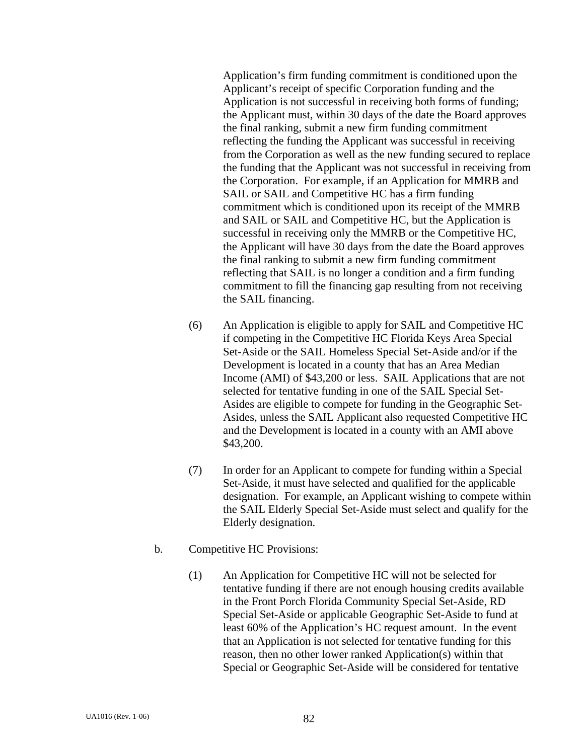Application's firm funding commitment is conditioned upon the Applicant's receipt of specific Corporation funding and the Application is not successful in receiving both forms of funding; the Applicant must, within 30 days of the date the Board approves the final ranking, submit a new firm funding commitment reflecting the funding the Applicant was successful in receiving from the Corporation as well as the new funding secured to replace the funding that the Applicant was not successful in receiving from the Corporation. For example, if an Application for MMRB and SAIL or SAIL and Competitive HC has a firm funding commitment which is conditioned upon its receipt of the MMRB and SAIL or SAIL and Competitive HC, but the Application is successful in receiving only the MMRB or the Competitive HC, the Applicant will have 30 days from the date the Board approves the final ranking to submit a new firm funding commitment reflecting that SAIL is no longer a condition and a firm funding commitment to fill the financing gap resulting from not receiving the SAIL financing.

- (6) An Application is eligible to apply for SAIL and Competitive HC if competing in the Competitive HC Florida Keys Area Special Set-Aside or the SAIL Homeless Special Set-Aside and/or if the Development is located in a county that has an Area Median Income (AMI) of \$43,200 or less. SAIL Applications that are not selected for tentative funding in one of the SAIL Special Set-Asides are eligible to compete for funding in the Geographic Set-Asides, unless the SAIL Applicant also requested Competitive HC and the Development is located in a county with an AMI above \$43,200.
- (7) In order for an Applicant to compete for funding within a Special Set-Aside, it must have selected and qualified for the applicable designation. For example, an Applicant wishing to compete within the SAIL Elderly Special Set-Aside must select and qualify for the Elderly designation.
- b. Competitive HC Provisions:
	- (1) An Application for Competitive HC will not be selected for tentative funding if there are not enough housing credits available in the Front Porch Florida Community Special Set-Aside, RD Special Set-Aside or applicable Geographic Set-Aside to fund at least 60% of the Application's HC request amount. In the event that an Application is not selected for tentative funding for this reason, then no other lower ranked Application(s) within that Special or Geographic Set-Aside will be considered for tentative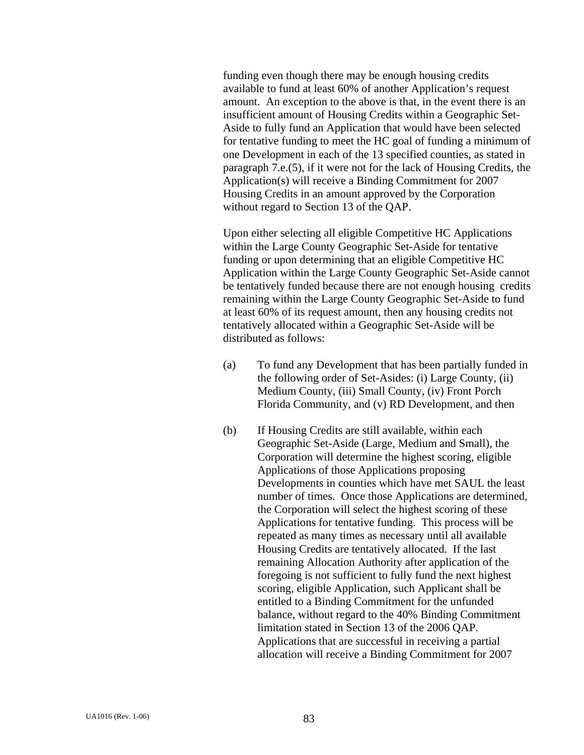funding even though there may be enough housing credits available to fund at least 60% of another Application's request amount. An exception to the above is that, in the event there is an insufficient amount of Housing Credits within a Geographic Set-Aside to fully fund an Application that would have been selected for tentative funding to meet the HC goal of funding a minimum of one Development in each of the 13 specified counties, as stated in paragraph 7.e.(5), if it were not for the lack of Housing Credits, the Application(s) will receive a Binding Commitment for 2007 Housing Credits in an amount approved by the Corporation without regard to Section 13 of the QAP.

Upon either selecting all eligible Competitive HC Applications within the Large County Geographic Set-Aside for tentative funding or upon determining that an eligible Competitive HC Application within the Large County Geographic Set-Aside cannot be tentatively funded because there are not enough housing credits remaining within the Large County Geographic Set-Aside to fund at least 60% of its request amount, then any housing credits not tentatively allocated within a Geographic Set-Aside will be distributed as follows:

- (a) To fund any Development that has been partially funded in the following order of Set-Asides: (i) Large County, (ii) Medium County, (iii) Small County, (iv) Front Porch Florida Community, and (v) RD Development, and then
- (b) If Housing Credits are still available, within each Geographic Set-Aside (Large, Medium and Small), the Corporation will determine the highest scoring, eligible Applications of those Applications proposing Developments in counties which have met SAUL the least number of times. Once those Applications are determined, the Corporation will select the highest scoring of these Applications for tentative funding. This process will be repeated as many times as necessary until all available Housing Credits are tentatively allocated. If the last remaining Allocation Authority after application of the foregoing is not sufficient to fully fund the next highest scoring, eligible Application, such Applicant shall be entitled to a Binding Commitment for the unfunded balance, without regard to the 40% Binding Commitment limitation stated in Section 13 of the 2006 QAP. Applications that are successful in receiving a partial allocation will receive a Binding Commitment for 2007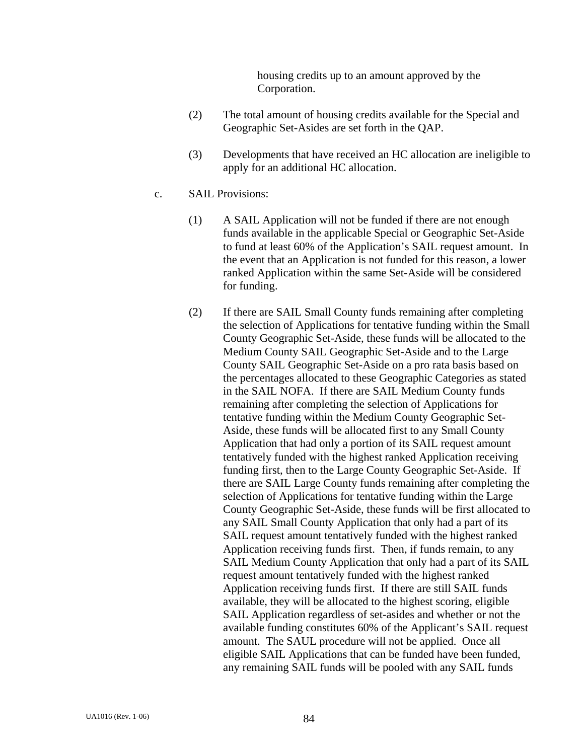housing credits up to an amount approved by the Corporation.

- (2) The total amount of housing credits available for the Special and Geographic Set-Asides are set forth in the QAP.
- (3) Developments that have received an HC allocation are ineligible to apply for an additional HC allocation.
- c. SAIL Provisions:
	- (1) A SAIL Application will not be funded if there are not enough funds available in the applicable Special or Geographic Set-Aside to fund at least 60% of the Application's SAIL request amount. In the event that an Application is not funded for this reason, a lower ranked Application within the same Set-Aside will be considered for funding.
	- (2) If there are SAIL Small County funds remaining after completing the selection of Applications for tentative funding within the Small County Geographic Set-Aside, these funds will be allocated to the Medium County SAIL Geographic Set-Aside and to the Large County SAIL Geographic Set-Aside on a pro rata basis based on the percentages allocated to these Geographic Categories as stated in the SAIL NOFA. If there are SAIL Medium County funds remaining after completing the selection of Applications for tentative funding within the Medium County Geographic Set-Aside, these funds will be allocated first to any Small County Application that had only a portion of its SAIL request amount tentatively funded with the highest ranked Application receiving funding first, then to the Large County Geographic Set-Aside. If there are SAIL Large County funds remaining after completing the selection of Applications for tentative funding within the Large County Geographic Set-Aside, these funds will be first allocated to any SAIL Small County Application that only had a part of its SAIL request amount tentatively funded with the highest ranked Application receiving funds first. Then, if funds remain, to any SAIL Medium County Application that only had a part of its SAIL request amount tentatively funded with the highest ranked Application receiving funds first. If there are still SAIL funds available, they will be allocated to the highest scoring, eligible SAIL Application regardless of set-asides and whether or not the available funding constitutes 60% of the Applicant's SAIL request amount. The SAUL procedure will not be applied. Once all eligible SAIL Applications that can be funded have been funded, any remaining SAIL funds will be pooled with any SAIL funds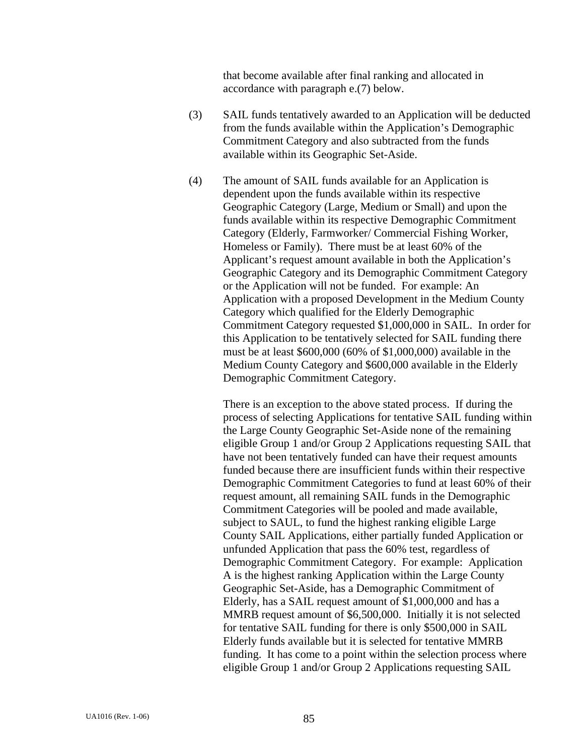that become available after final ranking and allocated in accordance with paragraph e.(7) below.

- (3) SAIL funds tentatively awarded to an Application will be deducted from the funds available within the Application's Demographic Commitment Category and also subtracted from the funds available within its Geographic Set-Aside.
- (4) The amount of SAIL funds available for an Application is dependent upon the funds available within its respective Geographic Category (Large, Medium or Small) and upon the funds available within its respective Demographic Commitment Category (Elderly, Farmworker/ Commercial Fishing Worker, Homeless or Family). There must be at least 60% of the Applicant's request amount available in both the Application's Geographic Category and its Demographic Commitment Category or the Application will not be funded. For example: An Application with a proposed Development in the Medium County Category which qualified for the Elderly Demographic Commitment Category requested \$1,000,000 in SAIL. In order for this Application to be tentatively selected for SAIL funding there must be at least \$600,000 (60% of \$1,000,000) available in the Medium County Category and \$600,000 available in the Elderly Demographic Commitment Category.

There is an exception to the above stated process. If during the process of selecting Applications for tentative SAIL funding within the Large County Geographic Set-Aside none of the remaining eligible Group 1 and/or Group 2 Applications requesting SAIL that have not been tentatively funded can have their request amounts funded because there are insufficient funds within their respective Demographic Commitment Categories to fund at least 60% of their request amount, all remaining SAIL funds in the Demographic Commitment Categories will be pooled and made available, subject to SAUL, to fund the highest ranking eligible Large County SAIL Applications, either partially funded Application or unfunded Application that pass the 60% test, regardless of Demographic Commitment Category. For example: Application A is the highest ranking Application within the Large County Geographic Set-Aside, has a Demographic Commitment of Elderly, has a SAIL request amount of \$1,000,000 and has a MMRB request amount of \$6,500,000. Initially it is not selected for tentative SAIL funding for there is only \$500,000 in SAIL Elderly funds available but it is selected for tentative MMRB funding. It has come to a point within the selection process where eligible Group 1 and/or Group 2 Applications requesting SAIL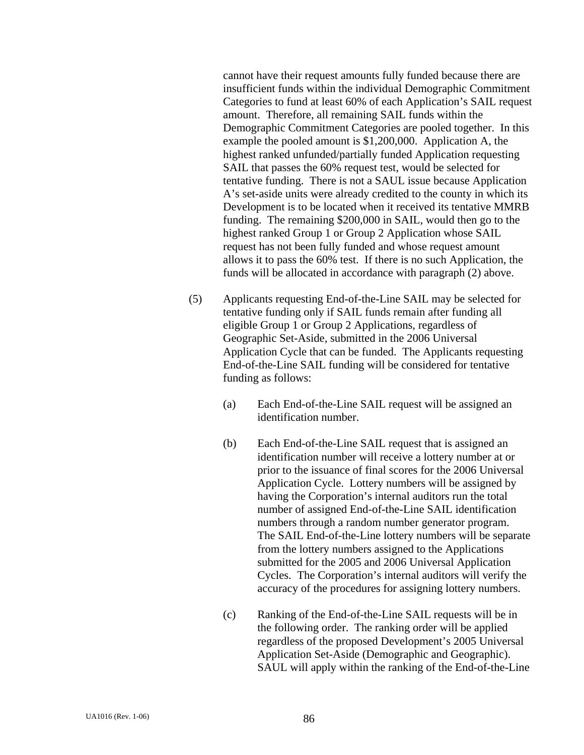cannot have their request amounts fully funded because there are insufficient funds within the individual Demographic Commitment Categories to fund at least 60% of each Application's SAIL request amount. Therefore, all remaining SAIL funds within the Demographic Commitment Categories are pooled together. In this example the pooled amount is \$1,200,000. Application A, the highest ranked unfunded/partially funded Application requesting SAIL that passes the 60% request test, would be selected for tentative funding. There is not a SAUL issue because Application A's set-aside units were already credited to the county in which its Development is to be located when it received its tentative MMRB funding. The remaining \$200,000 in SAIL, would then go to the highest ranked Group 1 or Group 2 Application whose SAIL request has not been fully funded and whose request amount allows it to pass the 60% test. If there is no such Application, the funds will be allocated in accordance with paragraph (2) above.

- (5) Applicants requesting End-of-the-Line SAIL may be selected for tentative funding only if SAIL funds remain after funding all eligible Group 1 or Group 2 Applications, regardless of Geographic Set-Aside, submitted in the 2006 Universal Application Cycle that can be funded. The Applicants requesting End-of-the-Line SAIL funding will be considered for tentative funding as follows:
	- (a) Each End-of-the-Line SAIL request will be assigned an identification number.
	- (b) Each End-of-the-Line SAIL request that is assigned an identification number will receive a lottery number at or prior to the issuance of final scores for the 2006 Universal Application Cycle. Lottery numbers will be assigned by having the Corporation's internal auditors run the total number of assigned End-of-the-Line SAIL identification numbers through a random number generator program. The SAIL End-of-the-Line lottery numbers will be separate from the lottery numbers assigned to the Applications submitted for the 2005 and 2006 Universal Application Cycles. The Corporation's internal auditors will verify the accuracy of the procedures for assigning lottery numbers.
	- (c) Ranking of the End-of-the-Line SAIL requests will be in the following order. The ranking order will be applied regardless of the proposed Development's 2005 Universal Application Set-Aside (Demographic and Geographic). SAUL will apply within the ranking of the End-of-the-Line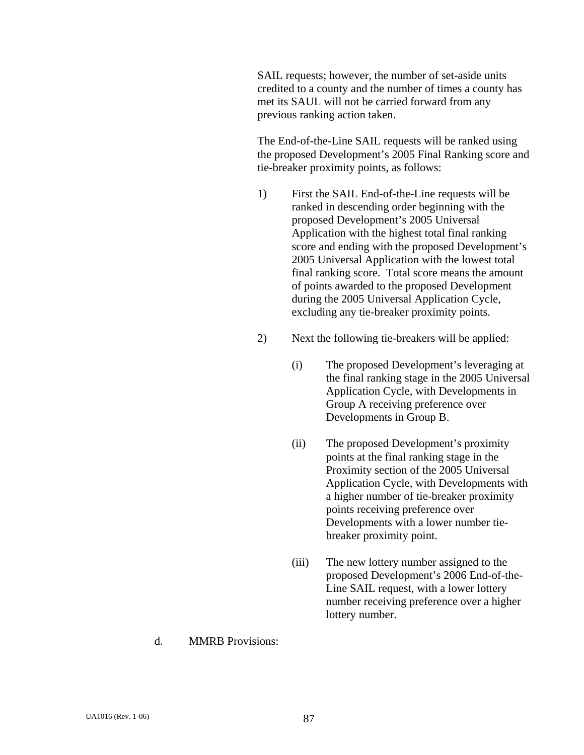SAIL requests; however, the number of set-aside units credited to a county and the number of times a county has met its SAUL will not be carried forward from any previous ranking action taken.

 The End-of-the-Line SAIL requests will be ranked using the proposed Development's 2005 Final Ranking score and tie-breaker proximity points, as follows:

- 1) First the SAIL End-of-the-Line requests will be ranked in descending order beginning with the proposed Development's 2005 Universal Application with the highest total final ranking score and ending with the proposed Development's 2005 Universal Application with the lowest total final ranking score. Total score means the amount of points awarded to the proposed Development during the 2005 Universal Application Cycle, excluding any tie-breaker proximity points.
- 2) Next the following tie-breakers will be applied:
	- (i) The proposed Development's leveraging at the final ranking stage in the 2005 Universal Application Cycle, with Developments in Group A receiving preference over Developments in Group B.
	- (ii) The proposed Development's proximity points at the final ranking stage in the Proximity section of the 2005 Universal Application Cycle, with Developments with a higher number of tie-breaker proximity points receiving preference over Developments with a lower number tiebreaker proximity point.
	- (iii) The new lottery number assigned to the proposed Development's 2006 End-of-the-Line SAIL request, with a lower lottery number receiving preference over a higher lottery number.
- d. MMRB Provisions: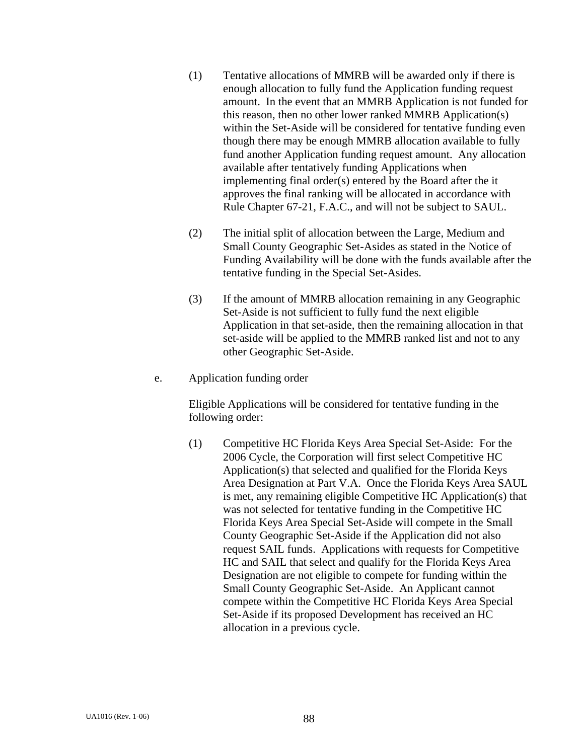- (1) Tentative allocations of MMRB will be awarded only if there is enough allocation to fully fund the Application funding request amount. In the event that an MMRB Application is not funded for this reason, then no other lower ranked MMRB Application(s) within the Set-Aside will be considered for tentative funding even though there may be enough MMRB allocation available to fully fund another Application funding request amount. Any allocation available after tentatively funding Applications when implementing final order(s) entered by the Board after the it approves the final ranking will be allocated in accordance with Rule Chapter 67-21, F.A.C., and will not be subject to SAUL.
- (2) The initial split of allocation between the Large, Medium and Small County Geographic Set-Asides as stated in the Notice of Funding Availability will be done with the funds available after the tentative funding in the Special Set-Asides.
- (3) If the amount of MMRB allocation remaining in any Geographic Set-Aside is not sufficient to fully fund the next eligible Application in that set-aside, then the remaining allocation in that set-aside will be applied to the MMRB ranked list and not to any other Geographic Set-Aside.
- e. Application funding order

 Eligible Applications will be considered for tentative funding in the following order:

(1) Competitive HC Florida Keys Area Special Set-Aside: For the 2006 Cycle, the Corporation will first select Competitive HC Application(s) that selected and qualified for the Florida Keys Area Designation at Part V.A. Once the Florida Keys Area SAUL is met, any remaining eligible Competitive HC Application(s) that was not selected for tentative funding in the Competitive HC Florida Keys Area Special Set-Aside will compete in the Small County Geographic Set-Aside if the Application did not also request SAIL funds. Applications with requests for Competitive HC and SAIL that select and qualify for the Florida Keys Area Designation are not eligible to compete for funding within the Small County Geographic Set-Aside. An Applicant cannot compete within the Competitive HC Florida Keys Area Special Set-Aside if its proposed Development has received an HC allocation in a previous cycle.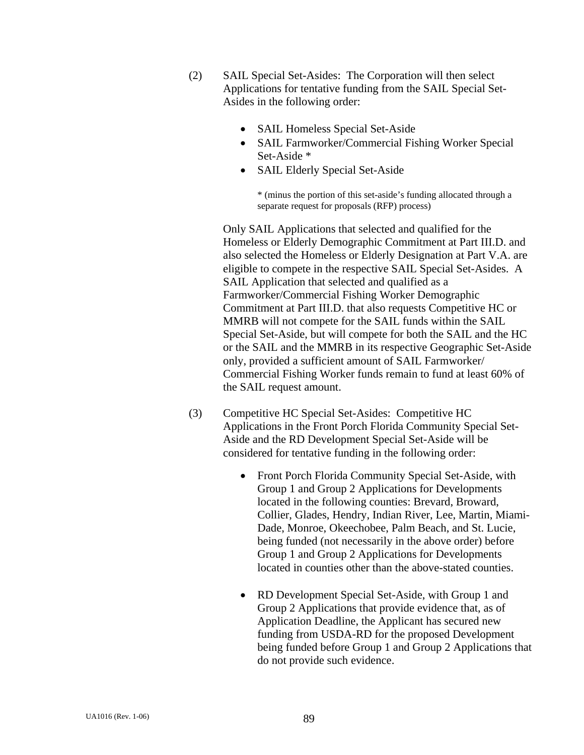- (2) SAIL Special Set-Asides: The Corporation will then select Applications for tentative funding from the SAIL Special Set-Asides in the following order:
	- SAIL Homeless Special Set-Aside
	- SAIL Farmworker/Commercial Fishing Worker Special Set-Aside \*
	- SAIL Elderly Special Set-Aside

\* (minus the portion of this set-aside's funding allocated through a separate request for proposals (RFP) process)

Only SAIL Applications that selected and qualified for the Homeless or Elderly Demographic Commitment at Part III.D. and also selected the Homeless or Elderly Designation at Part V.A. are eligible to compete in the respective SAIL Special Set-Asides. A SAIL Application that selected and qualified as a Farmworker/Commercial Fishing Worker Demographic Commitment at Part III.D. that also requests Competitive HC or MMRB will not compete for the SAIL funds within the SAIL Special Set-Aside, but will compete for both the SAIL and the HC or the SAIL and the MMRB in its respective Geographic Set-Aside only, provided a sufficient amount of SAIL Farmworker/ Commercial Fishing Worker funds remain to fund at least 60% of the SAIL request amount.

- (3) Competitive HC Special Set-Asides: Competitive HC Applications in the Front Porch Florida Community Special Set-Aside and the RD Development Special Set-Aside will be considered for tentative funding in the following order:
	- Front Porch Florida Community Special Set-Aside, with Group 1 and Group 2 Applications for Developments located in the following counties: Brevard, Broward, Collier, Glades, Hendry, Indian River, Lee, Martin, Miami-Dade, Monroe, Okeechobee, Palm Beach, and St. Lucie, being funded (not necessarily in the above order) before Group 1 and Group 2 Applications for Developments located in counties other than the above-stated counties.
	- RD Development Special Set-Aside, with Group 1 and Group 2 Applications that provide evidence that, as of Application Deadline, the Applicant has secured new funding from USDA-RD for the proposed Development being funded before Group 1 and Group 2 Applications that do not provide such evidence.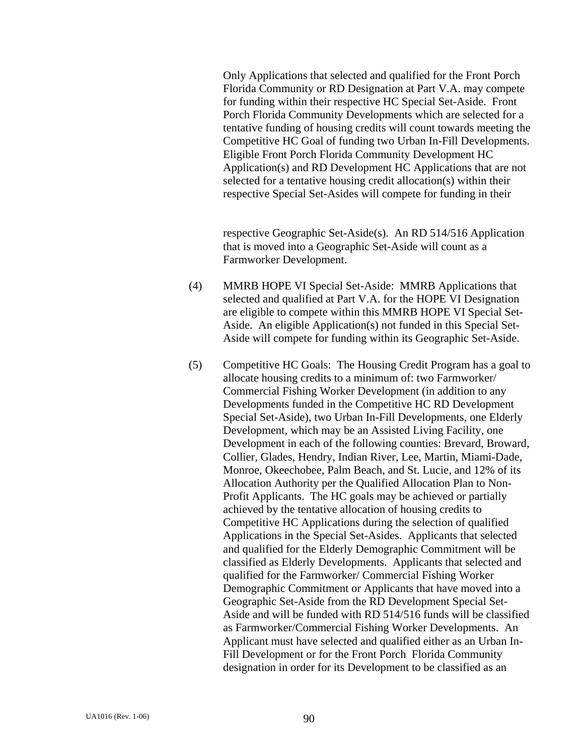Only Applications that selected and qualified for the Front Porch Florida Community or RD Designation at Part V.A. may compete for funding within their respective HC Special Set-Aside. Front Porch Florida Community Developments which are selected for a tentative funding of housing credits will count towards meeting the Competitive HC Goal of funding two Urban In-Fill Developments. Eligible Front Porch Florida Community Development HC Application(s) and RD Development HC Applications that are not selected for a tentative housing credit allocation(s) within their respective Special Set-Asides will compete for funding in their

respective Geographic Set-Aside(s). An RD 514/516 Application that is moved into a Geographic Set-Aside will count as a Farmworker Development.

- (4) MMRB HOPE VI Special Set-Aside: MMRB Applications that selected and qualified at Part V.A. for the HOPE VI Designation are eligible to compete within this MMRB HOPE VI Special Set-Aside. An eligible Application(s) not funded in this Special Set-Aside will compete for funding within its Geographic Set-Aside.
- (5) Competitive HC Goals: The Housing Credit Program has a goal to allocate housing credits to a minimum of: two Farmworker/ Commercial Fishing Worker Development (in addition to any Developments funded in the Competitive HC RD Development Special Set-Aside), two Urban In-Fill Developments, one Elderly Development, which may be an Assisted Living Facility, one Development in each of the following counties: Brevard, Broward, Collier, Glades, Hendry, Indian River, Lee, Martin, Miami-Dade, Monroe, Okeechobee, Palm Beach, and St. Lucie, and 12% of its Allocation Authority per the Qualified Allocation Plan to Non-Profit Applicants. The HC goals may be achieved or partially achieved by the tentative allocation of housing credits to Competitive HC Applications during the selection of qualified Applications in the Special Set-Asides. Applicants that selected and qualified for the Elderly Demographic Commitment will be classified as Elderly Developments. Applicants that selected and qualified for the Farmworker/ Commercial Fishing Worker Demographic Commitment or Applicants that have moved into a Geographic Set-Aside from the RD Development Special Set-Aside and will be funded with RD 514/516 funds will be classified as Farmworker/Commercial Fishing Worker Developments. An Applicant must have selected and qualified either as an Urban In-Fill Development or for the Front Porch Florida Community designation in order for its Development to be classified as an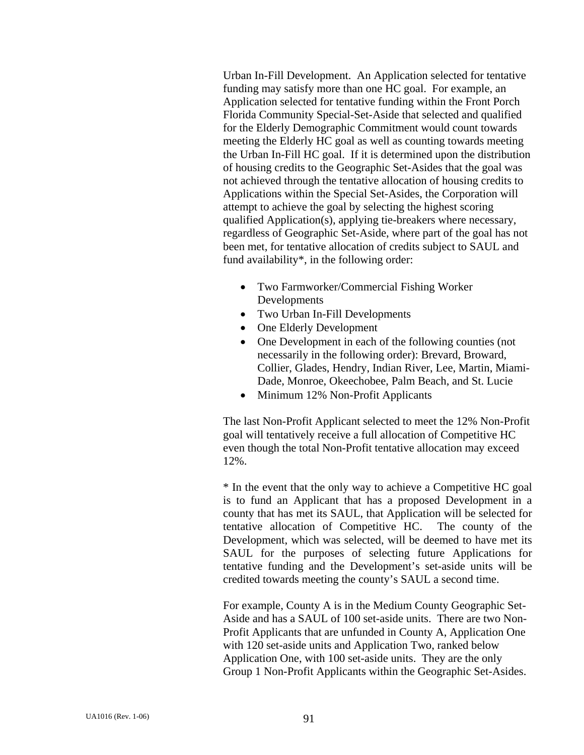Urban In-Fill Development. An Application selected for tentative funding may satisfy more than one HC goal. For example, an Application selected for tentative funding within the Front Porch Florida Community Special-Set-Aside that selected and qualified for the Elderly Demographic Commitment would count towards meeting the Elderly HC goal as well as counting towards meeting the Urban In-Fill HC goal. If it is determined upon the distribution of housing credits to the Geographic Set-Asides that the goal was not achieved through the tentative allocation of housing credits to Applications within the Special Set-Asides, the Corporation will attempt to achieve the goal by selecting the highest scoring qualified Application(s), applying tie-breakers where necessary, regardless of Geographic Set-Aside, where part of the goal has not been met, for tentative allocation of credits subject to SAUL and fund availability\*, in the following order:

- Two Farmworker/Commercial Fishing Worker Developments
- Two Urban In-Fill Developments
- One Elderly Development
- One Development in each of the following counties (not necessarily in the following order): Brevard, Broward, Collier, Glades, Hendry, Indian River, Lee, Martin, Miami-Dade, Monroe, Okeechobee, Palm Beach, and St. Lucie
- Minimum 12% Non-Profit Applicants

The last Non-Profit Applicant selected to meet the 12% Non-Profit goal will tentatively receive a full allocation of Competitive HC even though the total Non-Profit tentative allocation may exceed 12%.

\* In the event that the only way to achieve a Competitive HC goal is to fund an Applicant that has a proposed Development in a county that has met its SAUL, that Application will be selected for tentative allocation of Competitive HC. The county of the Development, which was selected, will be deemed to have met its SAUL for the purposes of selecting future Applications for tentative funding and the Development's set-aside units will be credited towards meeting the county's SAUL a second time.

 For example, County A is in the Medium County Geographic Set-Aside and has a SAUL of 100 set-aside units. There are two Non-Profit Applicants that are unfunded in County A, Application One with 120 set-aside units and Application Two, ranked below Application One, with 100 set-aside units. They are the only Group 1 Non-Profit Applicants within the Geographic Set-Asides.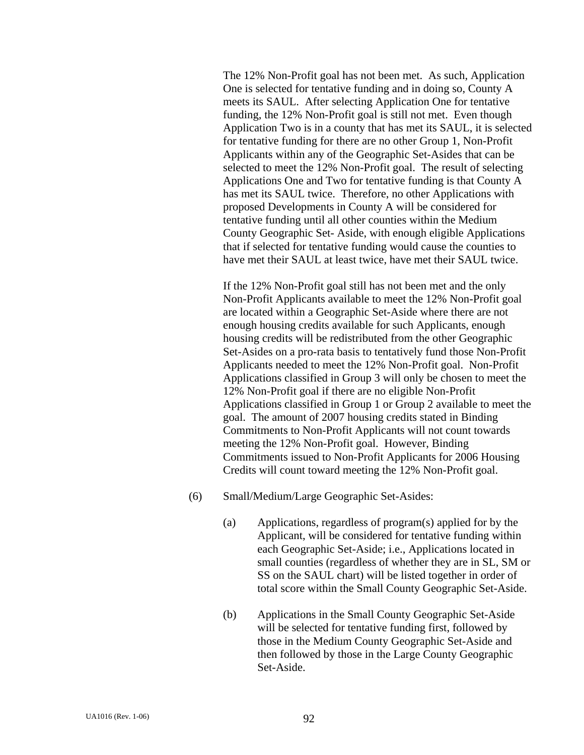The 12% Non-Profit goal has not been met. As such, Application One is selected for tentative funding and in doing so, County A meets its SAUL. After selecting Application One for tentative funding, the 12% Non-Profit goal is still not met. Even though Application Two is in a county that has met its SAUL, it is selected for tentative funding for there are no other Group 1, Non-Profit Applicants within any of the Geographic Set-Asides that can be selected to meet the 12% Non-Profit goal. The result of selecting Applications One and Two for tentative funding is that County A has met its SAUL twice. Therefore, no other Applications with proposed Developments in County A will be considered for tentative funding until all other counties within the Medium County Geographic Set- Aside, with enough eligible Applications that if selected for tentative funding would cause the counties to have met their SAUL at least twice, have met their SAUL twice.

If the 12% Non-Profit goal still has not been met and the only Non-Profit Applicants available to meet the 12% Non-Profit goal are located within a Geographic Set-Aside where there are not enough housing credits available for such Applicants, enough housing credits will be redistributed from the other Geographic Set-Asides on a pro-rata basis to tentatively fund those Non-Profit Applicants needed to meet the 12% Non-Profit goal. Non-Profit Applications classified in Group 3 will only be chosen to meet the 12% Non-Profit goal if there are no eligible Non-Profit Applications classified in Group 1 or Group 2 available to meet the goal. The amount of 2007 housing credits stated in Binding Commitments to Non-Profit Applicants will not count towards meeting the 12% Non-Profit goal. However, Binding Commitments issued to Non-Profit Applicants for 2006 Housing Credits will count toward meeting the 12% Non-Profit goal.

- (6) Small/Medium/Large Geographic Set-Asides:
	- (a) Applications, regardless of program(s) applied for by the Applicant, will be considered for tentative funding within each Geographic Set-Aside; i.e., Applications located in small counties (regardless of whether they are in SL, SM or SS on the SAUL chart) will be listed together in order of total score within the Small County Geographic Set-Aside.
	- (b) Applications in the Small County Geographic Set-Aside will be selected for tentative funding first, followed by those in the Medium County Geographic Set-Aside and then followed by those in the Large County Geographic Set-Aside.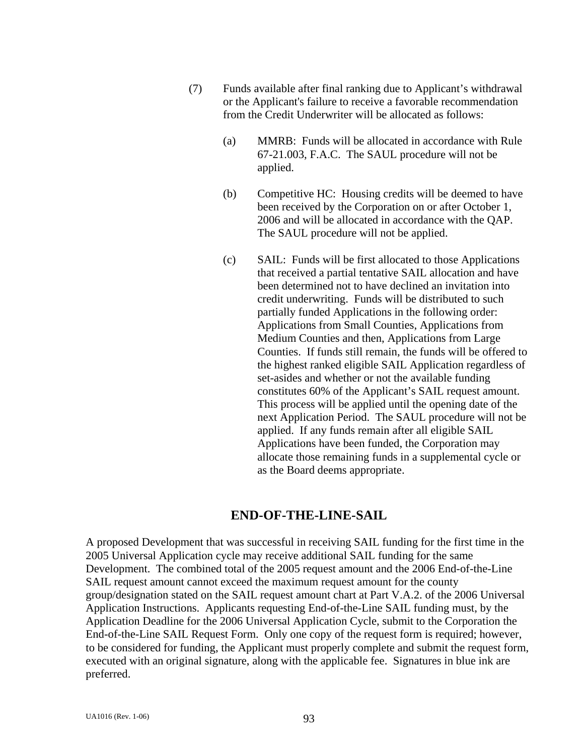- (7) Funds available after final ranking due to Applicant's withdrawal or the Applicant's failure to receive a favorable recommendation from the Credit Underwriter will be allocated as follows:
	- (a) MMRB: Funds will be allocated in accordance with Rule 67-21.003, F.A.C. The SAUL procedure will not be applied.
	- (b) Competitive HC: Housing credits will be deemed to have been received by the Corporation on or after October 1, 2006 and will be allocated in accordance with the QAP. The SAUL procedure will not be applied.
	- (c) SAIL: Funds will be first allocated to those Applications that received a partial tentative SAIL allocation and have been determined not to have declined an invitation into credit underwriting. Funds will be distributed to such partially funded Applications in the following order: Applications from Small Counties, Applications from Medium Counties and then, Applications from Large Counties. If funds still remain, the funds will be offered to the highest ranked eligible SAIL Application regardless of set-asides and whether or not the available funding constitutes 60% of the Applicant's SAIL request amount. This process will be applied until the opening date of the next Application Period. The SAUL procedure will not be applied. If any funds remain after all eligible SAIL Applications have been funded, the Corporation may allocate those remaining funds in a supplemental cycle or as the Board deems appropriate.

## **END-OF-THE-LINE-SAIL**

A proposed Development that was successful in receiving SAIL funding for the first time in the 2005 Universal Application cycle may receive additional SAIL funding for the same Development. The combined total of the 2005 request amount and the 2006 End-of-the-Line SAIL request amount cannot exceed the maximum request amount for the county group/designation stated on the SAIL request amount chart at Part V.A.2. of the 2006 Universal Application Instructions. Applicants requesting End-of-the-Line SAIL funding must, by the Application Deadline for the 2006 Universal Application Cycle, submit to the Corporation the End-of-the-Line SAIL Request Form. Only one copy of the request form is required; however, to be considered for funding, the Applicant must properly complete and submit the request form, executed with an original signature, along with the applicable fee. Signatures in blue ink are preferred.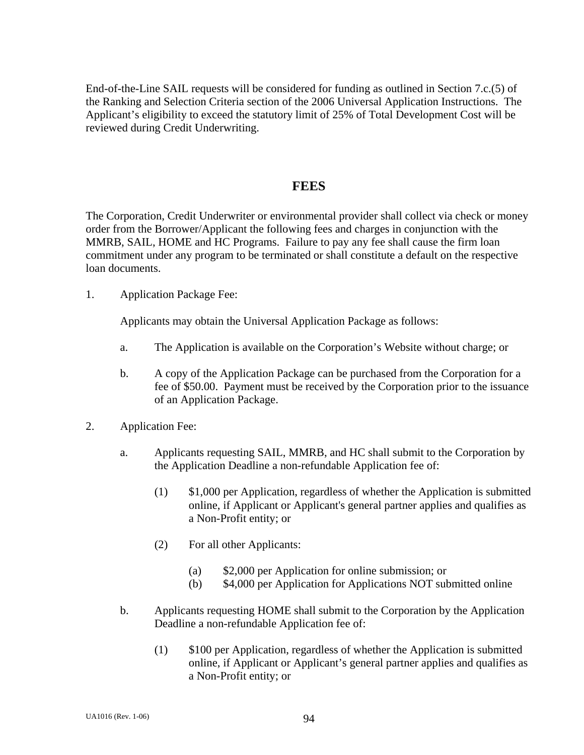End-of-the-Line SAIL requests will be considered for funding as outlined in Section 7.c.(5) of the Ranking and Selection Criteria section of the 2006 Universal Application Instructions. The Applicant's eligibility to exceed the statutory limit of 25% of Total Development Cost will be reviewed during Credit Underwriting.

#### **FEES**

The Corporation, Credit Underwriter or environmental provider shall collect via check or money order from the Borrower/Applicant the following fees and charges in conjunction with the MMRB, SAIL, HOME and HC Programs. Failure to pay any fee shall cause the firm loan commitment under any program to be terminated or shall constitute a default on the respective loan documents.

1. Application Package Fee:

Applicants may obtain the Universal Application Package as follows:

- a. The Application is available on the Corporation's Website without charge; or
- b. A copy of the Application Package can be purchased from the Corporation for a fee of \$50.00. Payment must be received by the Corporation prior to the issuance of an Application Package.
- 2. Application Fee:
	- a. Applicants requesting SAIL, MMRB, and HC shall submit to the Corporation by the Application Deadline a non-refundable Application fee of:
		- (1) \$1,000 per Application, regardless of whether the Application is submitted online, if Applicant or Applicant's general partner applies and qualifies as a Non-Profit entity; or
		- (2) For all other Applicants:
			- (a) \$2,000 per Application for online submission; or
			- (b) \$4,000 per Application for Applications NOT submitted online
	- b. Applicants requesting HOME shall submit to the Corporation by the Application Deadline a non-refundable Application fee of:
		- (1) \$100 per Application, regardless of whether the Application is submitted online, if Applicant or Applicant's general partner applies and qualifies as a Non-Profit entity; or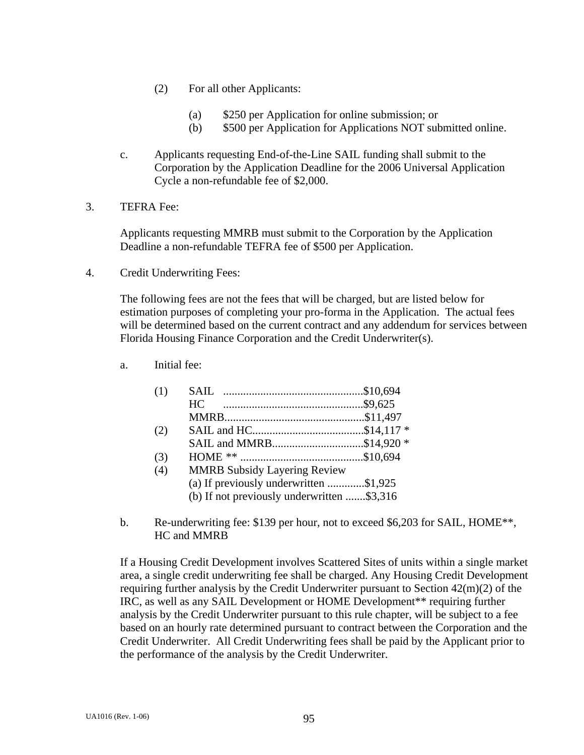- (2) For all other Applicants:
	- (a) \$250 per Application for online submission; or
	- (b) \$500 per Application for Applications NOT submitted online.
- c. Applicants requesting End-of-the-Line SAIL funding shall submit to the Corporation by the Application Deadline for the 2006 Universal Application Cycle a non-refundable fee of \$2,000.
- 3. TEFRA Fee:

 Applicants requesting MMRB must submit to the Corporation by the Application Deadline a non-refundable TEFRA fee of \$500 per Application.

4. Credit Underwriting Fees:

 The following fees are not the fees that will be charged, but are listed below for estimation purposes of completing your pro-forma in the Application. The actual fees will be determined based on the current contract and any addendum for services between Florida Housing Finance Corporation and the Credit Underwriter(s).

a. Initial fee:

| (1) |                                            |  |
|-----|--------------------------------------------|--|
|     |                                            |  |
|     |                                            |  |
| (2) |                                            |  |
|     | SAIL and MMRB\$14,920 *                    |  |
| (3) |                                            |  |
| (4) | <b>MMRB Subsidy Layering Review</b>        |  |
|     | (a) If previously underwritten \$1,925     |  |
|     | (b) If not previously underwritten \$3,316 |  |
|     |                                            |  |

b. Re-underwriting fee: \$139 per hour, not to exceed \$6,203 for SAIL, HOME\*\*, HC and MMRB

If a Housing Credit Development involves Scattered Sites of units within a single market area, a single credit underwriting fee shall be charged. Any Housing Credit Development requiring further analysis by the Credit Underwriter pursuant to Section 42(m)(2) of the IRC, as well as any SAIL Development or HOME Development\*\* requiring further analysis by the Credit Underwriter pursuant to this rule chapter, will be subject to a fee based on an hourly rate determined pursuant to contract between the Corporation and the Credit Underwriter. All Credit Underwriting fees shall be paid by the Applicant prior to the performance of the analysis by the Credit Underwriter.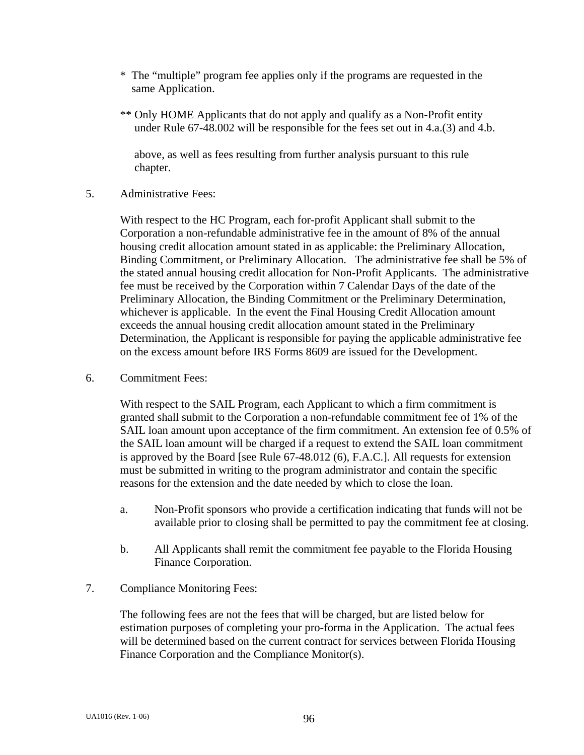- \* The "multiple" program fee applies only if the programs are requested in the same Application.
- \*\* Only HOME Applicants that do not apply and qualify as a Non-Profit entity under Rule 67-48.002 will be responsible for the fees set out in 4.a.(3) and 4.b.

 above, as well as fees resulting from further analysis pursuant to this rule chapter.

5. Administrative Fees:

With respect to the HC Program, each for-profit Applicant shall submit to the Corporation a non-refundable administrative fee in the amount of 8% of the annual housing credit allocation amount stated in as applicable: the Preliminary Allocation, Binding Commitment, or Preliminary Allocation. The administrative fee shall be 5% of the stated annual housing credit allocation for Non-Profit Applicants. The administrative fee must be received by the Corporation within 7 Calendar Days of the date of the Preliminary Allocation, the Binding Commitment or the Preliminary Determination, whichever is applicable. In the event the Final Housing Credit Allocation amount exceeds the annual housing credit allocation amount stated in the Preliminary Determination, the Applicant is responsible for paying the applicable administrative fee on the excess amount before IRS Forms 8609 are issued for the Development.

6. Commitment Fees:

With respect to the SAIL Program, each Applicant to which a firm commitment is granted shall submit to the Corporation a non-refundable commitment fee of 1% of the SAIL loan amount upon acceptance of the firm commitment. An extension fee of 0.5% of the SAIL loan amount will be charged if a request to extend the SAIL loan commitment is approved by the Board [see Rule 67-48.012 (6), F.A.C.]. All requests for extension must be submitted in writing to the program administrator and contain the specific reasons for the extension and the date needed by which to close the loan.

- a. Non-Profit sponsors who provide a certification indicating that funds will not be available prior to closing shall be permitted to pay the commitment fee at closing.
- b. All Applicants shall remit the commitment fee payable to the Florida Housing Finance Corporation.
- 7. Compliance Monitoring Fees:

 The following fees are not the fees that will be charged, but are listed below for estimation purposes of completing your pro-forma in the Application. The actual fees will be determined based on the current contract for services between Florida Housing Finance Corporation and the Compliance Monitor(s).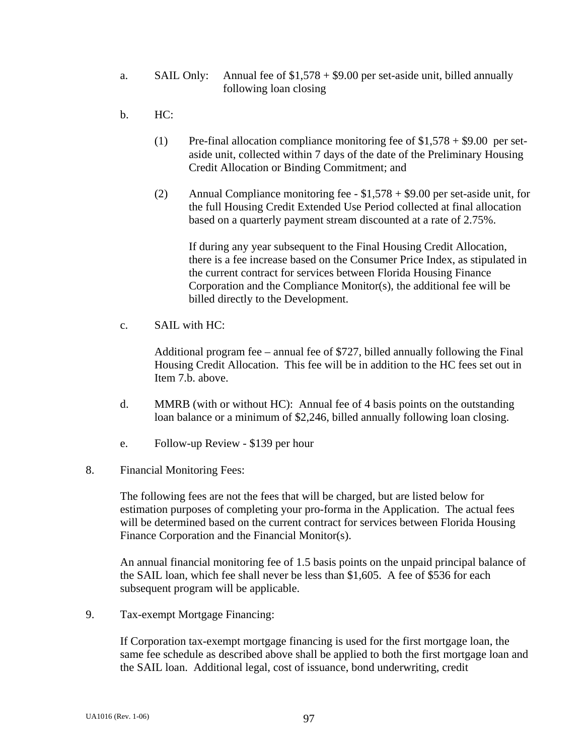- a. SAIL Only: Annual fee of \$1,578 + \$9.00 per set-aside unit, billed annually following loan closing
- b. HC:
	- (1) Pre-final allocation compliance monitoring fee of  $$1,578 + $9.00$  per setaside unit, collected within 7 days of the date of the Preliminary Housing Credit Allocation or Binding Commitment; and
	- (2) Annual Compliance monitoring fee \$1,578 + \$9.00 per set-aside unit, for the full Housing Credit Extended Use Period collected at final allocation based on a quarterly payment stream discounted at a rate of 2.75%.

 If during any year subsequent to the Final Housing Credit Allocation, there is a fee increase based on the Consumer Price Index, as stipulated in the current contract for services between Florida Housing Finance Corporation and the Compliance Monitor(s), the additional fee will be billed directly to the Development.

 $c.$  SAIL with  $HC:$ 

 Additional program fee – annual fee of \$727, billed annually following the Final Housing Credit Allocation. This fee will be in addition to the HC fees set out in Item 7.b. above.

- d. MMRB (with or without HC): Annual fee of 4 basis points on the outstanding loan balance or a minimum of \$2,246, billed annually following loan closing.
- e. Follow-up Review \$139 per hour
- 8. Financial Monitoring Fees:

The following fees are not the fees that will be charged, but are listed below for estimation purposes of completing your pro-forma in the Application. The actual fees will be determined based on the current contract for services between Florida Housing Finance Corporation and the Financial Monitor(s).

An annual financial monitoring fee of 1.5 basis points on the unpaid principal balance of the SAIL loan, which fee shall never be less than \$1,605. A fee of \$536 for each subsequent program will be applicable.

9. Tax-exempt Mortgage Financing:

If Corporation tax-exempt mortgage financing is used for the first mortgage loan, the same fee schedule as described above shall be applied to both the first mortgage loan and the SAIL loan. Additional legal, cost of issuance, bond underwriting, credit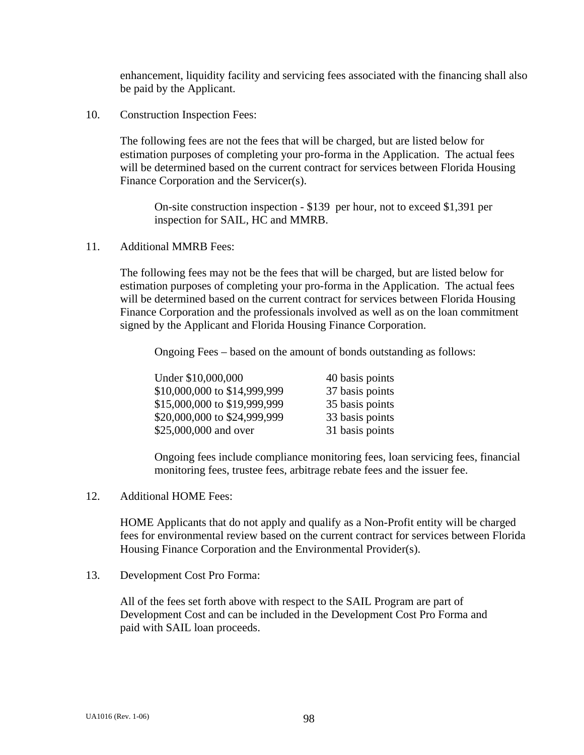enhancement, liquidity facility and servicing fees associated with the financing shall also be paid by the Applicant.

10. Construction Inspection Fees:

The following fees are not the fees that will be charged, but are listed below for estimation purposes of completing your pro-forma in the Application. The actual fees will be determined based on the current contract for services between Florida Housing Finance Corporation and the Servicer(s).

On-site construction inspection - \$139 per hour, not to exceed \$1,391 per inspection for SAIL, HC and MMRB.

11. Additional MMRB Fees:

The following fees may not be the fees that will be charged, but are listed below for estimation purposes of completing your pro-forma in the Application. The actual fees will be determined based on the current contract for services between Florida Housing Finance Corporation and the professionals involved as well as on the loan commitment signed by the Applicant and Florida Housing Finance Corporation.

Ongoing Fees – based on the amount of bonds outstanding as follows:

| Under \$10,000,000           | 40 basis points |
|------------------------------|-----------------|
| \$10,000,000 to \$14,999,999 | 37 basis points |
| \$15,000,000 to \$19,999,999 | 35 basis points |
| \$20,000,000 to \$24,999,999 | 33 basis points |
| \$25,000,000 and over        | 31 basis points |

 Ongoing fees include compliance monitoring fees, loan servicing fees, financial monitoring fees, trustee fees, arbitrage rebate fees and the issuer fee.

12. Additional HOME Fees:

 HOME Applicants that do not apply and qualify as a Non-Profit entity will be charged fees for environmental review based on the current contract for services between Florida Housing Finance Corporation and the Environmental Provider(s).

13. Development Cost Pro Forma:

 All of the fees set forth above with respect to the SAIL Program are part of Development Cost and can be included in the Development Cost Pro Forma and paid with SAIL loan proceeds.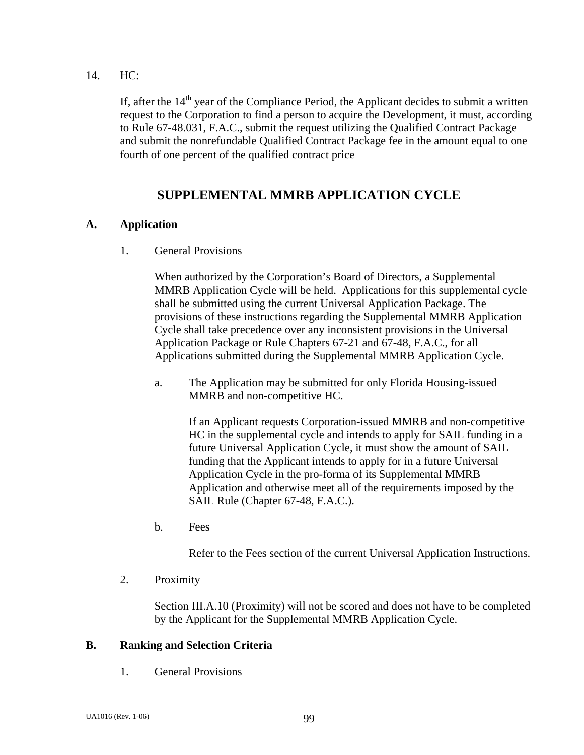14. HC:

If, after the  $14<sup>th</sup>$  year of the Compliance Period, the Applicant decides to submit a written request to the Corporation to find a person to acquire the Development, it must, according to Rule 67-48.031, F.A.C., submit the request utilizing the Qualified Contract Package and submit the nonrefundable Qualified Contract Package fee in the amount equal to one fourth of one percent of the qualified contract price

# **SUPPLEMENTAL MMRB APPLICATION CYCLE**

## **A. Application**

1. General Provisions

When authorized by the Corporation's Board of Directors, a Supplemental MMRB Application Cycle will be held. Applications for this supplemental cycle shall be submitted using the current Universal Application Package. The provisions of these instructions regarding the Supplemental MMRB Application Cycle shall take precedence over any inconsistent provisions in the Universal Application Package or Rule Chapters 67-21 and 67-48, F.A.C., for all Applications submitted during the Supplemental MMRB Application Cycle.

 a. The Application may be submitted for only Florida Housing-issued MMRB and non-competitive HC.

If an Applicant requests Corporation-issued MMRB and non-competitive HC in the supplemental cycle and intends to apply for SAIL funding in a future Universal Application Cycle, it must show the amount of SAIL funding that the Applicant intends to apply for in a future Universal Application Cycle in the pro-forma of its Supplemental MMRB Application and otherwise meet all of the requirements imposed by the SAIL Rule (Chapter 67-48, F.A.C.).

b. Fees

Refer to the Fees section of the current Universal Application Instructions.

2. Proximity

Section III.A.10 (Proximity) will not be scored and does not have to be completed by the Applicant for the Supplemental MMRB Application Cycle.

### **B. Ranking and Selection Criteria**

1. General Provisions